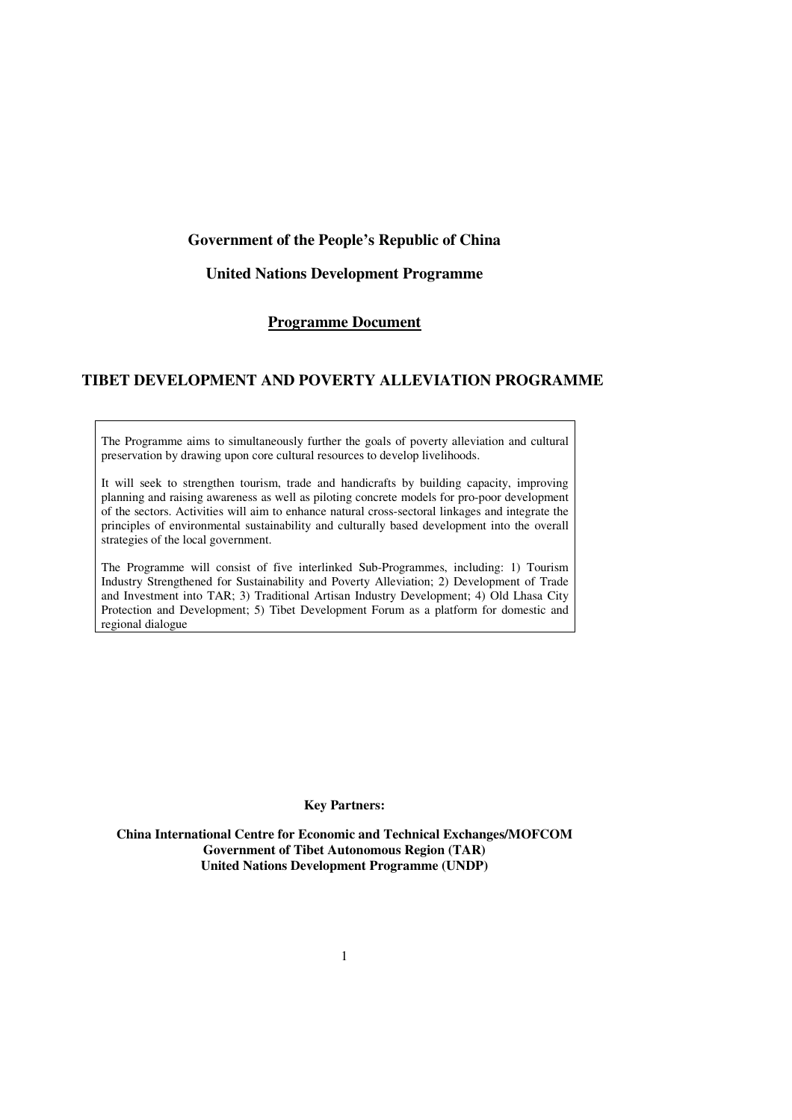# **Government of the People's Republic of China**

# **United Nations Development Programme**

# **Programme Document**

# **TIBET DEVELOPMENT AND POVERTY ALLEVIATION PROGRAMME**

The Programme aims to simultaneously further the goals of poverty alleviation and cultural preservation by drawing upon core cultural resources to develop livelihoods.

It will seek to strengthen tourism, trade and handicrafts by building capacity, improving planning and raising awareness as well as piloting concrete models for pro-poor development of the sectors. Activities will aim to enhance natural cross-sectoral linkages and integrate the principles of environmental sustainability and culturally based development into the overall strategies of the local government.

The Programme will consist of five interlinked Sub-Programmes, including: 1) Tourism Industry Strengthened for Sustainability and Poverty Alleviation; 2) Development of Trade and Investment into TAR; 3) Traditional Artisan Industry Development; 4) Old Lhasa City Protection and Development; 5) Tibet Development Forum as a platform for domestic and regional dialogue

#### **Key Partners:**

**China International Centre for Economic and Technical Exchanges/MOFCOM Government of Tibet Autonomous Region (TAR) United Nations Development Programme (UNDP)**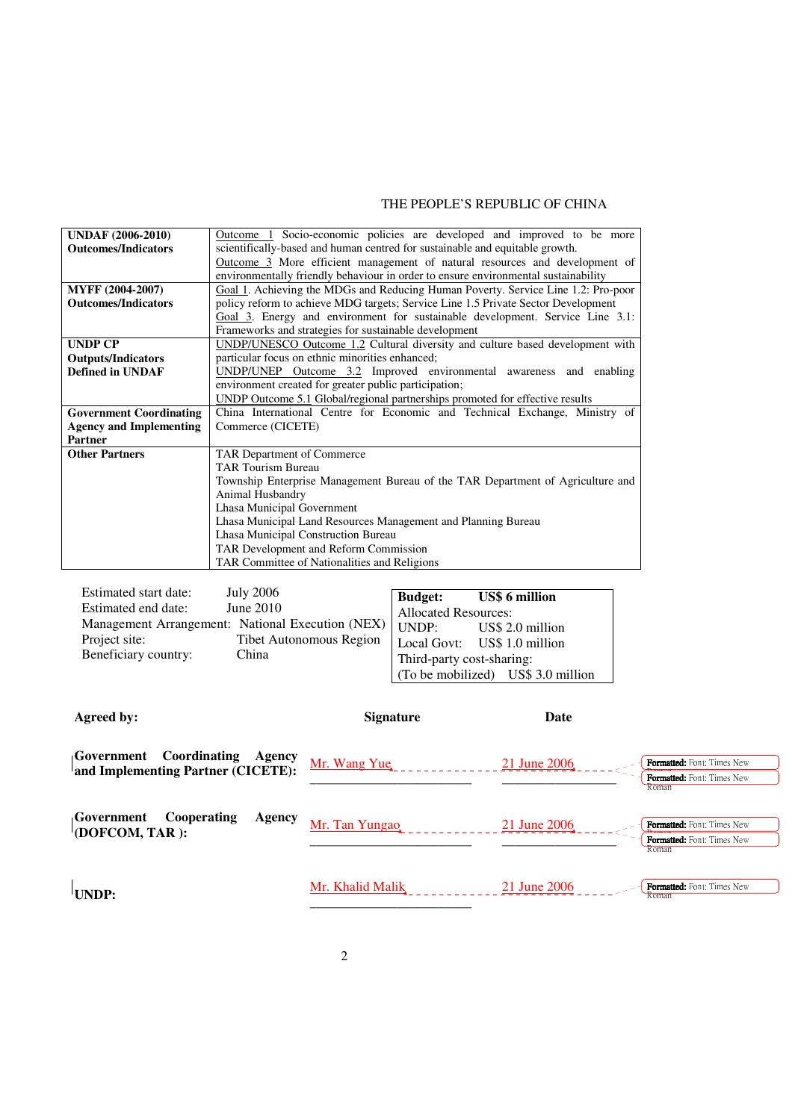# THE PEOPLE'S REPUBLIC OF CHINA

| <b>UNDAF (2006-2010)</b>       | Outcome 1 Socio-economic policies are developed and improved to be more            |  |  |  |  |
|--------------------------------|------------------------------------------------------------------------------------|--|--|--|--|
| <b>Outcomes/Indicators</b>     | scientifically-based and human centred for sustainable and equitable growth.       |  |  |  |  |
|                                | Outcome 3 More efficient management of natural resources and development of        |  |  |  |  |
|                                | environmentally friendly behaviour in order to ensure environmental sustainability |  |  |  |  |
| <b>MYFF (2004-2007)</b>        | Goal 1. Achieving the MDGs and Reducing Human Poverty. Service Line 1.2: Pro-poor  |  |  |  |  |
| <b>Outcomes/Indicators</b>     | policy reform to achieve MDG targets; Service Line 1.5 Private Sector Development  |  |  |  |  |
|                                | Goal 3. Energy and environment for sustainable development. Service Line 3.1:      |  |  |  |  |
|                                | Frameworks and strategies for sustainable development                              |  |  |  |  |
| <b>UNDP CP</b>                 | UNDP/UNESCO Outcome 1.2 Cultural diversity and culture based development with      |  |  |  |  |
| <b>Outputs/Indicators</b>      | particular focus on ethnic minorities enhanced;                                    |  |  |  |  |
| <b>Defined in UNDAF</b>        | UNDP/UNEP Outcome 3.2 Improved environmental awareness and enabling                |  |  |  |  |
|                                | environment created for greater public participation;                              |  |  |  |  |
|                                | UNDP Outcome 5.1 Global/regional partnerships promoted for effective results       |  |  |  |  |
| <b>Government Coordinating</b> | China International Centre for Economic and Technical Exchange, Ministry of        |  |  |  |  |
| <b>Agency and Implementing</b> | Commerce (CICETE)                                                                  |  |  |  |  |
| <b>Partner</b>                 |                                                                                    |  |  |  |  |
| <b>Other Partners</b>          | TAR Department of Commerce                                                         |  |  |  |  |
|                                | <b>TAR Tourism Bureau</b>                                                          |  |  |  |  |
|                                | Township Enterprise Management Bureau of the TAR Department of Agriculture and     |  |  |  |  |
|                                | Animal Husbandry                                                                   |  |  |  |  |
|                                | <b>Lhasa Municipal Government</b>                                                  |  |  |  |  |
|                                | Lhasa Municipal Land Resources Management and Planning Bureau                      |  |  |  |  |
|                                | Lhasa Municipal Construction Bureau                                                |  |  |  |  |
|                                | TAR Development and Reform Commission                                              |  |  |  |  |
|                                | TAR Committee of Nationalities and Religions                                       |  |  |  |  |

| <b>July 2006</b><br>Estimated start date:        | <b>Budget:</b>              | <b>US\$ 6 million</b>              |
|--------------------------------------------------|-----------------------------|------------------------------------|
| June $2010$<br>Estimated end date:               | <b>Allocated Resources:</b> |                                    |
| Management Arrangement: National Execution (NEX) | UNDP:                       | US\$ 2.0 million                   |
| Project site:                                    | Tibet Autonomous Region     | Local Govt: US\$ 1.0 million       |
| Beneficiary country:<br>China                    |                             | Third-party cost-sharing:          |
|                                                  |                             | (To be mobilized) US\$ 3.0 million |

| Agreed by:                                                                 | <b>Signature</b> | Date         |                                                                          |
|----------------------------------------------------------------------------|------------------|--------------|--------------------------------------------------------------------------|
| Government<br>Coordinating<br>Agency<br>and Implementing Partner (CICETE): | Mr. Wang Yue     | 21 June 2006 | Formatted: Font: Times New<br><b>Formatted:</b> Font: Times New<br>Roman |
| Government<br>Cooperating<br>Agency<br>(DOFCOM, TAR):                      | Mr. Tan Yungao   | 21 June 2006 | Formatted: Font: Times New<br><b>Formatted:</b> Font: Times New<br>Roman |
| <b>UNDP:</b>                                                               | Mr. Khalid Malik | 21 June 2006 | Formatted: Font: Times New<br>Roman                                      |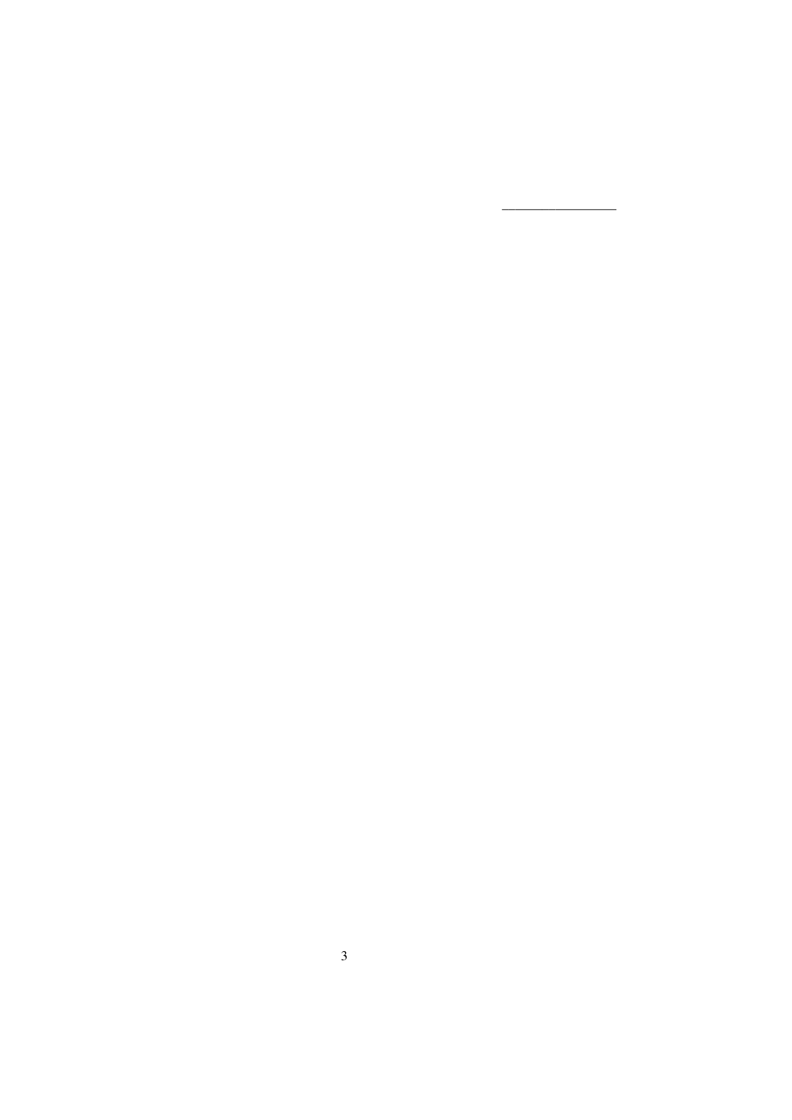$\overline{3}$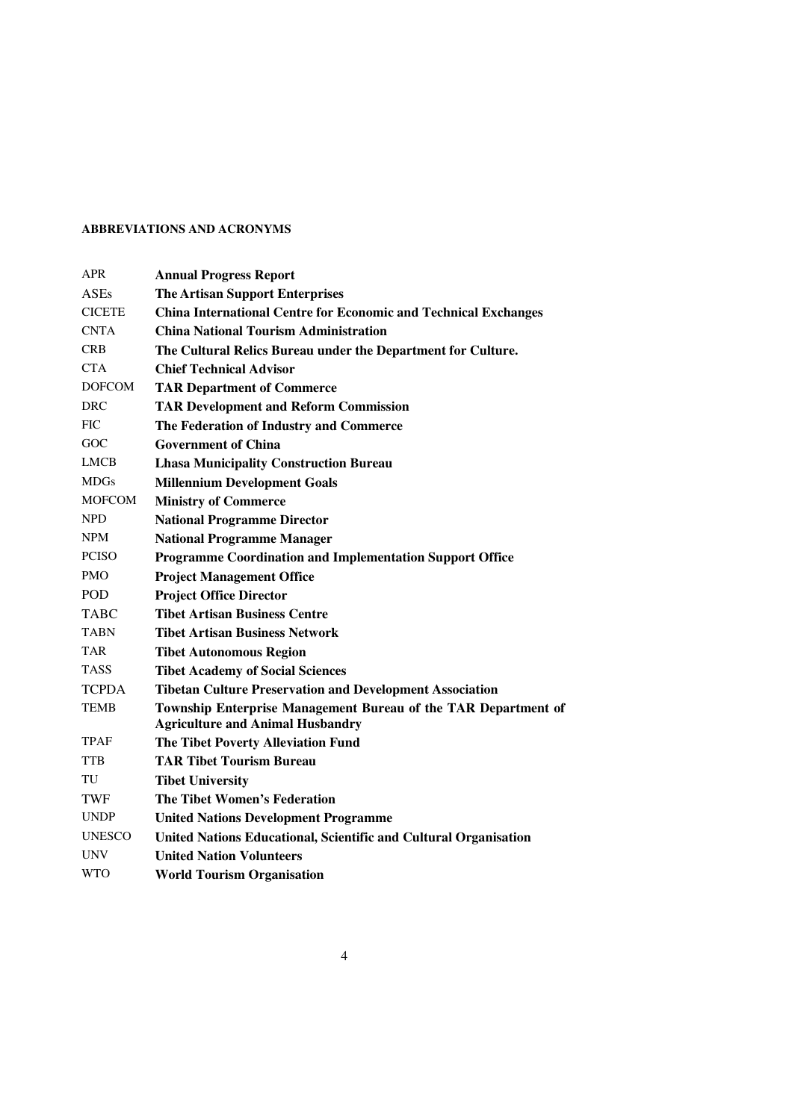# **ABBREVIATIONS AND ACRONYMS**

| <b>APR</b>    | <b>Annual Progress Report</b>                                                                             |
|---------------|-----------------------------------------------------------------------------------------------------------|
| <b>ASEs</b>   | <b>The Artisan Support Enterprises</b>                                                                    |
| <b>CICETE</b> | <b>China International Centre for Economic and Technical Exchanges</b>                                    |
| <b>CNTA</b>   | <b>China National Tourism Administration</b>                                                              |
| <b>CRB</b>    | The Cultural Relics Bureau under the Department for Culture.                                              |
| <b>CTA</b>    | <b>Chief Technical Advisor</b>                                                                            |
| <b>DOFCOM</b> | <b>TAR Department of Commerce</b>                                                                         |
| <b>DRC</b>    | <b>TAR Development and Reform Commission</b>                                                              |
| <b>FIC</b>    | The Federation of Industry and Commerce                                                                   |
| GOC           | <b>Government of China</b>                                                                                |
| <b>LMCB</b>   | <b>Lhasa Municipality Construction Bureau</b>                                                             |
| <b>MDGs</b>   | <b>Millennium Development Goals</b>                                                                       |
| <b>MOFCOM</b> | <b>Ministry of Commerce</b>                                                                               |
| <b>NPD</b>    | <b>National Programme Director</b>                                                                        |
| <b>NPM</b>    | <b>National Programme Manager</b>                                                                         |
| <b>PCISO</b>  | <b>Programme Coordination and Implementation Support Office</b>                                           |
| <b>PMO</b>    | <b>Project Management Office</b>                                                                          |
| <b>POD</b>    | <b>Project Office Director</b>                                                                            |
| <b>TABC</b>   | <b>Tibet Artisan Business Centre</b>                                                                      |
| <b>TABN</b>   | <b>Tibet Artisan Business Network</b>                                                                     |
| <b>TAR</b>    | <b>Tibet Autonomous Region</b>                                                                            |
| <b>TASS</b>   | <b>Tibet Academy of Social Sciences</b>                                                                   |
| <b>TCPDA</b>  | <b>Tibetan Culture Preservation and Development Association</b>                                           |
| <b>TEMB</b>   | Township Enterprise Management Bureau of the TAR Department of<br><b>Agriculture and Animal Husbandry</b> |
| <b>TPAF</b>   | <b>The Tibet Poverty Alleviation Fund</b>                                                                 |
| TTB           | <b>TAR Tibet Tourism Bureau</b>                                                                           |
| TU            | <b>Tibet University</b>                                                                                   |
| TWF           | <b>The Tibet Women's Federation</b>                                                                       |
| <b>UNDP</b>   | <b>United Nations Development Programme</b>                                                               |
| <b>UNESCO</b> | United Nations Educational, Scientific and Cultural Organisation                                          |
| <b>UNV</b>    | <b>United Nation Volunteers</b>                                                                           |
| <b>WTO</b>    | <b>World Tourism Organisation</b>                                                                         |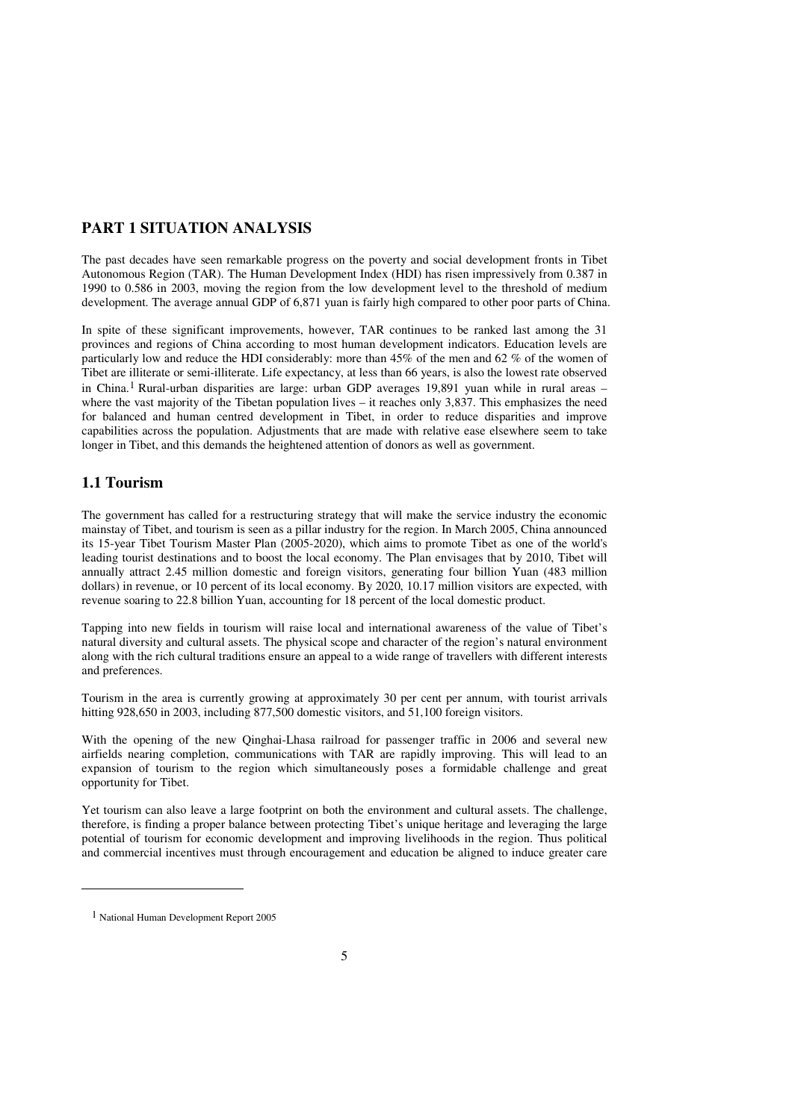# **PART 1 SITUATION ANALYSIS**

The past decades have seen remarkable progress on the poverty and social development fronts in Tibet Autonomous Region (TAR). The Human Development Index (HDI) has risen impressively from 0.387 in 1990 to 0.586 in 2003, moving the region from the low development level to the threshold of medium development. The average annual GDP of 6,871 yuan is fairly high compared to other poor parts of China.

In spite of these significant improvements, however, TAR continues to be ranked last among the 31 provinces and regions of China according to most human development indicators. Education levels are particularly low and reduce the HDI considerably: more than 45% of the men and 62 % of the women of Tibet are illiterate or semi-illiterate. Life expectancy, at less than 66 years, is also the lowest rate observed in China.1 Rural-urban disparities are large: urban GDP averages 19,891 yuan while in rural areas – where the vast majority of the Tibetan population lives – it reaches only 3,837. This emphasizes the need for balanced and human centred development in Tibet, in order to reduce disparities and improve capabilities across the population. Adjustments that are made with relative ease elsewhere seem to take longer in Tibet, and this demands the heightened attention of donors as well as government.

### **1.1 Tourism**

The government has called for a restructuring strategy that will make the service industry the economic mainstay of Tibet, and tourism is seen as a pillar industry for the region. In March 2005, China announced its 15-year Tibet Tourism Master Plan (2005-2020), which aims to promote Tibet as one of the world's leading tourist destinations and to boost the local economy. The Plan envisages that by 2010, Tibet will annually attract 2.45 million domestic and foreign visitors, generating four billion Yuan (483 million dollars) in revenue, or 10 percent of its local economy. By 2020, 10.17 million visitors are expected, with revenue soaring to 22.8 billion Yuan, accounting for 18 percent of the local domestic product.

Tapping into new fields in tourism will raise local and international awareness of the value of Tibet's natural diversity and cultural assets. The physical scope and character of the region's natural environment along with the rich cultural traditions ensure an appeal to a wide range of travellers with different interests and preferences.

Tourism in the area is currently growing at approximately 30 per cent per annum, with tourist arrivals hitting 928,650 in 2003, including 877,500 domestic visitors, and 51,100 foreign visitors.

With the opening of the new Qinghai-Lhasa railroad for passenger traffic in 2006 and several new airfields nearing completion, communications with TAR are rapidly improving. This will lead to an expansion of tourism to the region which simultaneously poses a formidable challenge and great opportunity for Tibet.

Yet tourism can also leave a large footprint on both the environment and cultural assets. The challenge, therefore, is finding a proper balance between protecting Tibet's unique heritage and leveraging the large potential of tourism for economic development and improving livelihoods in the region. Thus political and commercial incentives must through encouragement and education be aligned to induce greater care

-

<sup>1</sup> National Human Development Report 2005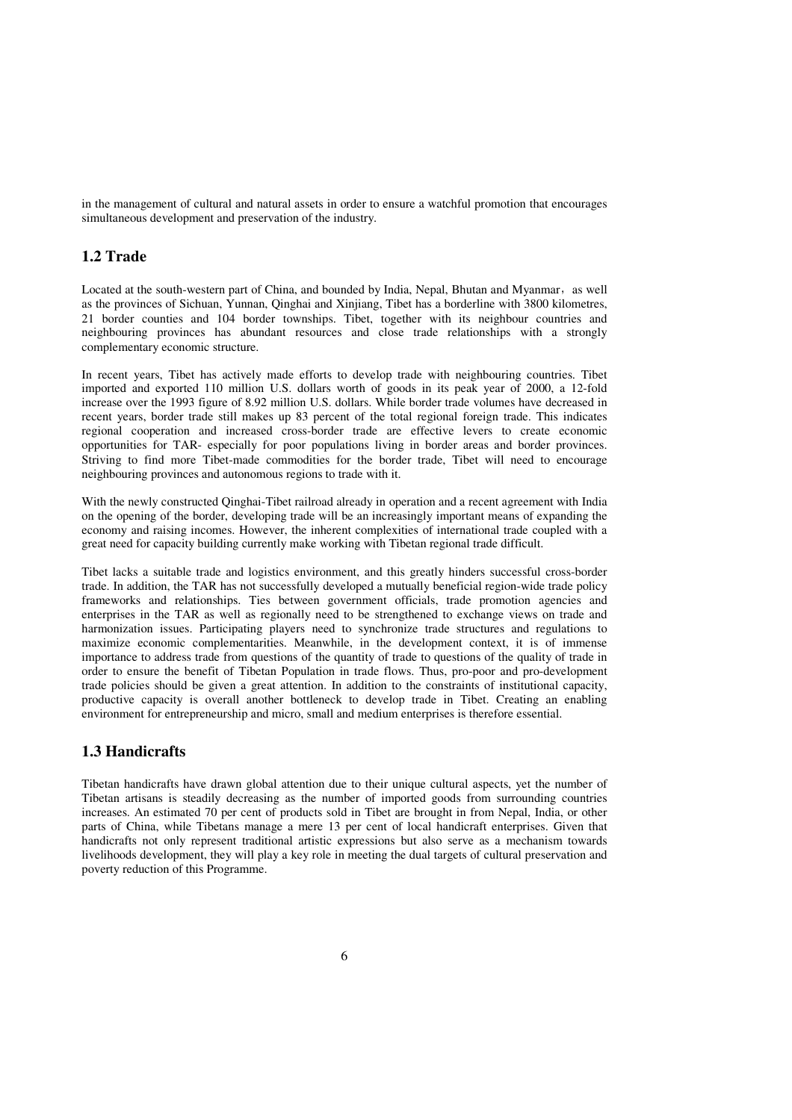in the management of cultural and natural assets in order to ensure a watchful promotion that encourages simultaneous development and preservation of the industry.

# **1.2 Trade**

Located at the south-western part of China, and bounded by India, Nepal, Bhutan and Myanmar, as well as the provinces of Sichuan, Yunnan, Qinghai and Xinjiang, Tibet has a borderline with 3800 kilometres, 21 border counties and 104 border townships. Tibet, together with its neighbour countries and neighbouring provinces has abundant resources and close trade relationships with a strongly complementary economic structure.

In recent years, Tibet has actively made efforts to develop trade with neighbouring countries. Tibet imported and exported 110 million U.S. dollars worth of goods in its peak year of 2000, a 12-fold increase over the 1993 figure of 8.92 million U.S. dollars. While border trade volumes have decreased in recent years, border trade still makes up 83 percent of the total regional foreign trade. This indicates regional cooperation and increased cross-border trade are effective levers to create economic opportunities for TAR- especially for poor populations living in border areas and border provinces. Striving to find more Tibet-made commodities for the border trade, Tibet will need to encourage neighbouring provinces and autonomous regions to trade with it.

With the newly constructed Qinghai-Tibet railroad already in operation and a recent agreement with India on the opening of the border, developing trade will be an increasingly important means of expanding the economy and raising incomes. However, the inherent complexities of international trade coupled with a great need for capacity building currently make working with Tibetan regional trade difficult.

Tibet lacks a suitable trade and logistics environment, and this greatly hinders successful cross-border trade. In addition, the TAR has not successfully developed a mutually beneficial region-wide trade policy frameworks and relationships. Ties between government officials, trade promotion agencies and enterprises in the TAR as well as regionally need to be strengthened to exchange views on trade and harmonization issues. Participating players need to synchronize trade structures and regulations to maximize economic complementarities. Meanwhile, in the development context, it is of immense importance to address trade from questions of the quantity of trade to questions of the quality of trade in order to ensure the benefit of Tibetan Population in trade flows. Thus, pro-poor and pro-development trade policies should be given a great attention. In addition to the constraints of institutional capacity, productive capacity is overall another bottleneck to develop trade in Tibet. Creating an enabling environment for entrepreneurship and micro, small and medium enterprises is therefore essential.

# **1.3 Handicrafts**

Tibetan handicrafts have drawn global attention due to their unique cultural aspects, yet the number of Tibetan artisans is steadily decreasing as the number of imported goods from surrounding countries increases. An estimated 70 per cent of products sold in Tibet are brought in from Nepal, India, or other parts of China, while Tibetans manage a mere 13 per cent of local handicraft enterprises. Given that handicrafts not only represent traditional artistic expressions but also serve as a mechanism towards livelihoods development, they will play a key role in meeting the dual targets of cultural preservation and poverty reduction of this Programme.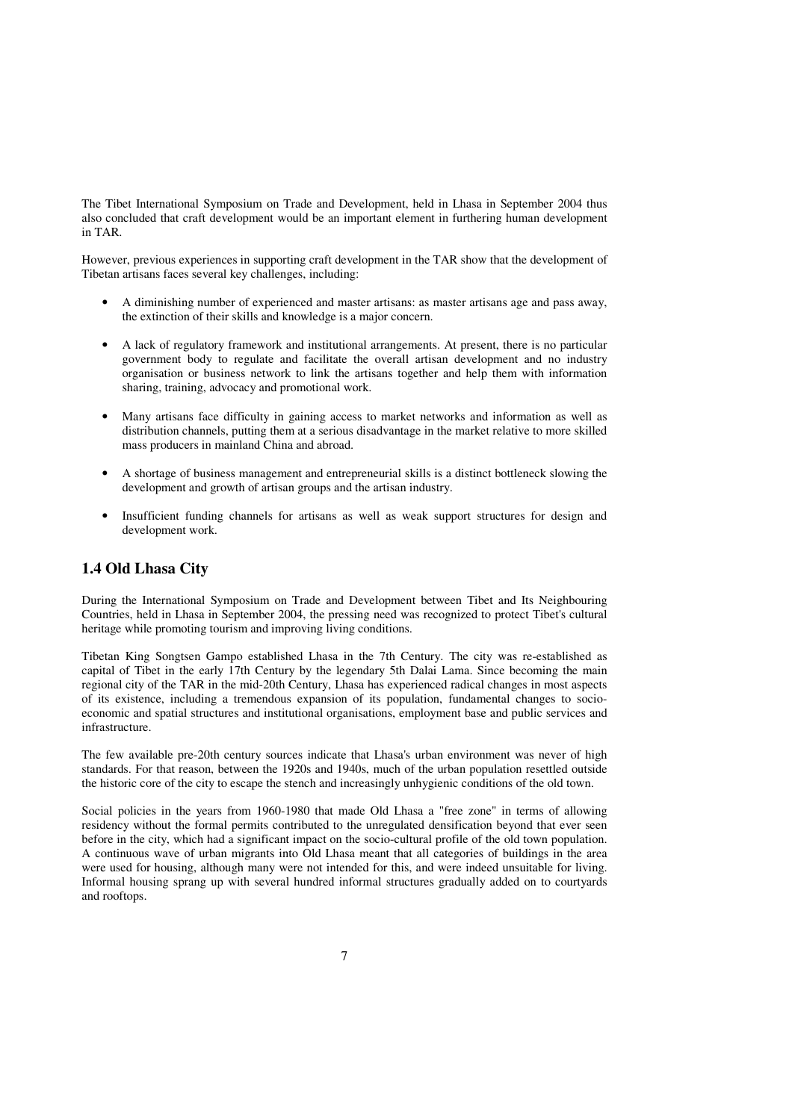The Tibet International Symposium on Trade and Development, held in Lhasa in September 2004 thus also concluded that craft development would be an important element in furthering human development in TAR.

However, previous experiences in supporting craft development in the TAR show that the development of Tibetan artisans faces several key challenges, including:

- A diminishing number of experienced and master artisans: as master artisans age and pass away, the extinction of their skills and knowledge is a major concern.
- A lack of regulatory framework and institutional arrangements. At present, there is no particular government body to regulate and facilitate the overall artisan development and no industry organisation or business network to link the artisans together and help them with information sharing, training, advocacy and promotional work.
- Many artisans face difficulty in gaining access to market networks and information as well as distribution channels, putting them at a serious disadvantage in the market relative to more skilled mass producers in mainland China and abroad.
- A shortage of business management and entrepreneurial skills is a distinct bottleneck slowing the development and growth of artisan groups and the artisan industry.
- Insufficient funding channels for artisans as well as weak support structures for design and development work.

### **1.4 Old Lhasa City**

During the International Symposium on Trade and Development between Tibet and Its Neighbouring Countries, held in Lhasa in September 2004, the pressing need was recognized to protect Tibet's cultural heritage while promoting tourism and improving living conditions.

Tibetan King Songtsen Gampo established Lhasa in the 7th Century. The city was re-established as capital of Tibet in the early 17th Century by the legendary 5th Dalai Lama. Since becoming the main regional city of the TAR in the mid-20th Century, Lhasa has experienced radical changes in most aspects of its existence, including a tremendous expansion of its population, fundamental changes to socioeconomic and spatial structures and institutional organisations, employment base and public services and infrastructure.

The few available pre-20th century sources indicate that Lhasa's urban environment was never of high standards. For that reason, between the 1920s and 1940s, much of the urban population resettled outside the historic core of the city to escape the stench and increasingly unhygienic conditions of the old town.

Social policies in the years from 1960-1980 that made Old Lhasa a "free zone" in terms of allowing residency without the formal permits contributed to the unregulated densification beyond that ever seen before in the city, which had a significant impact on the socio-cultural profile of the old town population. A continuous wave of urban migrants into Old Lhasa meant that all categories of buildings in the area were used for housing, although many were not intended for this, and were indeed unsuitable for living. Informal housing sprang up with several hundred informal structures gradually added on to courtyards and rooftops.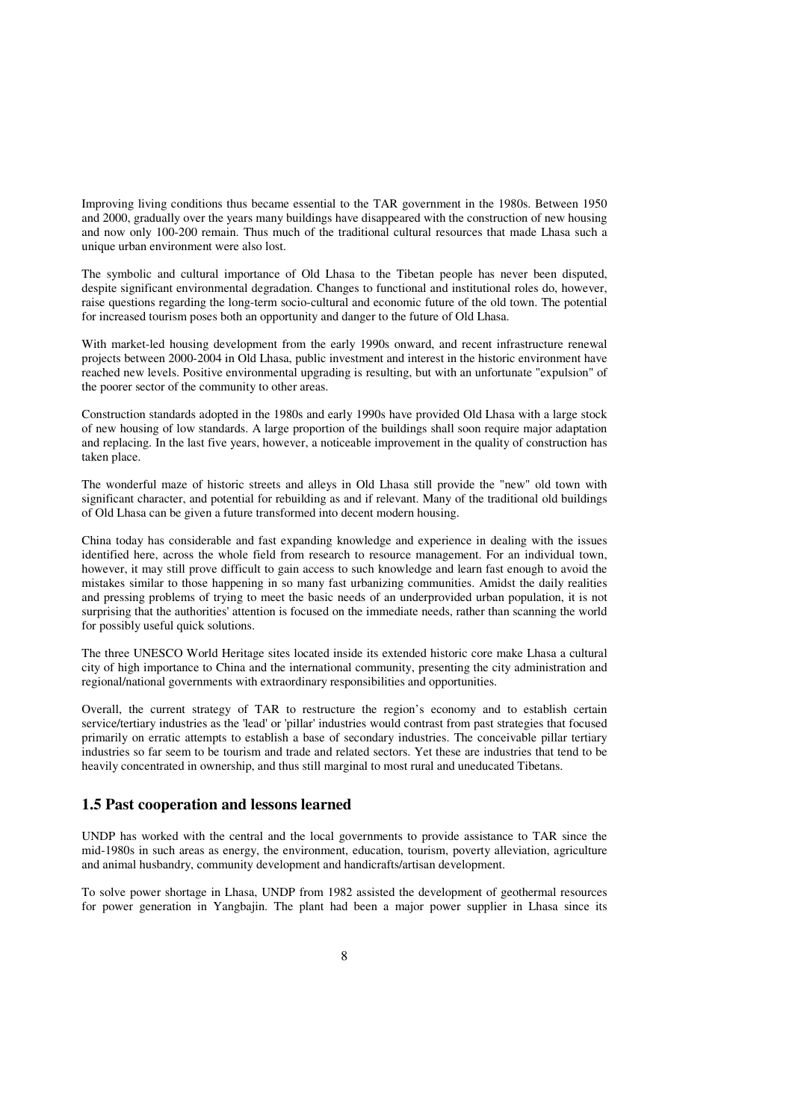Improving living conditions thus became essential to the TAR government in the 1980s. Between 1950 and 2000, gradually over the years many buildings have disappeared with the construction of new housing and now only 100-200 remain. Thus much of the traditional cultural resources that made Lhasa such a unique urban environment were also lost.

The symbolic and cultural importance of Old Lhasa to the Tibetan people has never been disputed, despite significant environmental degradation. Changes to functional and institutional roles do, however, raise questions regarding the long-term socio-cultural and economic future of the old town. The potential for increased tourism poses both an opportunity and danger to the future of Old Lhasa.

With market-led housing development from the early 1990s onward, and recent infrastructure renewal projects between 2000-2004 in Old Lhasa, public investment and interest in the historic environment have reached new levels. Positive environmental upgrading is resulting, but with an unfortunate "expulsion" of the poorer sector of the community to other areas.

Construction standards adopted in the 1980s and early 1990s have provided Old Lhasa with a large stock of new housing of low standards. A large proportion of the buildings shall soon require major adaptation and replacing. In the last five years, however, a noticeable improvement in the quality of construction has taken place.

The wonderful maze of historic streets and alleys in Old Lhasa still provide the "new" old town with significant character, and potential for rebuilding as and if relevant. Many of the traditional old buildings of Old Lhasa can be given a future transformed into decent modern housing.

China today has considerable and fast expanding knowledge and experience in dealing with the issues identified here, across the whole field from research to resource management. For an individual town, however, it may still prove difficult to gain access to such knowledge and learn fast enough to avoid the mistakes similar to those happening in so many fast urbanizing communities. Amidst the daily realities and pressing problems of trying to meet the basic needs of an underprovided urban population, it is not surprising that the authorities' attention is focused on the immediate needs, rather than scanning the world for possibly useful quick solutions.

The three UNESCO World Heritage sites located inside its extended historic core make Lhasa a cultural city of high importance to China and the international community, presenting the city administration and regional/national governments with extraordinary responsibilities and opportunities.

Overall, the current strategy of TAR to restructure the region's economy and to establish certain service/tertiary industries as the 'lead' or 'pillar' industries would contrast from past strategies that focused primarily on erratic attempts to establish a base of secondary industries. The conceivable pillar tertiary industries so far seem to be tourism and trade and related sectors. Yet these are industries that tend to be heavily concentrated in ownership, and thus still marginal to most rural and uneducated Tibetans.

#### **1.5 Past cooperation and lessons learned**

UNDP has worked with the central and the local governments to provide assistance to TAR since the mid-1980s in such areas as energy, the environment, education, tourism, poverty alleviation, agriculture and animal husbandry, community development and handicrafts/artisan development.

To solve power shortage in Lhasa, UNDP from 1982 assisted the development of geothermal resources for power generation in Yangbajin. The plant had been a major power supplier in Lhasa since its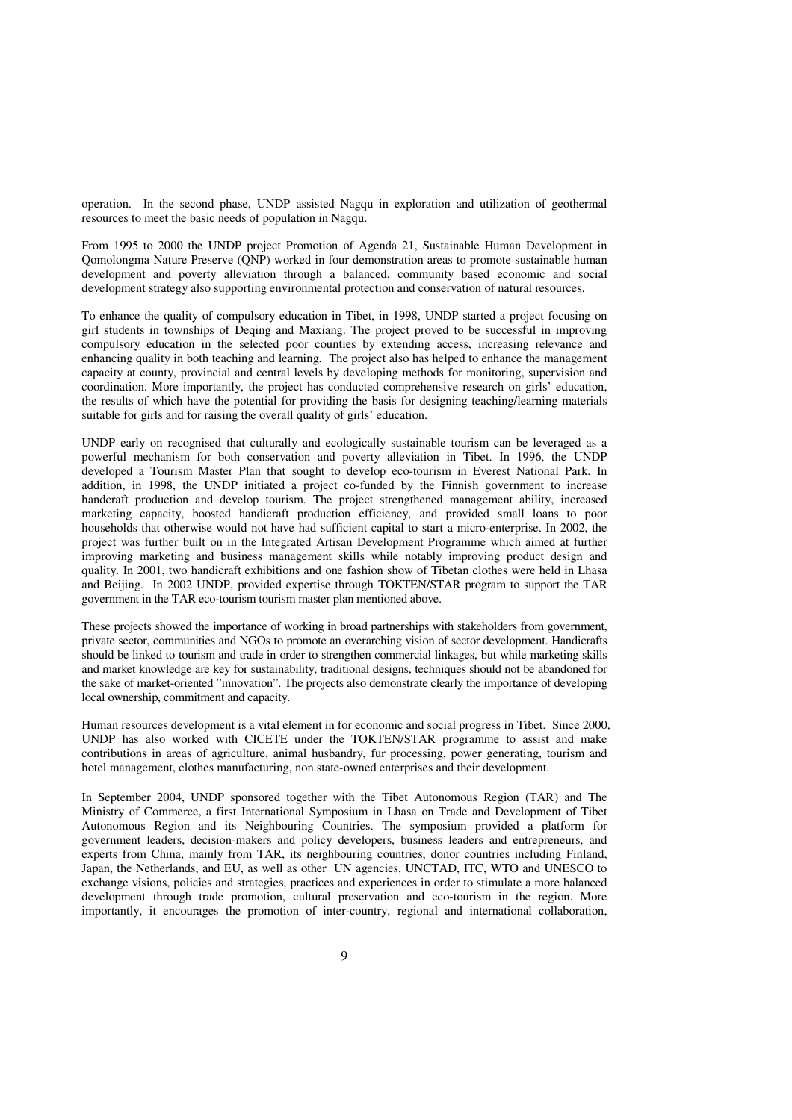operation. In the second phase, UNDP assisted Nagqu in exploration and utilization of geothermal resources to meet the basic needs of population in Nagqu.

From 1995 to 2000 the UNDP project Promotion of Agenda 21, Sustainable Human Development in Qomolongma Nature Preserve (QNP) worked in four demonstration areas to promote sustainable human development and poverty alleviation through a balanced, community based economic and social development strategy also supporting environmental protection and conservation of natural resources.

To enhance the quality of compulsory education in Tibet, in 1998, UNDP started a project focusing on girl students in townships of Deqing and Maxiang. The project proved to be successful in improving compulsory education in the selected poor counties by extending access, increasing relevance and enhancing quality in both teaching and learning. The project also has helped to enhance the management capacity at county, provincial and central levels by developing methods for monitoring, supervision and coordination. More importantly, the project has conducted comprehensive research on girls' education, the results of which have the potential for providing the basis for designing teaching/learning materials suitable for girls and for raising the overall quality of girls' education.

UNDP early on recognised that culturally and ecologically sustainable tourism can be leveraged as a powerful mechanism for both conservation and poverty alleviation in Tibet. In 1996, the UNDP developed a Tourism Master Plan that sought to develop eco-tourism in Everest National Park. In addition, in 1998, the UNDP initiated a project co-funded by the Finnish government to increase handcraft production and develop tourism. The project strengthened management ability, increased marketing capacity, boosted handicraft production efficiency, and provided small loans to poor households that otherwise would not have had sufficient capital to start a micro-enterprise. In 2002, the project was further built on in the Integrated Artisan Development Programme which aimed at further improving marketing and business management skills while notably improving product design and quality. In 2001, two handicraft exhibitions and one fashion show of Tibetan clothes were held in Lhasa and Beijing. In 2002 UNDP, provided expertise through TOKTEN/STAR program to support the TAR government in the TAR eco-tourism tourism master plan mentioned above.

These projects showed the importance of working in broad partnerships with stakeholders from government, private sector, communities and NGOs to promote an overarching vision of sector development. Handicrafts should be linked to tourism and trade in order to strengthen commercial linkages, but while marketing skills and market knowledge are key for sustainability, traditional designs, techniques should not be abandoned for the sake of market-oriented "innovation". The projects also demonstrate clearly the importance of developing local ownership, commitment and capacity.

Human resources development is a vital element in for economic and social progress in Tibet. Since 2000, UNDP has also worked with CICETE under the TOKTEN/STAR programme to assist and make contributions in areas of agriculture, animal husbandry, fur processing, power generating, tourism and hotel management, clothes manufacturing, non state-owned enterprises and their development.

In September 2004, UNDP sponsored together with the Tibet Autonomous Region (TAR) and The Ministry of Commerce, a first International Symposium in Lhasa on Trade and Development of Tibet Autonomous Region and its Neighbouring Countries. The symposium provided a platform for government leaders, decision-makers and policy developers, business leaders and entrepreneurs, and experts from China, mainly from TAR, its neighbouring countries, donor countries including Finland, Japan, the Netherlands, and EU, as well as other UN agencies, UNCTAD, ITC, WTO and UNESCO to exchange visions, policies and strategies, practices and experiences in order to stimulate a more balanced development through trade promotion, cultural preservation and eco-tourism in the region. More importantly, it encourages the promotion of inter-country, regional and international collaboration,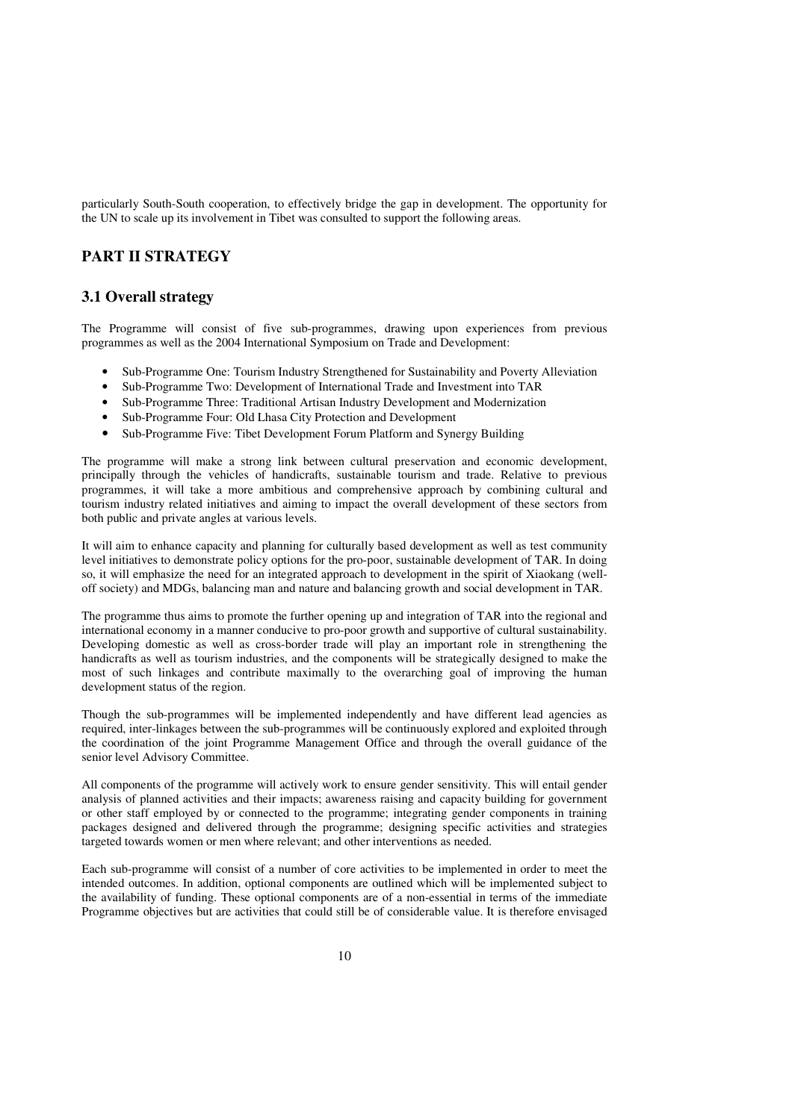particularly South-South cooperation, to effectively bridge the gap in development. The opportunity for the UN to scale up its involvement in Tibet was consulted to support the following areas.

# **PART II STRATEGY**

# **3.1 Overall strategy**

The Programme will consist of five sub-programmes, drawing upon experiences from previous programmes as well as the 2004 International Symposium on Trade and Development:

- Sub-Programme One: Tourism Industry Strengthened for Sustainability and Poverty Alleviation
- Sub-Programme Two: Development of International Trade and Investment into TAR
- Sub-Programme Three: Traditional Artisan Industry Development and Modernization
- Sub-Programme Four: Old Lhasa City Protection and Development
- Sub-Programme Five: Tibet Development Forum Platform and Synergy Building

The programme will make a strong link between cultural preservation and economic development, principally through the vehicles of handicrafts, sustainable tourism and trade. Relative to previous programmes, it will take a more ambitious and comprehensive approach by combining cultural and tourism industry related initiatives and aiming to impact the overall development of these sectors from both public and private angles at various levels.

It will aim to enhance capacity and planning for culturally based development as well as test community level initiatives to demonstrate policy options for the pro-poor, sustainable development of TAR. In doing so, it will emphasize the need for an integrated approach to development in the spirit of Xiaokang (welloff society) and MDGs, balancing man and nature and balancing growth and social development in TAR.

The programme thus aims to promote the further opening up and integration of TAR into the regional and international economy in a manner conducive to pro-poor growth and supportive of cultural sustainability. Developing domestic as well as cross-border trade will play an important role in strengthening the handicrafts as well as tourism industries, and the components will be strategically designed to make the most of such linkages and contribute maximally to the overarching goal of improving the human development status of the region.

Though the sub-programmes will be implemented independently and have different lead agencies as required, inter-linkages between the sub-programmes will be continuously explored and exploited through the coordination of the joint Programme Management Office and through the overall guidance of the senior level Advisory Committee.

All components of the programme will actively work to ensure gender sensitivity. This will entail gender analysis of planned activities and their impacts; awareness raising and capacity building for government or other staff employed by or connected to the programme; integrating gender components in training packages designed and delivered through the programme; designing specific activities and strategies targeted towards women or men where relevant; and other interventions as needed.

Each sub-programme will consist of a number of core activities to be implemented in order to meet the intended outcomes. In addition, optional components are outlined which will be implemented subject to the availability of funding. These optional components are of a non-essential in terms of the immediate Programme objectives but are activities that could still be of considerable value. It is therefore envisaged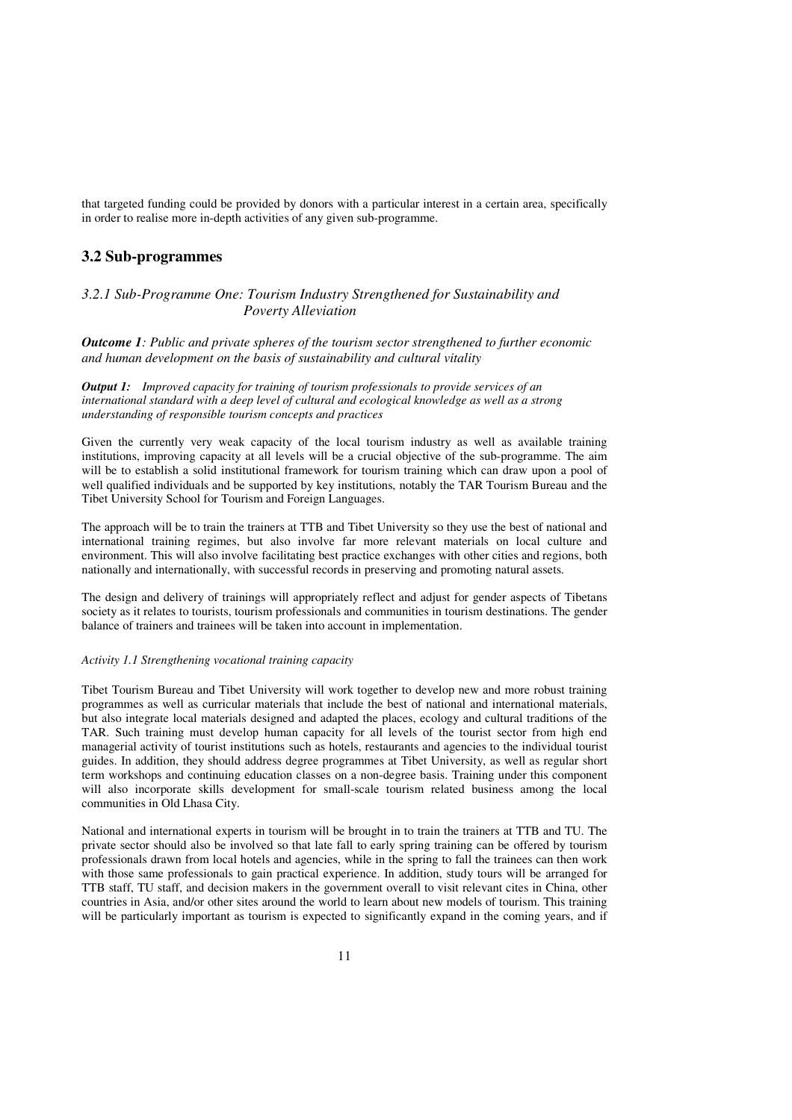that targeted funding could be provided by donors with a particular interest in a certain area, specifically in order to realise more in-depth activities of any given sub-programme.

### **3.2 Sub-programmes**

### *3.2.1 Sub-Programme One: Tourism Industry Strengthened for Sustainability and Poverty Alleviation*

*Outcome 1: Public and private spheres of the tourism sector strengthened to further economic and human development on the basis of sustainability and cultural vitality*

*Output 1: Improved capacity for training of tourism professionals to provide services of an international standard with a deep level of cultural and ecological knowledge as well as a strong understanding of responsible tourism concepts and practices*

Given the currently very weak capacity of the local tourism industry as well as available training institutions, improving capacity at all levels will be a crucial objective of the sub-programme. The aim will be to establish a solid institutional framework for tourism training which can draw upon a pool of well qualified individuals and be supported by key institutions, notably the TAR Tourism Bureau and the Tibet University School for Tourism and Foreign Languages.

The approach will be to train the trainers at TTB and Tibet University so they use the best of national and international training regimes, but also involve far more relevant materials on local culture and environment. This will also involve facilitating best practice exchanges with other cities and regions, both nationally and internationally, with successful records in preserving and promoting natural assets.

The design and delivery of trainings will appropriately reflect and adjust for gender aspects of Tibetans society as it relates to tourists, tourism professionals and communities in tourism destinations. The gender balance of trainers and trainees will be taken into account in implementation.

#### *Activity 1.1 Strengthening vocational training capacity*

Tibet Tourism Bureau and Tibet University will work together to develop new and more robust training programmes as well as curricular materials that include the best of national and international materials, but also integrate local materials designed and adapted the places, ecology and cultural traditions of the TAR. Such training must develop human capacity for all levels of the tourist sector from high end managerial activity of tourist institutions such as hotels, restaurants and agencies to the individual tourist guides. In addition, they should address degree programmes at Tibet University, as well as regular short term workshops and continuing education classes on a non-degree basis. Training under this component will also incorporate skills development for small-scale tourism related business among the local communities in Old Lhasa City.

National and international experts in tourism will be brought in to train the trainers at TTB and TU. The private sector should also be involved so that late fall to early spring training can be offered by tourism professionals drawn from local hotels and agencies, while in the spring to fall the trainees can then work with those same professionals to gain practical experience. In addition, study tours will be arranged for TTB staff, TU staff, and decision makers in the government overall to visit relevant cites in China, other countries in Asia, and/or other sites around the world to learn about new models of tourism. This training will be particularly important as tourism is expected to significantly expand in the coming years, and if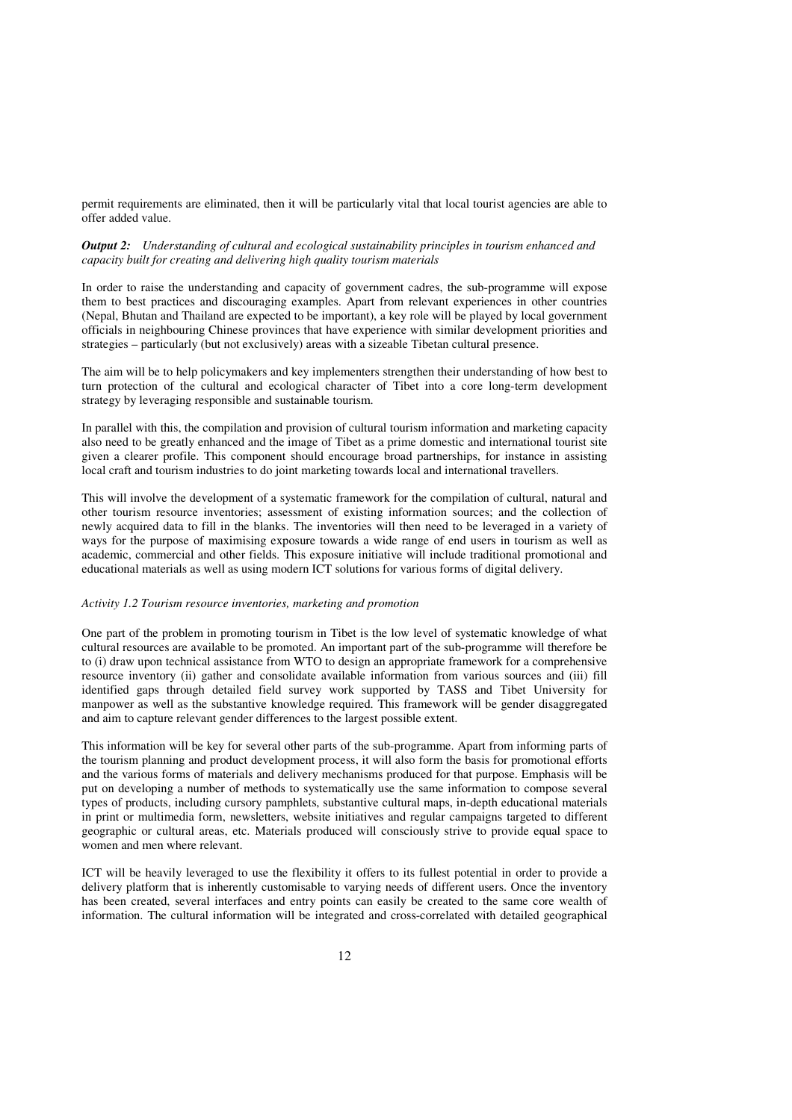permit requirements are eliminated, then it will be particularly vital that local tourist agencies are able to offer added value.

#### *Output 2: Understanding of cultural and ecological sustainability principles in tourism enhanced and capacity built for creating and delivering high quality tourism materials*

In order to raise the understanding and capacity of government cadres, the sub-programme will expose them to best practices and discouraging examples. Apart from relevant experiences in other countries (Nepal, Bhutan and Thailand are expected to be important), a key role will be played by local government officials in neighbouring Chinese provinces that have experience with similar development priorities and strategies – particularly (but not exclusively) areas with a sizeable Tibetan cultural presence.

The aim will be to help policymakers and key implementers strengthen their understanding of how best to turn protection of the cultural and ecological character of Tibet into a core long-term development strategy by leveraging responsible and sustainable tourism.

In parallel with this, the compilation and provision of cultural tourism information and marketing capacity also need to be greatly enhanced and the image of Tibet as a prime domestic and international tourist site given a clearer profile. This component should encourage broad partnerships, for instance in assisting local craft and tourism industries to do joint marketing towards local and international travellers.

This will involve the development of a systematic framework for the compilation of cultural, natural and other tourism resource inventories; assessment of existing information sources; and the collection of newly acquired data to fill in the blanks. The inventories will then need to be leveraged in a variety of ways for the purpose of maximising exposure towards a wide range of end users in tourism as well as academic, commercial and other fields. This exposure initiative will include traditional promotional and educational materials as well as using modern ICT solutions for various forms of digital delivery.

#### *Activity 1.2 Tourism resource inventories, marketing and promotion*

One part of the problem in promoting tourism in Tibet is the low level of systematic knowledge of what cultural resources are available to be promoted. An important part of the sub-programme will therefore be to (i) draw upon technical assistance from WTO to design an appropriate framework for a comprehensive resource inventory (ii) gather and consolidate available information from various sources and (iii) fill identified gaps through detailed field survey work supported by TASS and Tibet University for manpower as well as the substantive knowledge required. This framework will be gender disaggregated and aim to capture relevant gender differences to the largest possible extent.

This information will be key for several other parts of the sub-programme. Apart from informing parts of the tourism planning and product development process, it will also form the basis for promotional efforts and the various forms of materials and delivery mechanisms produced for that purpose. Emphasis will be put on developing a number of methods to systematically use the same information to compose several types of products, including cursory pamphlets, substantive cultural maps, in-depth educational materials in print or multimedia form, newsletters, website initiatives and regular campaigns targeted to different geographic or cultural areas, etc. Materials produced will consciously strive to provide equal space to women and men where relevant.

ICT will be heavily leveraged to use the flexibility it offers to its fullest potential in order to provide a delivery platform that is inherently customisable to varying needs of different users. Once the inventory has been created, several interfaces and entry points can easily be created to the same core wealth of information. The cultural information will be integrated and cross-correlated with detailed geographical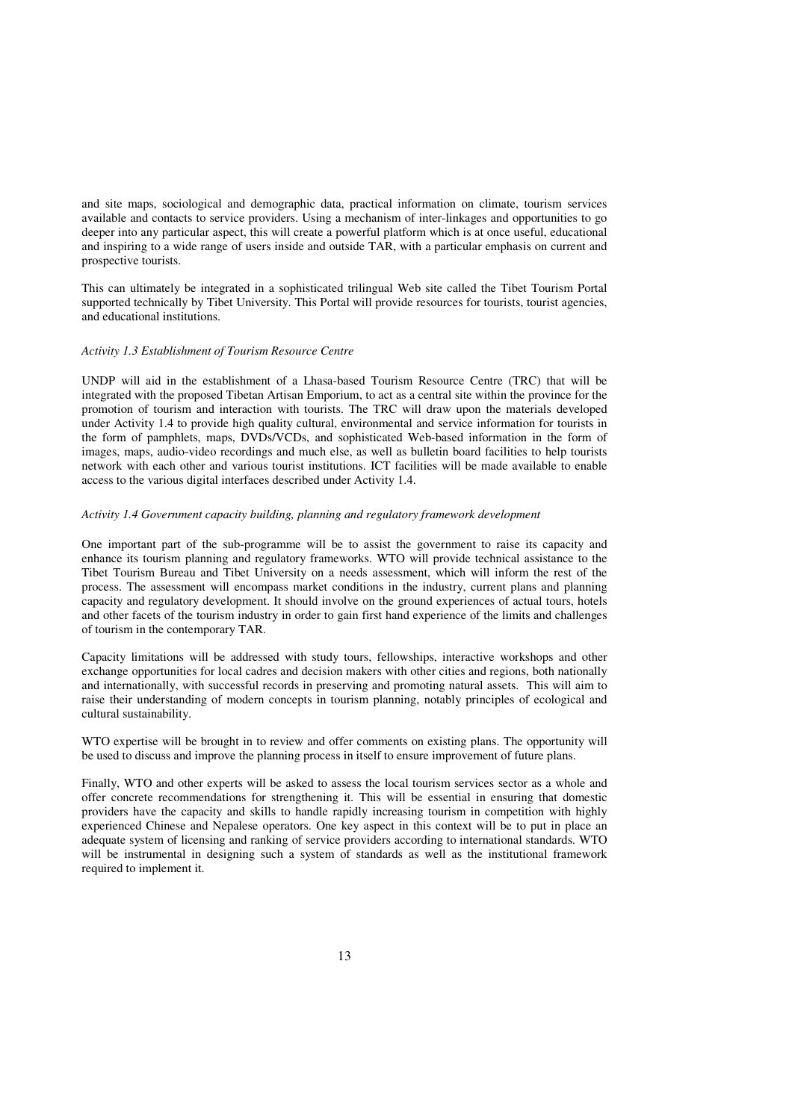and site maps, sociological and demographic data, practical information on climate, tourism services available and contacts to service providers. Using a mechanism of inter-linkages and opportunities to go deeper into any particular aspect, this will create a powerful platform which is at once useful, educational and inspiring to a wide range of users inside and outside TAR, with a particular emphasis on current and prospective tourists.

This can ultimately be integrated in a sophisticated trilingual Web site called the Tibet Tourism Portal supported technically by Tibet University. This Portal will provide resources for tourists, tourist agencies, and educational institutions.

#### *Activity 1.3 Establishment of Tourism Resource Centre*

UNDP will aid in the establishment of a Lhasa-based Tourism Resource Centre (TRC) that will be integrated with the proposed Tibetan Artisan Emporium, to act as a central site within the province for the promotion of tourism and interaction with tourists. The TRC will draw upon the materials developed under Activity 1.4 to provide high quality cultural, environmental and service information for tourists in the form of pamphlets, maps, DVDs/VCDs, and sophisticated Web-based information in the form of images, maps, audio-video recordings and much else, as well as bulletin board facilities to help tourists network with each other and various tourist institutions. ICT facilities will be made available to enable access to the various digital interfaces described under Activity 1.4.

#### *Activity 1.4 Government capacity building, planning and regulatory framework development*

One important part of the sub-programme will be to assist the government to raise its capacity and enhance its tourism planning and regulatory frameworks. WTO will provide technical assistance to the Tibet Tourism Bureau and Tibet University on a needs assessment, which will inform the rest of the process. The assessment will encompass market conditions in the industry, current plans and planning capacity and regulatory development. It should involve on the ground experiences of actual tours, hotels and other facets of the tourism industry in order to gain first hand experience of the limits and challenges of tourism in the contemporary TAR.

Capacity limitations will be addressed with study tours, fellowships, interactive workshops and other exchange opportunities for local cadres and decision makers with other cities and regions, both nationally and internationally, with successful records in preserving and promoting natural assets. This will aim to raise their understanding of modern concepts in tourism planning, notably principles of ecological and cultural sustainability.

WTO expertise will be brought in to review and offer comments on existing plans. The opportunity will be used to discuss and improve the planning process in itself to ensure improvement of future plans.

Finally, WTO and other experts will be asked to assess the local tourism services sector as a whole and offer concrete recommendations for strengthening it. This will be essential in ensuring that domestic providers have the capacity and skills to handle rapidly increasing tourism in competition with highly experienced Chinese and Nepalese operators. One key aspect in this context will be to put in place an adequate system of licensing and ranking of service providers according to international standards. WTO will be instrumental in designing such a system of standards as well as the institutional framework required to implement it.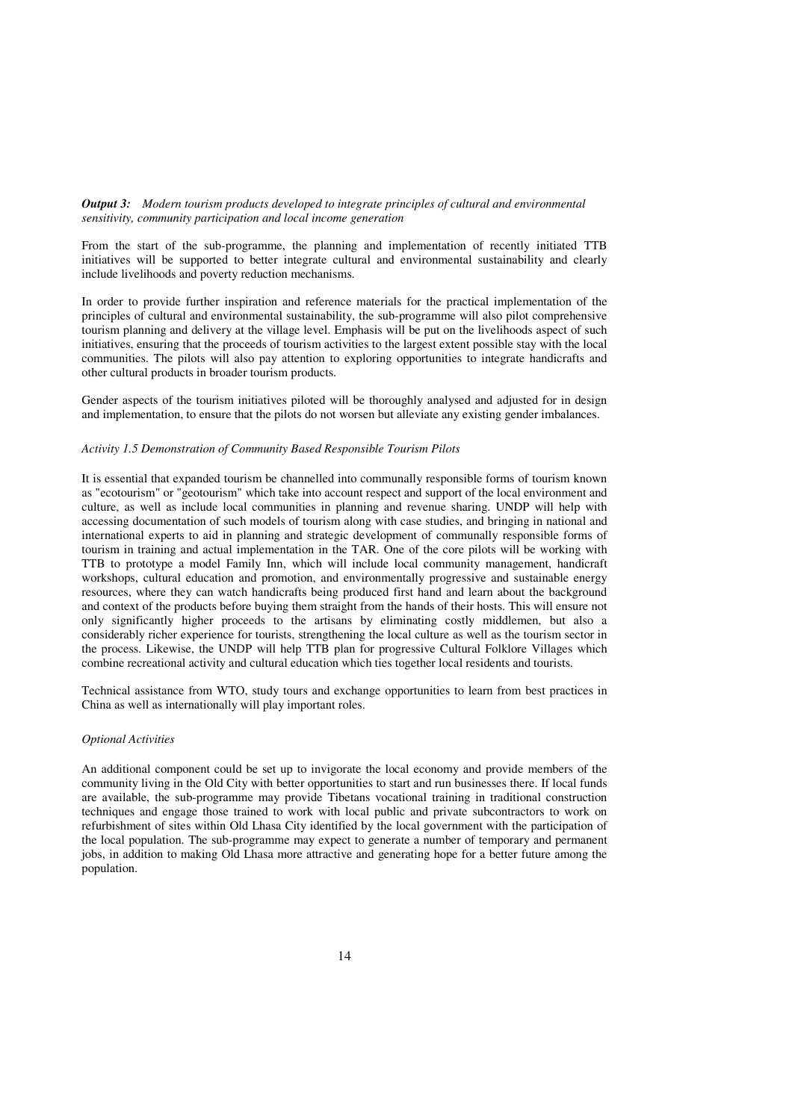#### *Output 3: Modern tourism products developed to integrate principles of cultural and environmental sensitivity, community participation and local income generation*

From the start of the sub-programme, the planning and implementation of recently initiated TTB initiatives will be supported to better integrate cultural and environmental sustainability and clearly include livelihoods and poverty reduction mechanisms.

In order to provide further inspiration and reference materials for the practical implementation of the principles of cultural and environmental sustainability, the sub-programme will also pilot comprehensive tourism planning and delivery at the village level. Emphasis will be put on the livelihoods aspect of such initiatives, ensuring that the proceeds of tourism activities to the largest extent possible stay with the local communities. The pilots will also pay attention to exploring opportunities to integrate handicrafts and other cultural products in broader tourism products.

Gender aspects of the tourism initiatives piloted will be thoroughly analysed and adjusted for in design and implementation, to ensure that the pilots do not worsen but alleviate any existing gender imbalances.

#### *Activity 1.5 Demonstration of Community Based Responsible Tourism Pilots*

It is essential that expanded tourism be channelled into communally responsible forms of tourism known as "ecotourism" or "geotourism" which take into account respect and support of the local environment and culture, as well as include local communities in planning and revenue sharing. UNDP will help with accessing documentation of such models of tourism along with case studies, and bringing in national and international experts to aid in planning and strategic development of communally responsible forms of tourism in training and actual implementation in the TAR. One of the core pilots will be working with TTB to prototype a model Family Inn, which will include local community management, handicraft workshops, cultural education and promotion, and environmentally progressive and sustainable energy resources, where they can watch handicrafts being produced first hand and learn about the background and context of the products before buying them straight from the hands of their hosts. This will ensure not only significantly higher proceeds to the artisans by eliminating costly middlemen, but also a considerably richer experience for tourists, strengthening the local culture as well as the tourism sector in the process. Likewise, the UNDP will help TTB plan for progressive Cultural Folklore Villages which combine recreational activity and cultural education which ties together local residents and tourists.

Technical assistance from WTO, study tours and exchange opportunities to learn from best practices in China as well as internationally will play important roles.

#### *Optional Activities*

An additional component could be set up to invigorate the local economy and provide members of the community living in the Old City with better opportunities to start and run businesses there. If local funds are available, the sub-programme may provide Tibetans vocational training in traditional construction techniques and engage those trained to work with local public and private subcontractors to work on refurbishment of sites within Old Lhasa City identified by the local government with the participation of the local population. The sub-programme may expect to generate a number of temporary and permanent jobs, in addition to making Old Lhasa more attractive and generating hope for a better future among the population.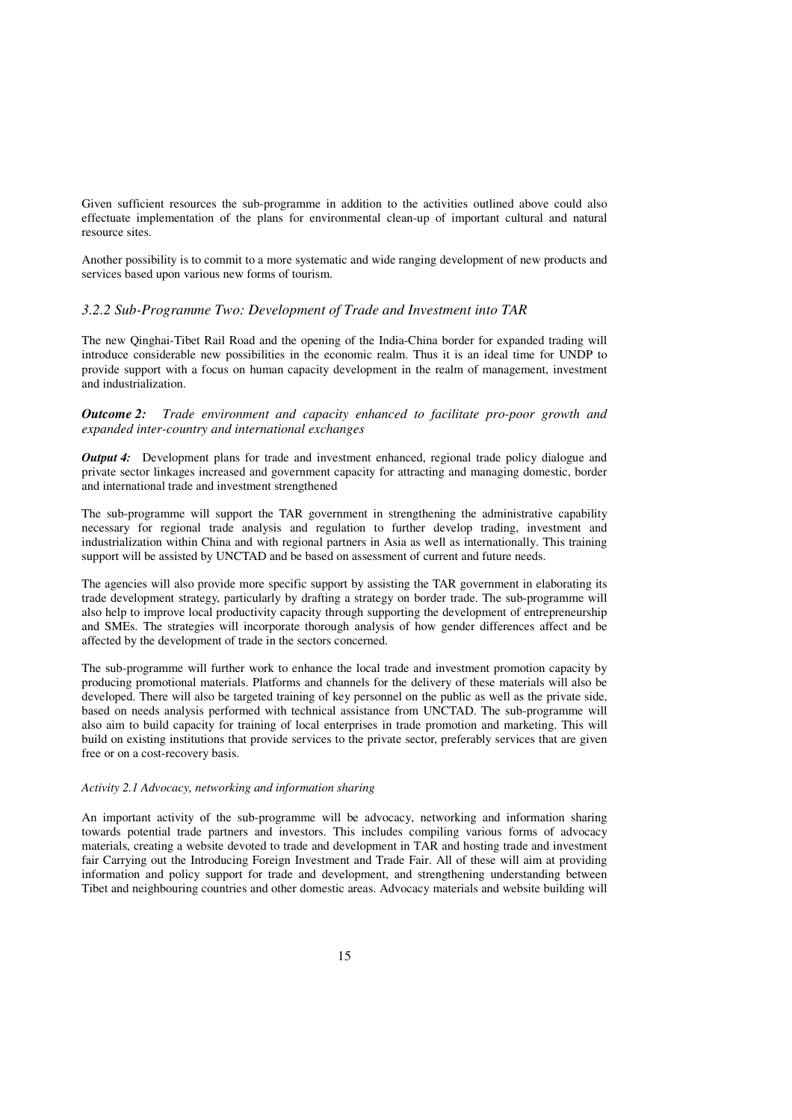Given sufficient resources the sub-programme in addition to the activities outlined above could also effectuate implementation of the plans for environmental clean-up of important cultural and natural resource sites.

Another possibility is to commit to a more systematic and wide ranging development of new products and services based upon various new forms of tourism.

#### *3.2.2 Sub-Programme Two: Development of Trade and Investment into TAR*

The new Qinghai-Tibet Rail Road and the opening of the India-China border for expanded trading will introduce considerable new possibilities in the economic realm. Thus it is an ideal time for UNDP to provide support with a focus on human capacity development in the realm of management, investment and industrialization.

*Outcome 2: Trade environment and capacity enhanced to facilitate pro-poor growth and expanded inter-country and international exchanges* 

*Output 4:* Development plans for trade and investment enhanced, regional trade policy dialogue and private sector linkages increased and government capacity for attracting and managing domestic, border and international trade and investment strengthened

The sub-programme will support the TAR government in strengthening the administrative capability necessary for regional trade analysis and regulation to further develop trading, investment and industrialization within China and with regional partners in Asia as well as internationally. This training support will be assisted by UNCTAD and be based on assessment of current and future needs.

The agencies will also provide more specific support by assisting the TAR government in elaborating its trade development strategy, particularly by drafting a strategy on border trade. The sub-programme will also help to improve local productivity capacity through supporting the development of entrepreneurship and SMEs. The strategies will incorporate thorough analysis of how gender differences affect and be affected by the development of trade in the sectors concerned.

The sub-programme will further work to enhance the local trade and investment promotion capacity by producing promotional materials. Platforms and channels for the delivery of these materials will also be developed. There will also be targeted training of key personnel on the public as well as the private side, based on needs analysis performed with technical assistance from UNCTAD. The sub-programme will also aim to build capacity for training of local enterprises in trade promotion and marketing. This will build on existing institutions that provide services to the private sector, preferably services that are given free or on a cost-recovery basis.

#### *Activity 2.1 Advocacy, networking and information sharing*

An important activity of the sub-programme will be advocacy, networking and information sharing towards potential trade partners and investors. This includes compiling various forms of advocacy materials, creating a website devoted to trade and development in TAR and hosting trade and investment fair Carrying out the Introducing Foreign Investment and Trade Fair. All of these will aim at providing information and policy support for trade and development, and strengthening understanding between Tibet and neighbouring countries and other domestic areas. Advocacy materials and website building will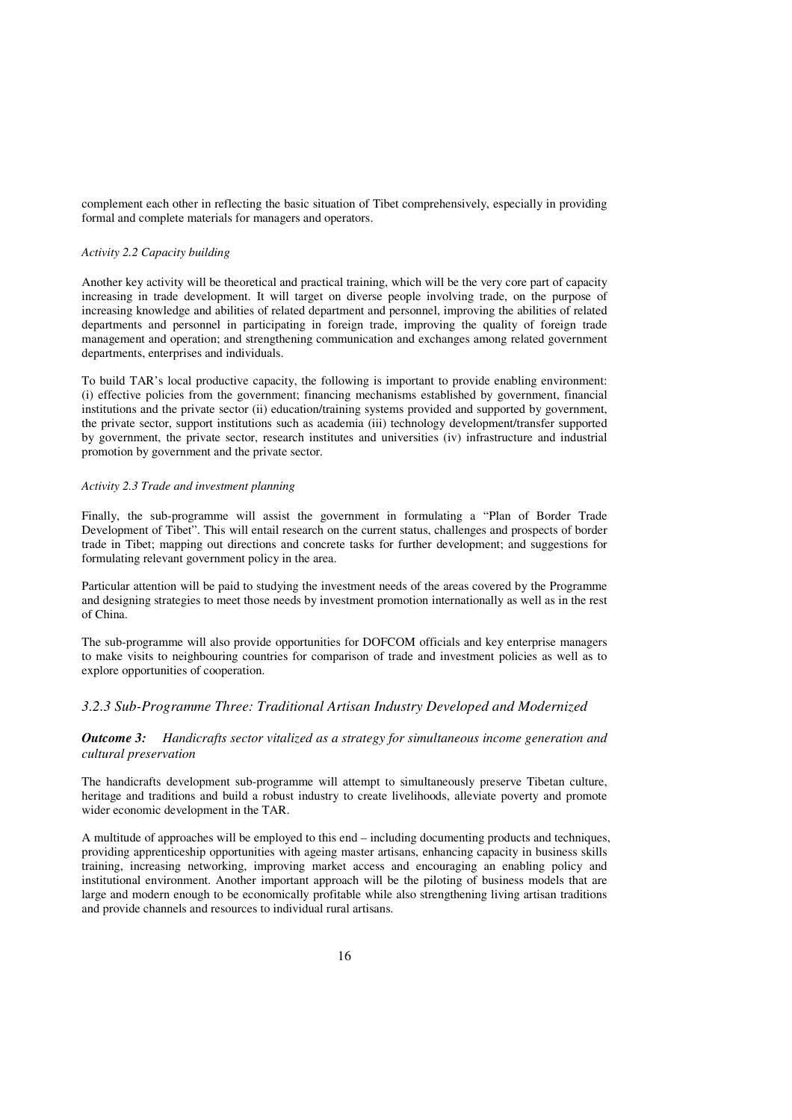complement each other in reflecting the basic situation of Tibet comprehensively, especially in providing formal and complete materials for managers and operators.

#### *Activity 2.2 Capacity building*

Another key activity will be theoretical and practical training, which will be the very core part of capacity increasing in trade development. It will target on diverse people involving trade, on the purpose of increasing knowledge and abilities of related department and personnel, improving the abilities of related departments and personnel in participating in foreign trade, improving the quality of foreign trade management and operation; and strengthening communication and exchanges among related government departments, enterprises and individuals.

To build TAR's local productive capacity, the following is important to provide enabling environment: (i) effective policies from the government; financing mechanisms established by government, financial institutions and the private sector (ii) education/training systems provided and supported by government, the private sector, support institutions such as academia (iii) technology development/transfer supported by government, the private sector, research institutes and universities (iv) infrastructure and industrial promotion by government and the private sector.

#### *Activity 2.3 Trade and investment planning*

Finally, the sub-programme will assist the government in formulating a "Plan of Border Trade Development of Tibet". This will entail research on the current status, challenges and prospects of border trade in Tibet; mapping out directions and concrete tasks for further development; and suggestions for formulating relevant government policy in the area.

Particular attention will be paid to studying the investment needs of the areas covered by the Programme and designing strategies to meet those needs by investment promotion internationally as well as in the rest of China.

The sub-programme will also provide opportunities for DOFCOM officials and key enterprise managers to make visits to neighbouring countries for comparison of trade and investment policies as well as to explore opportunities of cooperation.

### *3.2.3 Sub-Programme Three: Traditional Artisan Industry Developed and Modernized*

#### *Outcome 3: Handicrafts sector vitalized as a strategy for simultaneous income generation and cultural preservation*

The handicrafts development sub-programme will attempt to simultaneously preserve Tibetan culture, heritage and traditions and build a robust industry to create livelihoods, alleviate poverty and promote wider economic development in the TAR.

A multitude of approaches will be employed to this end – including documenting products and techniques, providing apprenticeship opportunities with ageing master artisans, enhancing capacity in business skills training, increasing networking, improving market access and encouraging an enabling policy and institutional environment. Another important approach will be the piloting of business models that are large and modern enough to be economically profitable while also strengthening living artisan traditions and provide channels and resources to individual rural artisans.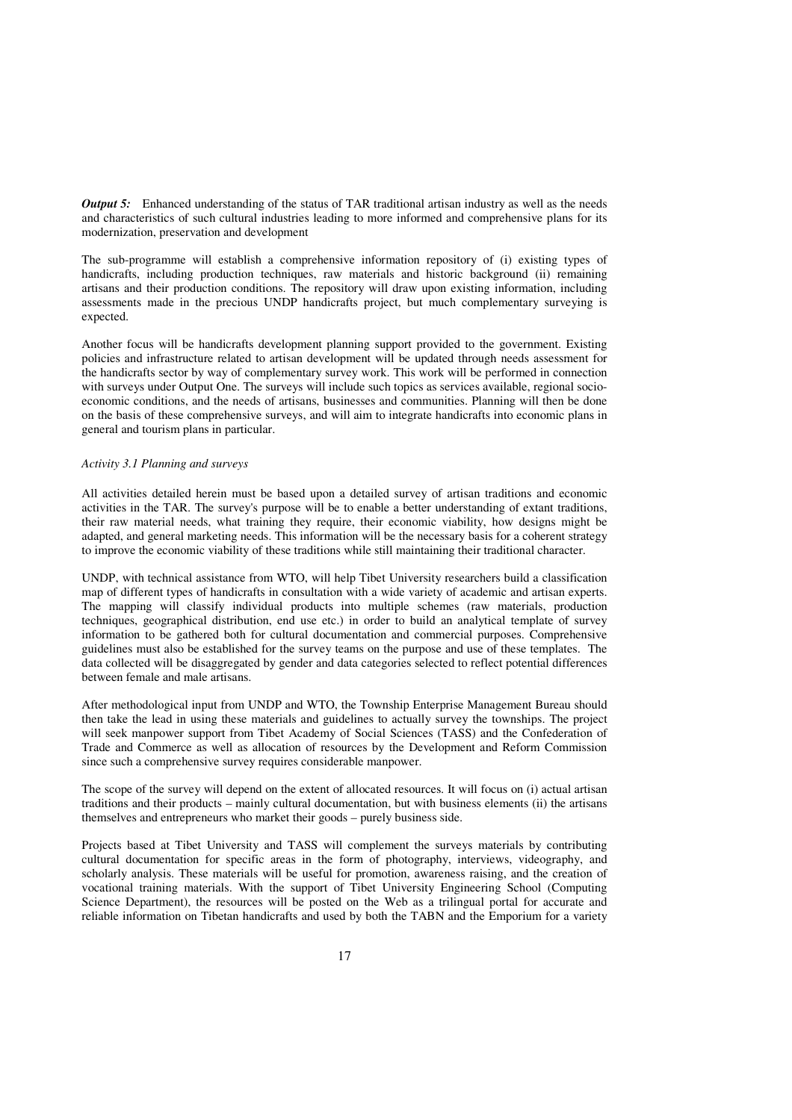*Output 5:* Enhanced understanding of the status of TAR traditional artisan industry as well as the needs and characteristics of such cultural industries leading to more informed and comprehensive plans for its modernization, preservation and development

The sub-programme will establish a comprehensive information repository of (i) existing types of handicrafts, including production techniques, raw materials and historic background (ii) remaining artisans and their production conditions. The repository will draw upon existing information, including assessments made in the precious UNDP handicrafts project, but much complementary surveying is expected.

Another focus will be handicrafts development planning support provided to the government. Existing policies and infrastructure related to artisan development will be updated through needs assessment for the handicrafts sector by way of complementary survey work. This work will be performed in connection with surveys under Output One. The surveys will include such topics as services available, regional socioeconomic conditions, and the needs of artisans, businesses and communities. Planning will then be done on the basis of these comprehensive surveys, and will aim to integrate handicrafts into economic plans in general and tourism plans in particular.

#### *Activity 3.1 Planning and surveys*

All activities detailed herein must be based upon a detailed survey of artisan traditions and economic activities in the TAR. The survey's purpose will be to enable a better understanding of extant traditions, their raw material needs, what training they require, their economic viability, how designs might be adapted, and general marketing needs. This information will be the necessary basis for a coherent strategy to improve the economic viability of these traditions while still maintaining their traditional character.

UNDP, with technical assistance from WTO, will help Tibet University researchers build a classification map of different types of handicrafts in consultation with a wide variety of academic and artisan experts. The mapping will classify individual products into multiple schemes (raw materials, production techniques, geographical distribution, end use etc.) in order to build an analytical template of survey information to be gathered both for cultural documentation and commercial purposes. Comprehensive guidelines must also be established for the survey teams on the purpose and use of these templates. The data collected will be disaggregated by gender and data categories selected to reflect potential differences between female and male artisans.

After methodological input from UNDP and WTO, the Township Enterprise Management Bureau should then take the lead in using these materials and guidelines to actually survey the townships. The project will seek manpower support from Tibet Academy of Social Sciences (TASS) and the Confederation of Trade and Commerce as well as allocation of resources by the Development and Reform Commission since such a comprehensive survey requires considerable manpower.

The scope of the survey will depend on the extent of allocated resources. It will focus on (i) actual artisan traditions and their products – mainly cultural documentation, but with business elements (ii) the artisans themselves and entrepreneurs who market their goods – purely business side.

Projects based at Tibet University and TASS will complement the surveys materials by contributing cultural documentation for specific areas in the form of photography, interviews, videography, and scholarly analysis. These materials will be useful for promotion, awareness raising, and the creation of vocational training materials. With the support of Tibet University Engineering School (Computing Science Department), the resources will be posted on the Web as a trilingual portal for accurate and reliable information on Tibetan handicrafts and used by both the TABN and the Emporium for a variety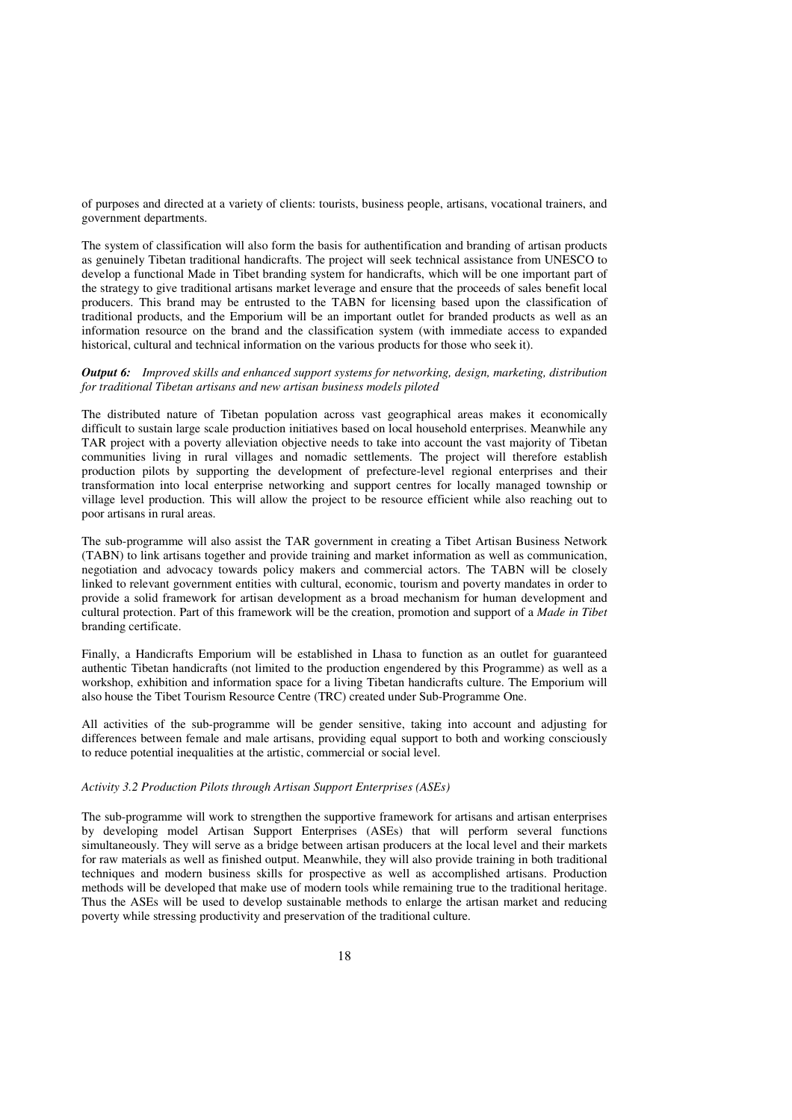of purposes and directed at a variety of clients: tourists, business people, artisans, vocational trainers, and government departments.

The system of classification will also form the basis for authentification and branding of artisan products as genuinely Tibetan traditional handicrafts. The project will seek technical assistance from UNESCO to develop a functional Made in Tibet branding system for handicrafts, which will be one important part of the strategy to give traditional artisans market leverage and ensure that the proceeds of sales benefit local producers. This brand may be entrusted to the TABN for licensing based upon the classification of traditional products, and the Emporium will be an important outlet for branded products as well as an information resource on the brand and the classification system (with immediate access to expanded historical, cultural and technical information on the various products for those who seek it).

#### *Output 6: Improved skills and enhanced support systems for networking, design, marketing, distribution for traditional Tibetan artisans and new artisan business models piloted*

The distributed nature of Tibetan population across vast geographical areas makes it economically difficult to sustain large scale production initiatives based on local household enterprises. Meanwhile any TAR project with a poverty alleviation objective needs to take into account the vast majority of Tibetan communities living in rural villages and nomadic settlements. The project will therefore establish production pilots by supporting the development of prefecture-level regional enterprises and their transformation into local enterprise networking and support centres for locally managed township or village level production. This will allow the project to be resource efficient while also reaching out to poor artisans in rural areas.

The sub-programme will also assist the TAR government in creating a Tibet Artisan Business Network (TABN) to link artisans together and provide training and market information as well as communication, negotiation and advocacy towards policy makers and commercial actors. The TABN will be closely linked to relevant government entities with cultural, economic, tourism and poverty mandates in order to provide a solid framework for artisan development as a broad mechanism for human development and cultural protection. Part of this framework will be the creation, promotion and support of a *Made in Tibet* branding certificate.

Finally, a Handicrafts Emporium will be established in Lhasa to function as an outlet for guaranteed authentic Tibetan handicrafts (not limited to the production engendered by this Programme) as well as a workshop, exhibition and information space for a living Tibetan handicrafts culture. The Emporium will also house the Tibet Tourism Resource Centre (TRC) created under Sub-Programme One.

All activities of the sub-programme will be gender sensitive, taking into account and adjusting for differences between female and male artisans, providing equal support to both and working consciously to reduce potential inequalities at the artistic, commercial or social level.

#### *Activity 3.2 Production Pilots through Artisan Support Enterprises (ASEs)*

The sub-programme will work to strengthen the supportive framework for artisans and artisan enterprises by developing model Artisan Support Enterprises (ASEs) that will perform several functions simultaneously. They will serve as a bridge between artisan producers at the local level and their markets for raw materials as well as finished output. Meanwhile, they will also provide training in both traditional techniques and modern business skills for prospective as well as accomplished artisans. Production methods will be developed that make use of modern tools while remaining true to the traditional heritage. Thus the ASEs will be used to develop sustainable methods to enlarge the artisan market and reducing poverty while stressing productivity and preservation of the traditional culture.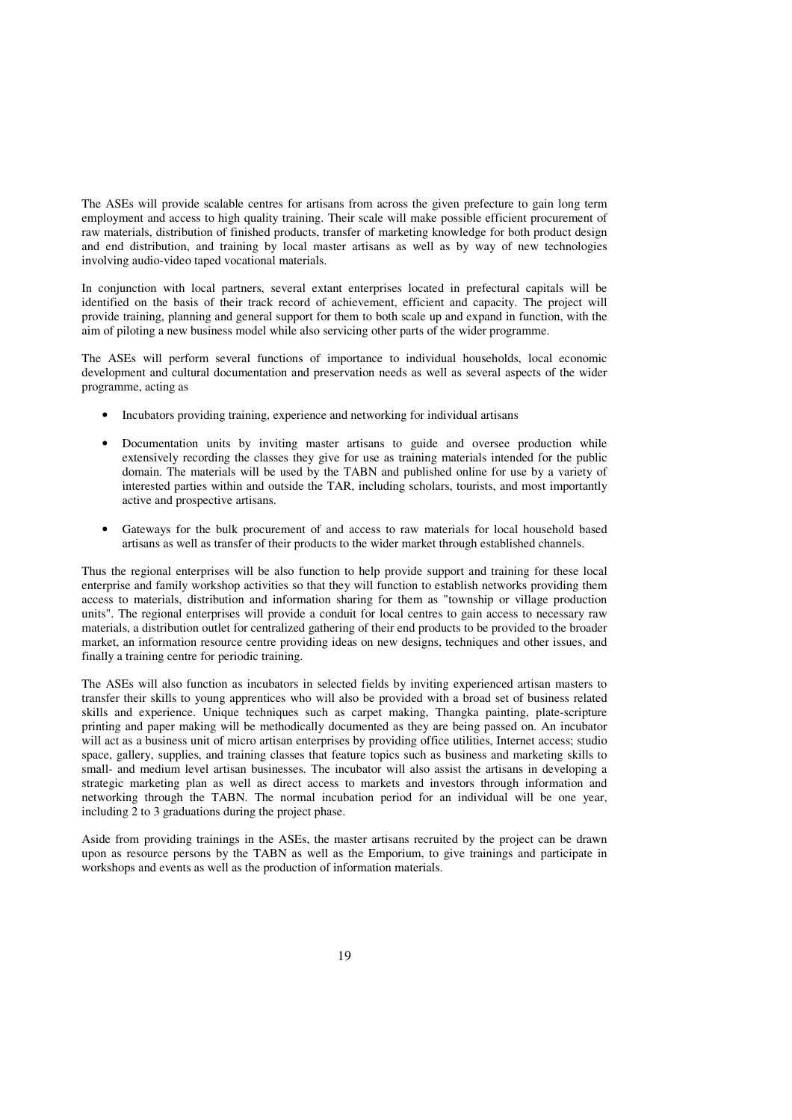The ASEs will provide scalable centres for artisans from across the given prefecture to gain long term employment and access to high quality training. Their scale will make possible efficient procurement of raw materials, distribution of finished products, transfer of marketing knowledge for both product design and end distribution, and training by local master artisans as well as by way of new technologies involving audio-video taped vocational materials.

In conjunction with local partners, several extant enterprises located in prefectural capitals will be identified on the basis of their track record of achievement, efficient and capacity. The project will provide training, planning and general support for them to both scale up and expand in function, with the aim of piloting a new business model while also servicing other parts of the wider programme.

The ASEs will perform several functions of importance to individual households, local economic development and cultural documentation and preservation needs as well as several aspects of the wider programme, acting as

- Incubators providing training, experience and networking for individual artisans
- Documentation units by inviting master artisans to guide and oversee production while extensively recording the classes they give for use as training materials intended for the public domain. The materials will be used by the TABN and published online for use by a variety of interested parties within and outside the TAR, including scholars, tourists, and most importantly active and prospective artisans.
- Gateways for the bulk procurement of and access to raw materials for local household based artisans as well as transfer of their products to the wider market through established channels.

Thus the regional enterprises will be also function to help provide support and training for these local enterprise and family workshop activities so that they will function to establish networks providing them access to materials, distribution and information sharing for them as "township or village production units". The regional enterprises will provide a conduit for local centres to gain access to necessary raw materials, a distribution outlet for centralized gathering of their end products to be provided to the broader market, an information resource centre providing ideas on new designs, techniques and other issues, and finally a training centre for periodic training.

The ASEs will also function as incubators in selected fields by inviting experienced artisan masters to transfer their skills to young apprentices who will also be provided with a broad set of business related skills and experience. Unique techniques such as carpet making, Thangka painting, plate-scripture printing and paper making will be methodically documented as they are being passed on. An incubator will act as a business unit of micro artisan enterprises by providing office utilities, Internet access; studio space, gallery, supplies, and training classes that feature topics such as business and marketing skills to small- and medium level artisan businesses. The incubator will also assist the artisans in developing a strategic marketing plan as well as direct access to markets and investors through information and networking through the TABN. The normal incubation period for an individual will be one year, including 2 to 3 graduations during the project phase.

Aside from providing trainings in the ASEs, the master artisans recruited by the project can be drawn upon as resource persons by the TABN as well as the Emporium, to give trainings and participate in workshops and events as well as the production of information materials.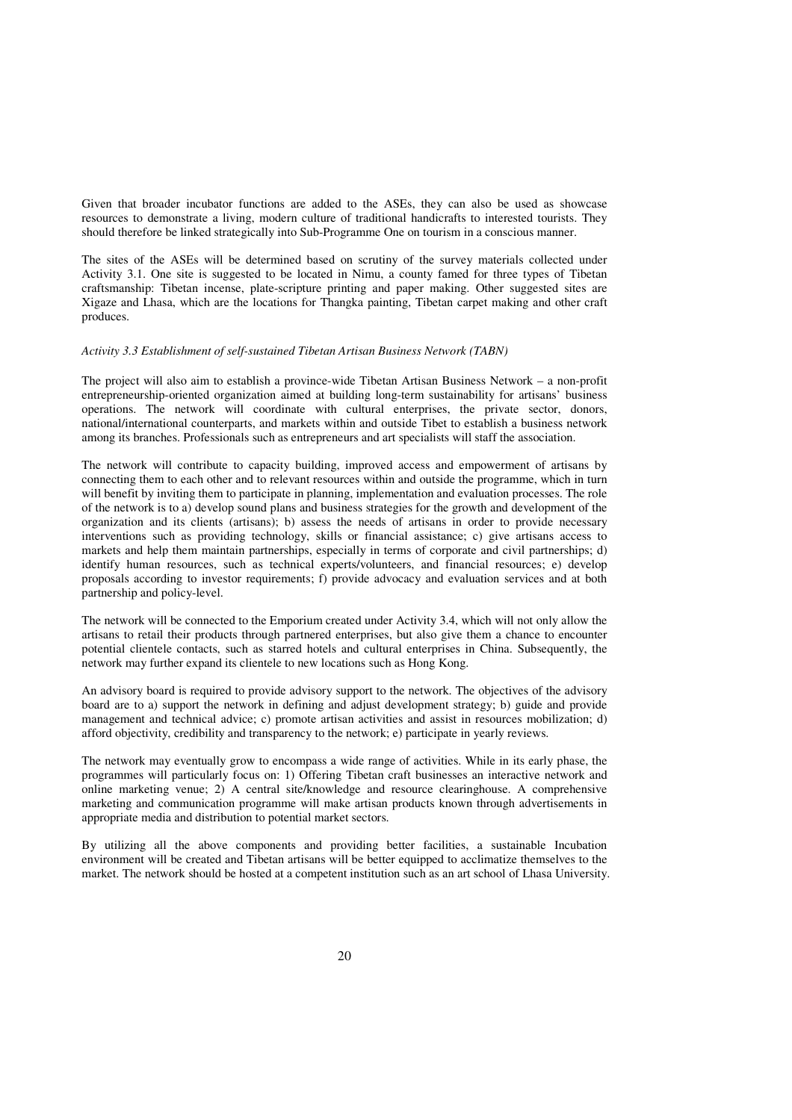Given that broader incubator functions are added to the ASEs, they can also be used as showcase resources to demonstrate a living, modern culture of traditional handicrafts to interested tourists. They should therefore be linked strategically into Sub-Programme One on tourism in a conscious manner.

The sites of the ASEs will be determined based on scrutiny of the survey materials collected under Activity 3.1. One site is suggested to be located in Nimu, a county famed for three types of Tibetan craftsmanship: Tibetan incense, plate-scripture printing and paper making. Other suggested sites are Xigaze and Lhasa, which are the locations for Thangka painting, Tibetan carpet making and other craft produces.

#### *Activity 3.3 Establishment of self-sustained Tibetan Artisan Business Network (TABN)*

The project will also aim to establish a province-wide Tibetan Artisan Business Network – a non-profit entrepreneurship-oriented organization aimed at building long-term sustainability for artisans' business operations. The network will coordinate with cultural enterprises, the private sector, donors, national/international counterparts, and markets within and outside Tibet to establish a business network among its branches. Professionals such as entrepreneurs and art specialists will staff the association.

The network will contribute to capacity building, improved access and empowerment of artisans by connecting them to each other and to relevant resources within and outside the programme, which in turn will benefit by inviting them to participate in planning, implementation and evaluation processes. The role of the network is to a) develop sound plans and business strategies for the growth and development of the organization and its clients (artisans); b) assess the needs of artisans in order to provide necessary interventions such as providing technology, skills or financial assistance; c) give artisans access to markets and help them maintain partnerships, especially in terms of corporate and civil partnerships; d) identify human resources, such as technical experts/volunteers, and financial resources; e) develop proposals according to investor requirements; f) provide advocacy and evaluation services and at both partnership and policy-level.

The network will be connected to the Emporium created under Activity 3.4, which will not only allow the artisans to retail their products through partnered enterprises, but also give them a chance to encounter potential clientele contacts, such as starred hotels and cultural enterprises in China. Subsequently, the network may further expand its clientele to new locations such as Hong Kong.

An advisory board is required to provide advisory support to the network. The objectives of the advisory board are to a) support the network in defining and adjust development strategy; b) guide and provide management and technical advice; c) promote artisan activities and assist in resources mobilization; d) afford objectivity, credibility and transparency to the network; e) participate in yearly reviews.

The network may eventually grow to encompass a wide range of activities. While in its early phase, the programmes will particularly focus on: 1) Offering Tibetan craft businesses an interactive network and online marketing venue; 2) A central site/knowledge and resource clearinghouse. A comprehensive marketing and communication programme will make artisan products known through advertisements in appropriate media and distribution to potential market sectors.

By utilizing all the above components and providing better facilities, a sustainable Incubation environment will be created and Tibetan artisans will be better equipped to acclimatize themselves to the market. The network should be hosted at a competent institution such as an art school of Lhasa University.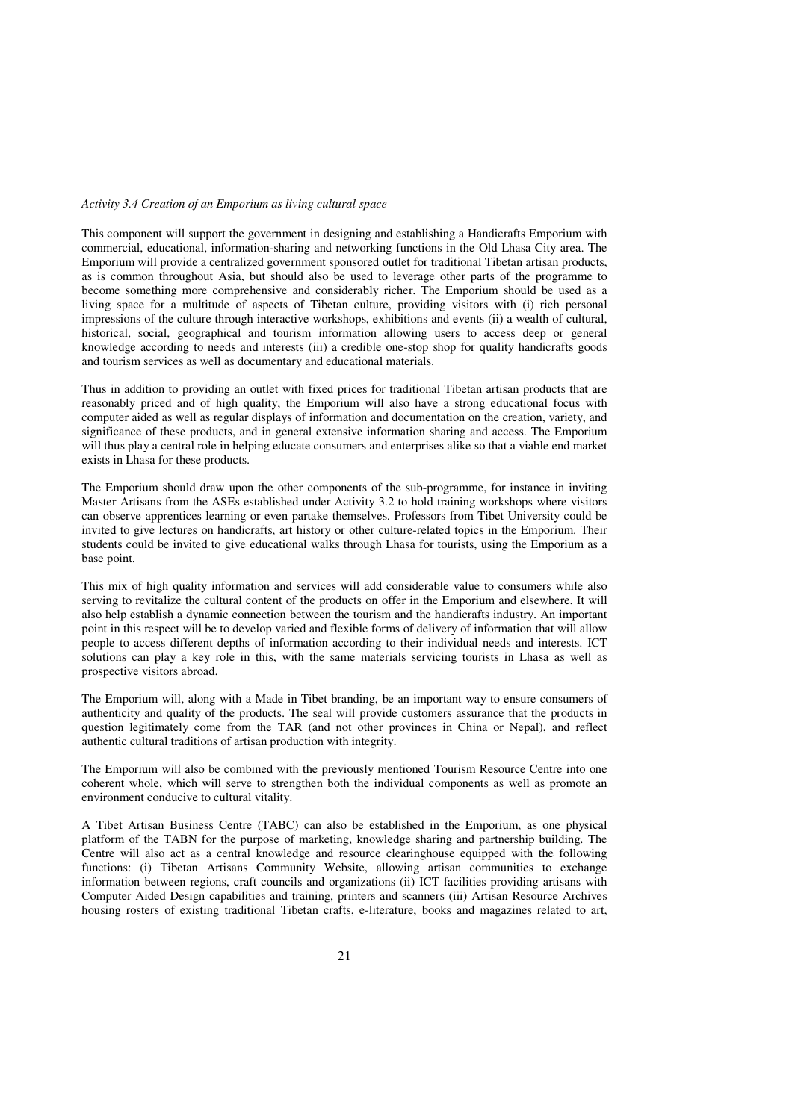#### *Activity 3.4 Creation of an Emporium as living cultural space*

This component will support the government in designing and establishing a Handicrafts Emporium with commercial, educational, information-sharing and networking functions in the Old Lhasa City area. The Emporium will provide a centralized government sponsored outlet for traditional Tibetan artisan products, as is common throughout Asia, but should also be used to leverage other parts of the programme to become something more comprehensive and considerably richer. The Emporium should be used as a living space for a multitude of aspects of Tibetan culture, providing visitors with (i) rich personal impressions of the culture through interactive workshops, exhibitions and events (ii) a wealth of cultural, historical, social, geographical and tourism information allowing users to access deep or general knowledge according to needs and interests (iii) a credible one-stop shop for quality handicrafts goods and tourism services as well as documentary and educational materials.

Thus in addition to providing an outlet with fixed prices for traditional Tibetan artisan products that are reasonably priced and of high quality, the Emporium will also have a strong educational focus with computer aided as well as regular displays of information and documentation on the creation, variety, and significance of these products, and in general extensive information sharing and access. The Emporium will thus play a central role in helping educate consumers and enterprises alike so that a viable end market exists in Lhasa for these products.

The Emporium should draw upon the other components of the sub-programme, for instance in inviting Master Artisans from the ASEs established under Activity 3.2 to hold training workshops where visitors can observe apprentices learning or even partake themselves. Professors from Tibet University could be invited to give lectures on handicrafts, art history or other culture-related topics in the Emporium. Their students could be invited to give educational walks through Lhasa for tourists, using the Emporium as a base point.

This mix of high quality information and services will add considerable value to consumers while also serving to revitalize the cultural content of the products on offer in the Emporium and elsewhere. It will also help establish a dynamic connection between the tourism and the handicrafts industry. An important point in this respect will be to develop varied and flexible forms of delivery of information that will allow people to access different depths of information according to their individual needs and interests. ICT solutions can play a key role in this, with the same materials servicing tourists in Lhasa as well as prospective visitors abroad.

The Emporium will, along with a Made in Tibet branding, be an important way to ensure consumers of authenticity and quality of the products. The seal will provide customers assurance that the products in question legitimately come from the TAR (and not other provinces in China or Nepal), and reflect authentic cultural traditions of artisan production with integrity.

The Emporium will also be combined with the previously mentioned Tourism Resource Centre into one coherent whole, which will serve to strengthen both the individual components as well as promote an environment conducive to cultural vitality.

A Tibet Artisan Business Centre (TABC) can also be established in the Emporium, as one physical platform of the TABN for the purpose of marketing, knowledge sharing and partnership building. The Centre will also act as a central knowledge and resource clearinghouse equipped with the following functions: (i) Tibetan Artisans Community Website, allowing artisan communities to exchange information between regions, craft councils and organizations (ii) ICT facilities providing artisans with Computer Aided Design capabilities and training, printers and scanners (iii) Artisan Resource Archives housing rosters of existing traditional Tibetan crafts, e-literature, books and magazines related to art,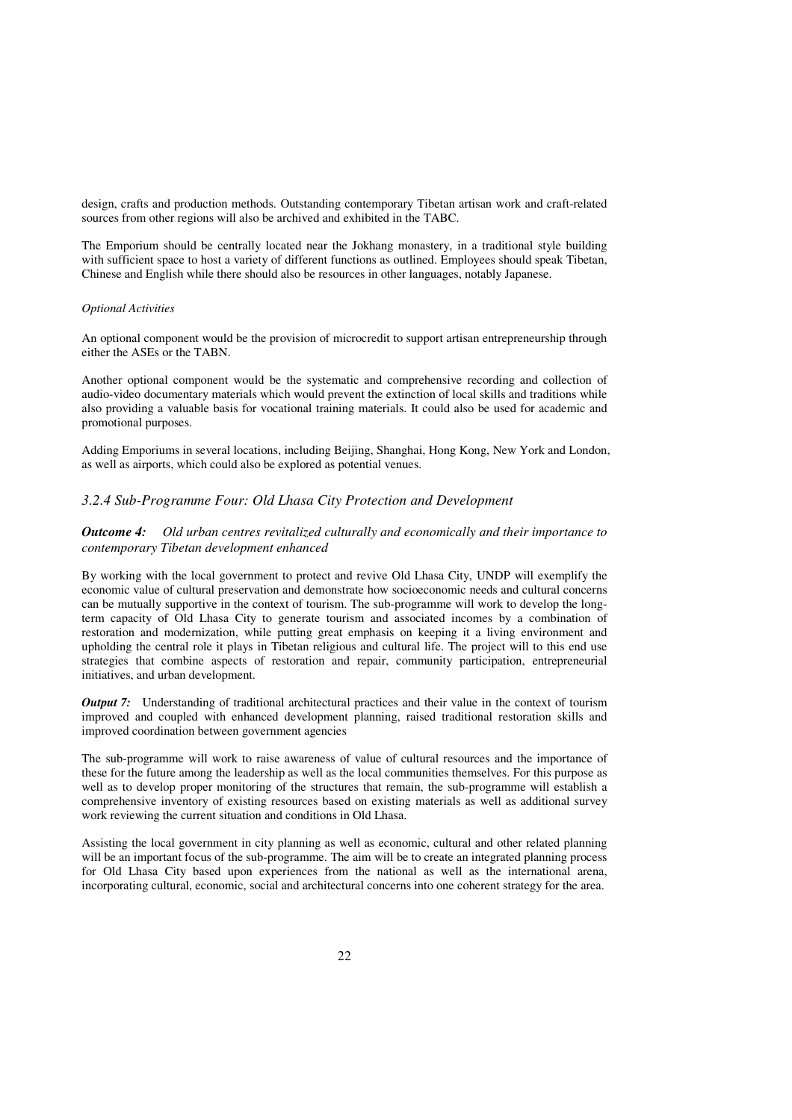design, crafts and production methods. Outstanding contemporary Tibetan artisan work and craft-related sources from other regions will also be archived and exhibited in the TABC.

The Emporium should be centrally located near the Jokhang monastery, in a traditional style building with sufficient space to host a variety of different functions as outlined. Employees should speak Tibetan, Chinese and English while there should also be resources in other languages, notably Japanese.

#### *Optional Activities*

An optional component would be the provision of microcredit to support artisan entrepreneurship through either the ASEs or the TABN.

Another optional component would be the systematic and comprehensive recording and collection of audio-video documentary materials which would prevent the extinction of local skills and traditions while also providing a valuable basis for vocational training materials. It could also be used for academic and promotional purposes.

Adding Emporiums in several locations, including Beijing, Shanghai, Hong Kong, New York and London, as well as airports, which could also be explored as potential venues.

#### *3.2.4 Sub-Programme Four: Old Lhasa City Protection and Development*

#### *Outcome 4: Old urban centres revitalized culturally and economically and their importance to contemporary Tibetan development enhanced*

By working with the local government to protect and revive Old Lhasa City, UNDP will exemplify the economic value of cultural preservation and demonstrate how socioeconomic needs and cultural concerns can be mutually supportive in the context of tourism. The sub-programme will work to develop the longterm capacity of Old Lhasa City to generate tourism and associated incomes by a combination of restoration and modernization, while putting great emphasis on keeping it a living environment and upholding the central role it plays in Tibetan religious and cultural life. The project will to this end use strategies that combine aspects of restoration and repair, community participation, entrepreneurial initiatives, and urban development.

*Output 7:* Understanding of traditional architectural practices and their value in the context of tourism improved and coupled with enhanced development planning, raised traditional restoration skills and improved coordination between government agencies

The sub-programme will work to raise awareness of value of cultural resources and the importance of these for the future among the leadership as well as the local communities themselves. For this purpose as well as to develop proper monitoring of the structures that remain, the sub-programme will establish a comprehensive inventory of existing resources based on existing materials as well as additional survey work reviewing the current situation and conditions in Old Lhasa.

Assisting the local government in city planning as well as economic, cultural and other related planning will be an important focus of the sub-programme. The aim will be to create an integrated planning process for Old Lhasa City based upon experiences from the national as well as the international arena, incorporating cultural, economic, social and architectural concerns into one coherent strategy for the area.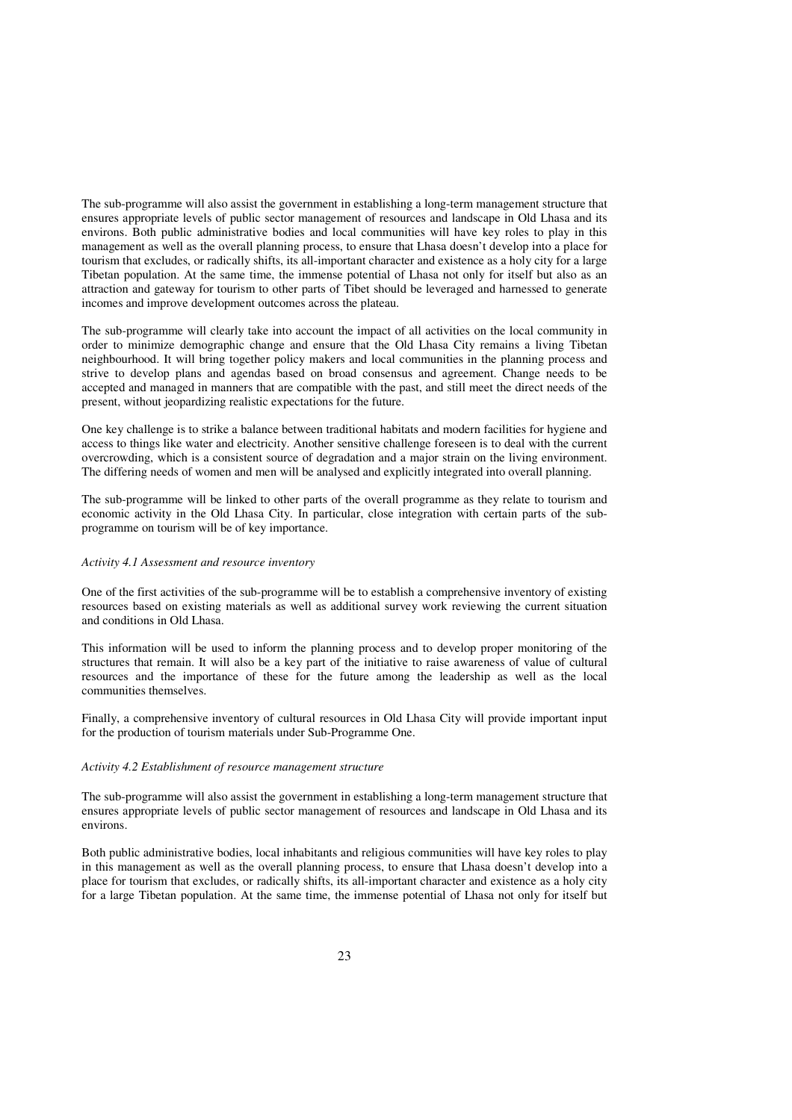The sub-programme will also assist the government in establishing a long-term management structure that ensures appropriate levels of public sector management of resources and landscape in Old Lhasa and its environs. Both public administrative bodies and local communities will have key roles to play in this management as well as the overall planning process, to ensure that Lhasa doesn't develop into a place for tourism that excludes, or radically shifts, its all-important character and existence as a holy city for a large Tibetan population. At the same time, the immense potential of Lhasa not only for itself but also as an attraction and gateway for tourism to other parts of Tibet should be leveraged and harnessed to generate incomes and improve development outcomes across the plateau.

The sub-programme will clearly take into account the impact of all activities on the local community in order to minimize demographic change and ensure that the Old Lhasa City remains a living Tibetan neighbourhood. It will bring together policy makers and local communities in the planning process and strive to develop plans and agendas based on broad consensus and agreement. Change needs to be accepted and managed in manners that are compatible with the past, and still meet the direct needs of the present, without jeopardizing realistic expectations for the future.

One key challenge is to strike a balance between traditional habitats and modern facilities for hygiene and access to things like water and electricity. Another sensitive challenge foreseen is to deal with the current overcrowding, which is a consistent source of degradation and a major strain on the living environment. The differing needs of women and men will be analysed and explicitly integrated into overall planning.

The sub-programme will be linked to other parts of the overall programme as they relate to tourism and economic activity in the Old Lhasa City. In particular, close integration with certain parts of the subprogramme on tourism will be of key importance.

#### *Activity 4.1 Assessment and resource inventory*

One of the first activities of the sub-programme will be to establish a comprehensive inventory of existing resources based on existing materials as well as additional survey work reviewing the current situation and conditions in Old Lhasa.

This information will be used to inform the planning process and to develop proper monitoring of the structures that remain. It will also be a key part of the initiative to raise awareness of value of cultural resources and the importance of these for the future among the leadership as well as the local communities themselves.

Finally, a comprehensive inventory of cultural resources in Old Lhasa City will provide important input for the production of tourism materials under Sub-Programme One.

#### *Activity 4.2 Establishment of resource management structure*

The sub-programme will also assist the government in establishing a long-term management structure that ensures appropriate levels of public sector management of resources and landscape in Old Lhasa and its environs.

Both public administrative bodies, local inhabitants and religious communities will have key roles to play in this management as well as the overall planning process, to ensure that Lhasa doesn't develop into a place for tourism that excludes, or radically shifts, its all-important character and existence as a holy city for a large Tibetan population. At the same time, the immense potential of Lhasa not only for itself but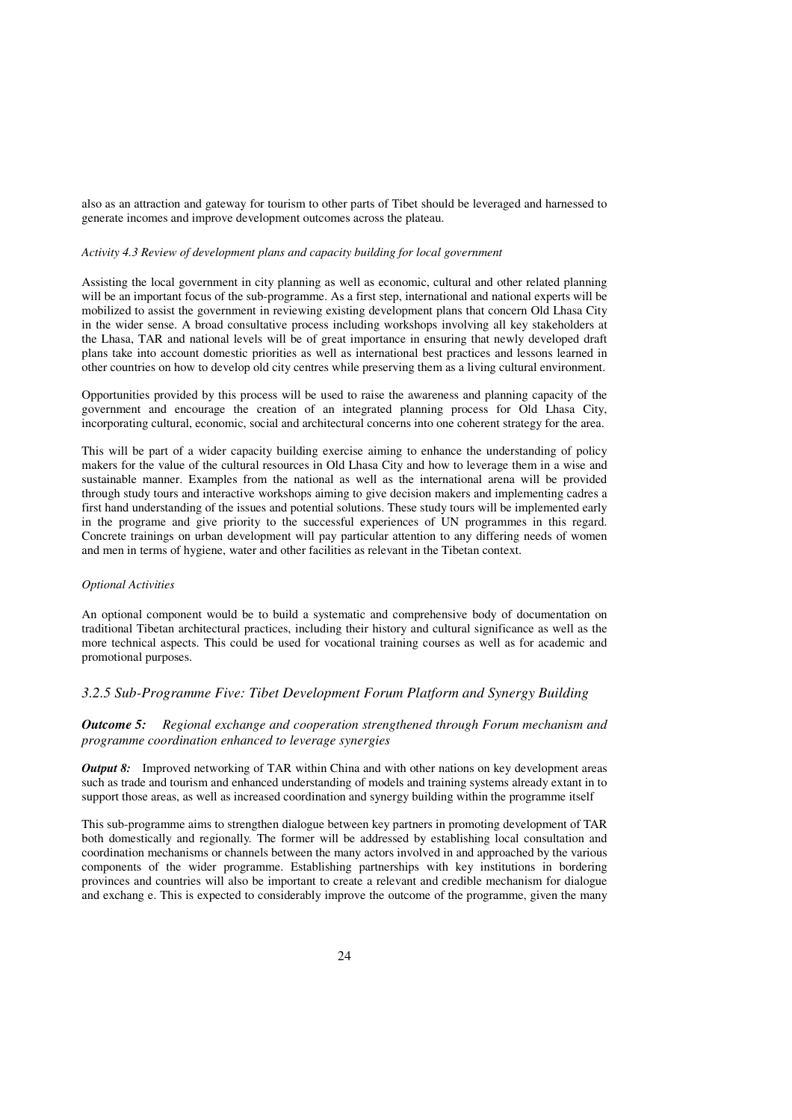also as an attraction and gateway for tourism to other parts of Tibet should be leveraged and harnessed to generate incomes and improve development outcomes across the plateau.

#### *Activity 4.3 Review of development plans and capacity building for local government*

Assisting the local government in city planning as well as economic, cultural and other related planning will be an important focus of the sub-programme. As a first step, international and national experts will be mobilized to assist the government in reviewing existing development plans that concern Old Lhasa City in the wider sense. A broad consultative process including workshops involving all key stakeholders at the Lhasa, TAR and national levels will be of great importance in ensuring that newly developed draft plans take into account domestic priorities as well as international best practices and lessons learned in other countries on how to develop old city centres while preserving them as a living cultural environment.

Opportunities provided by this process will be used to raise the awareness and planning capacity of the government and encourage the creation of an integrated planning process for Old Lhasa City, incorporating cultural, economic, social and architectural concerns into one coherent strategy for the area.

This will be part of a wider capacity building exercise aiming to enhance the understanding of policy makers for the value of the cultural resources in Old Lhasa City and how to leverage them in a wise and sustainable manner. Examples from the national as well as the international arena will be provided through study tours and interactive workshops aiming to give decision makers and implementing cadres a first hand understanding of the issues and potential solutions. These study tours will be implemented early in the programe and give priority to the successful experiences of UN programmes in this regard. Concrete trainings on urban development will pay particular attention to any differing needs of women and men in terms of hygiene, water and other facilities as relevant in the Tibetan context.

#### *Optional Activities*

An optional component would be to build a systematic and comprehensive body of documentation on traditional Tibetan architectural practices, including their history and cultural significance as well as the more technical aspects. This could be used for vocational training courses as well as for academic and promotional purposes.

### *3.2.5 Sub-Programme Five: Tibet Development Forum Platform and Synergy Building*

*Outcome 5: Regional exchange and cooperation strengthened through Forum mechanism and programme coordination enhanced to leverage synergies* 

*Output 8:* Improved networking of TAR within China and with other nations on key development areas such as trade and tourism and enhanced understanding of models and training systems already extant in to support those areas, as well as increased coordination and synergy building within the programme itself

This sub-programme aims to strengthen dialogue between key partners in promoting development of TAR both domestically and regionally. The former will be addressed by establishing local consultation and coordination mechanisms or channels between the many actors involved in and approached by the various components of the wider programme. Establishing partnerships with key institutions in bordering provinces and countries will also be important to create a relevant and credible mechanism for dialogue and exchang e. This is expected to considerably improve the outcome of the programme, given the many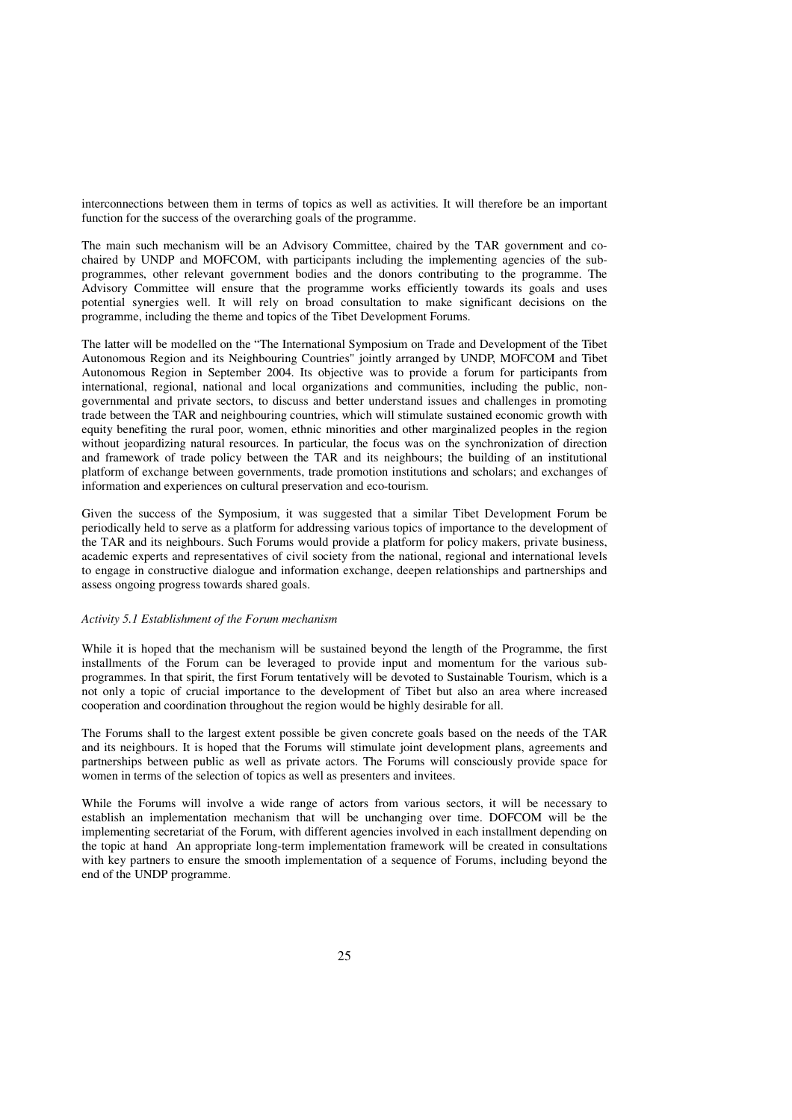interconnections between them in terms of topics as well as activities. It will therefore be an important function for the success of the overarching goals of the programme.

The main such mechanism will be an Advisory Committee, chaired by the TAR government and cochaired by UNDP and MOFCOM, with participants including the implementing agencies of the subprogrammes, other relevant government bodies and the donors contributing to the programme. The Advisory Committee will ensure that the programme works efficiently towards its goals and uses potential synergies well. It will rely on broad consultation to make significant decisions on the programme, including the theme and topics of the Tibet Development Forums.

The latter will be modelled on the "The International Symposium on Trade and Development of the Tibet Autonomous Region and its Neighbouring Countries" jointly arranged by UNDP, MOFCOM and Tibet Autonomous Region in September 2004. Its objective was to provide a forum for participants from international, regional, national and local organizations and communities, including the public, nongovernmental and private sectors, to discuss and better understand issues and challenges in promoting trade between the TAR and neighbouring countries, which will stimulate sustained economic growth with equity benefiting the rural poor, women, ethnic minorities and other marginalized peoples in the region without jeopardizing natural resources. In particular, the focus was on the synchronization of direction and framework of trade policy between the TAR and its neighbours; the building of an institutional platform of exchange between governments, trade promotion institutions and scholars; and exchanges of information and experiences on cultural preservation and eco-tourism.

Given the success of the Symposium, it was suggested that a similar Tibet Development Forum be periodically held to serve as a platform for addressing various topics of importance to the development of the TAR and its neighbours. Such Forums would provide a platform for policy makers, private business, academic experts and representatives of civil society from the national, regional and international levels to engage in constructive dialogue and information exchange, deepen relationships and partnerships and assess ongoing progress towards shared goals.

#### *Activity 5.1 Establishment of the Forum mechanism*

While it is hoped that the mechanism will be sustained beyond the length of the Programme, the first installments of the Forum can be leveraged to provide input and momentum for the various subprogrammes. In that spirit, the first Forum tentatively will be devoted to Sustainable Tourism, which is a not only a topic of crucial importance to the development of Tibet but also an area where increased cooperation and coordination throughout the region would be highly desirable for all.

The Forums shall to the largest extent possible be given concrete goals based on the needs of the TAR and its neighbours. It is hoped that the Forums will stimulate joint development plans, agreements and partnerships between public as well as private actors. The Forums will consciously provide space for women in terms of the selection of topics as well as presenters and invitees.

While the Forums will involve a wide range of actors from various sectors, it will be necessary to establish an implementation mechanism that will be unchanging over time. DOFCOM will be the implementing secretariat of the Forum, with different agencies involved in each installment depending on the topic at hand An appropriate long-term implementation framework will be created in consultations with key partners to ensure the smooth implementation of a sequence of Forums, including beyond the end of the UNDP programme.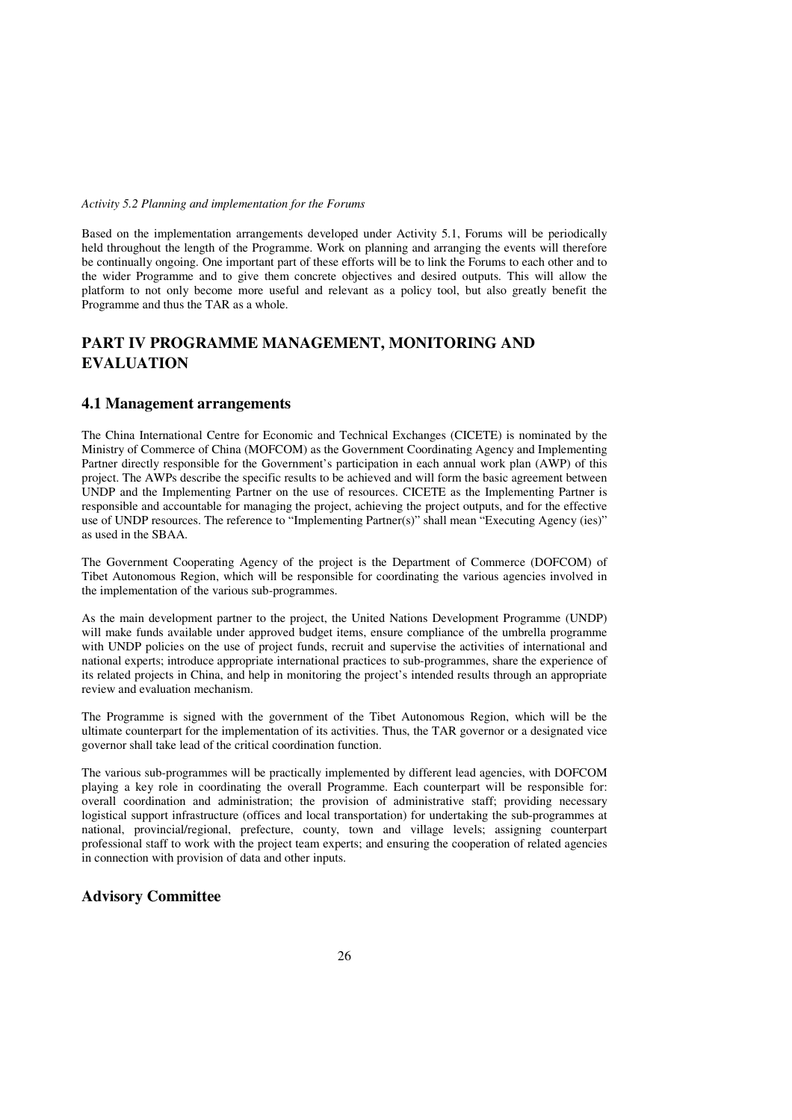*Activity 5.2 Planning and implementation for the Forums* 

Based on the implementation arrangements developed under Activity 5.1, Forums will be periodically held throughout the length of the Programme. Work on planning and arranging the events will therefore be continually ongoing. One important part of these efforts will be to link the Forums to each other and to the wider Programme and to give them concrete objectives and desired outputs. This will allow the platform to not only become more useful and relevant as a policy tool, but also greatly benefit the Programme and thus the TAR as a whole.

# **PART IV PROGRAMME MANAGEMENT, MONITORING AND EVALUATION**

#### **4.1 Management arrangements**

The China International Centre for Economic and Technical Exchanges (CICETE) is nominated by the Ministry of Commerce of China (MOFCOM) as the Government Coordinating Agency and Implementing Partner directly responsible for the Government's participation in each annual work plan (AWP) of this project. The AWPs describe the specific results to be achieved and will form the basic agreement between UNDP and the Implementing Partner on the use of resources. CICETE as the Implementing Partner is responsible and accountable for managing the project, achieving the project outputs, and for the effective use of UNDP resources. The reference to "Implementing Partner(s)" shall mean "Executing Agency (ies)" as used in the SBAA.

The Government Cooperating Agency of the project is the Department of Commerce (DOFCOM) of Tibet Autonomous Region, which will be responsible for coordinating the various agencies involved in the implementation of the various sub-programmes.

As the main development partner to the project, the United Nations Development Programme (UNDP) will make funds available under approved budget items, ensure compliance of the umbrella programme with UNDP policies on the use of project funds, recruit and supervise the activities of international and national experts; introduce appropriate international practices to sub-programmes, share the experience of its related projects in China, and help in monitoring the project's intended results through an appropriate review and evaluation mechanism.

The Programme is signed with the government of the Tibet Autonomous Region, which will be the ultimate counterpart for the implementation of its activities. Thus, the TAR governor or a designated vice governor shall take lead of the critical coordination function.

The various sub-programmes will be practically implemented by different lead agencies, with DOFCOM playing a key role in coordinating the overall Programme. Each counterpart will be responsible for: overall coordination and administration; the provision of administrative staff; providing necessary logistical support infrastructure (offices and local transportation) for undertaking the sub-programmes at national, provincial/regional, prefecture, county, town and village levels; assigning counterpart professional staff to work with the project team experts; and ensuring the cooperation of related agencies in connection with provision of data and other inputs.

# **Advisory Committee**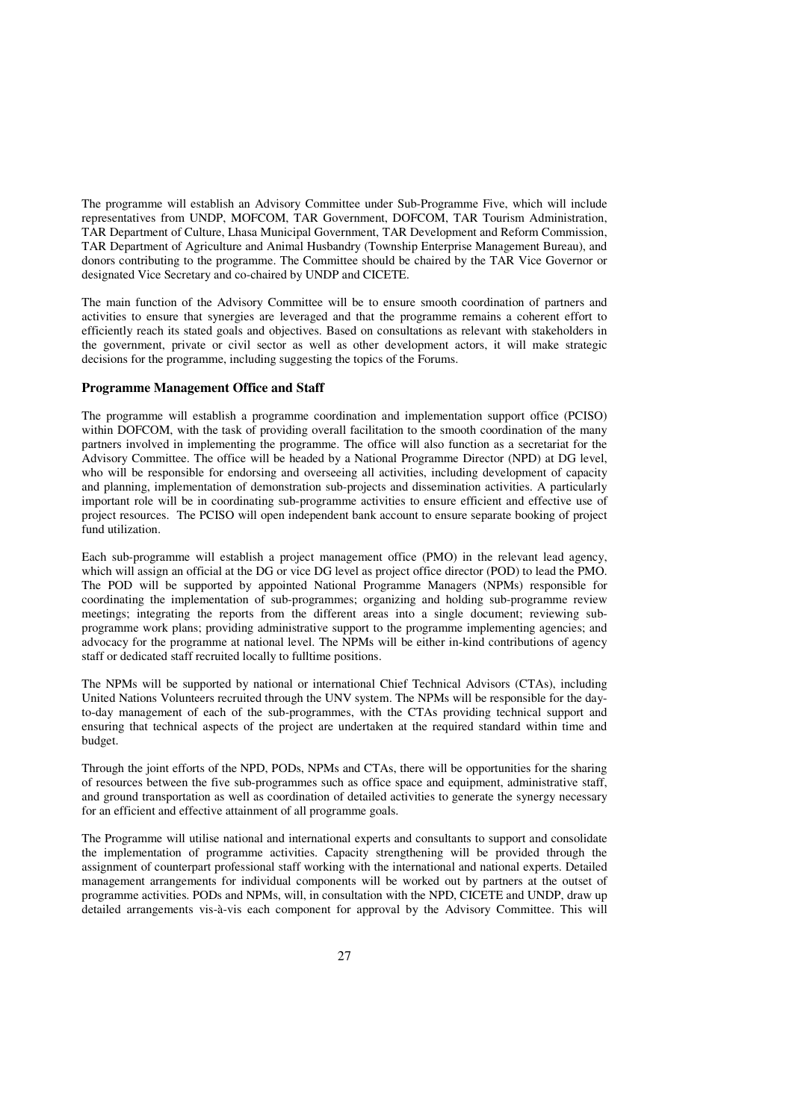The programme will establish an Advisory Committee under Sub-Programme Five, which will include representatives from UNDP, MOFCOM, TAR Government, DOFCOM, TAR Tourism Administration, TAR Department of Culture, Lhasa Municipal Government, TAR Development and Reform Commission, TAR Department of Agriculture and Animal Husbandry (Township Enterprise Management Bureau), and donors contributing to the programme. The Committee should be chaired by the TAR Vice Governor or designated Vice Secretary and co-chaired by UNDP and CICETE.

The main function of the Advisory Committee will be to ensure smooth coordination of partners and activities to ensure that synergies are leveraged and that the programme remains a coherent effort to efficiently reach its stated goals and objectives. Based on consultations as relevant with stakeholders in the government, private or civil sector as well as other development actors, it will make strategic decisions for the programme, including suggesting the topics of the Forums.

#### **Programme Management Office and Staff**

The programme will establish a programme coordination and implementation support office (PCISO) within DOFCOM, with the task of providing overall facilitation to the smooth coordination of the many partners involved in implementing the programme. The office will also function as a secretariat for the Advisory Committee. The office will be headed by a National Programme Director (NPD) at DG level, who will be responsible for endorsing and overseeing all activities, including development of capacity and planning, implementation of demonstration sub-projects and dissemination activities. A particularly important role will be in coordinating sub-programme activities to ensure efficient and effective use of project resources. The PCISO will open independent bank account to ensure separate booking of project fund utilization.

Each sub-programme will establish a project management office (PMO) in the relevant lead agency, which will assign an official at the DG or vice DG level as project office director (POD) to lead the PMO. The POD will be supported by appointed National Programme Managers (NPMs) responsible for coordinating the implementation of sub-programmes; organizing and holding sub-programme review meetings; integrating the reports from the different areas into a single document; reviewing subprogramme work plans; providing administrative support to the programme implementing agencies; and advocacy for the programme at national level. The NPMs will be either in-kind contributions of agency staff or dedicated staff recruited locally to fulltime positions.

The NPMs will be supported by national or international Chief Technical Advisors (CTAs), including United Nations Volunteers recruited through the UNV system. The NPMs will be responsible for the dayto-day management of each of the sub-programmes, with the CTAs providing technical support and ensuring that technical aspects of the project are undertaken at the required standard within time and budget.

Through the joint efforts of the NPD, PODs, NPMs and CTAs, there will be opportunities for the sharing of resources between the five sub-programmes such as office space and equipment, administrative staff, and ground transportation as well as coordination of detailed activities to generate the synergy necessary for an efficient and effective attainment of all programme goals.

The Programme will utilise national and international experts and consultants to support and consolidate the implementation of programme activities. Capacity strengthening will be provided through the assignment of counterpart professional staff working with the international and national experts. Detailed management arrangements for individual components will be worked out by partners at the outset of programme activities. PODs and NPMs, will, in consultation with the NPD, CICETE and UNDP, draw up detailed arrangements vis-à-vis each component for approval by the Advisory Committee. This will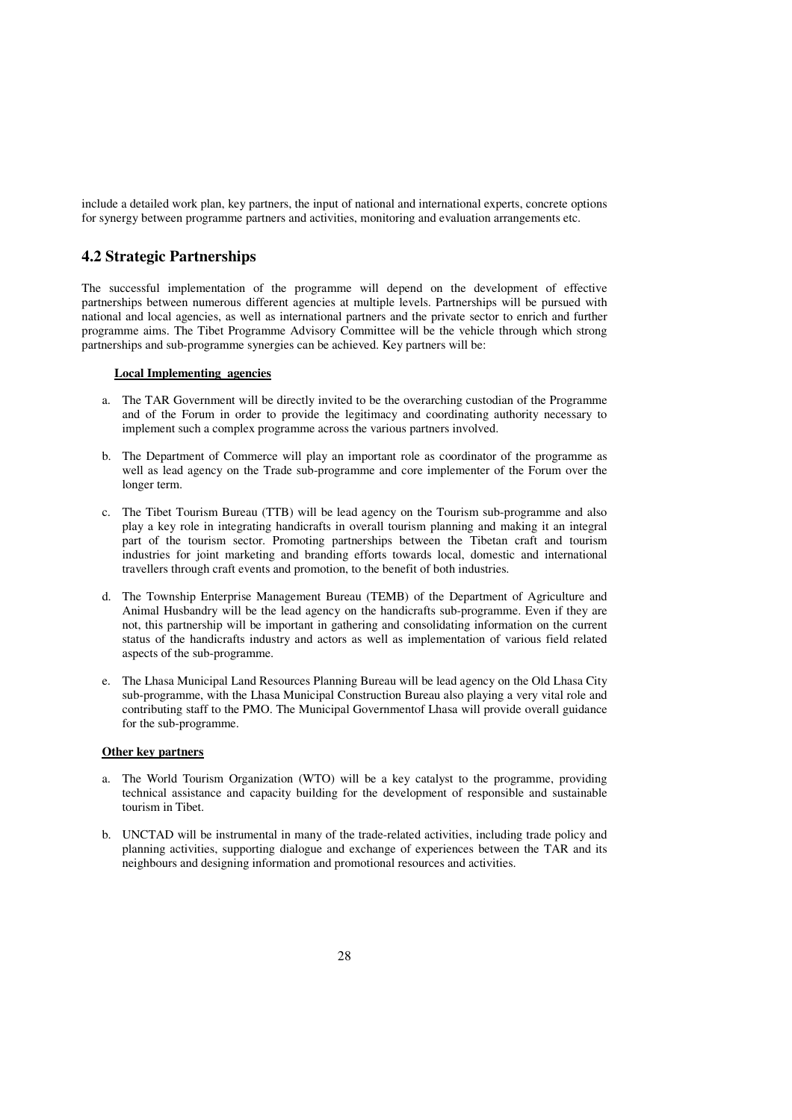include a detailed work plan, key partners, the input of national and international experts, concrete options for synergy between programme partners and activities, monitoring and evaluation arrangements etc.

# **4.2 Strategic Partnerships**

The successful implementation of the programme will depend on the development of effective partnerships between numerous different agencies at multiple levels. Partnerships will be pursued with national and local agencies, as well as international partners and the private sector to enrich and further programme aims. The Tibet Programme Advisory Committee will be the vehicle through which strong partnerships and sub-programme synergies can be achieved. Key partners will be:

#### **Local Implementing agencies**

- a. The TAR Government will be directly invited to be the overarching custodian of the Programme and of the Forum in order to provide the legitimacy and coordinating authority necessary to implement such a complex programme across the various partners involved.
- b. The Department of Commerce will play an important role as coordinator of the programme as well as lead agency on the Trade sub-programme and core implementer of the Forum over the longer term.
- c. The Tibet Tourism Bureau (TTB) will be lead agency on the Tourism sub-programme and also play a key role in integrating handicrafts in overall tourism planning and making it an integral part of the tourism sector. Promoting partnerships between the Tibetan craft and tourism industries for joint marketing and branding efforts towards local, domestic and international travellers through craft events and promotion, to the benefit of both industries.
- d. The Township Enterprise Management Bureau (TEMB) of the Department of Agriculture and Animal Husbandry will be the lead agency on the handicrafts sub-programme. Even if they are not, this partnership will be important in gathering and consolidating information on the current status of the handicrafts industry and actors as well as implementation of various field related aspects of the sub-programme.
- e. The Lhasa Municipal Land Resources Planning Bureau will be lead agency on the Old Lhasa City sub-programme, with the Lhasa Municipal Construction Bureau also playing a very vital role and contributing staff to the PMO. The Municipal Governmentof Lhasa will provide overall guidance for the sub-programme.

#### **Other key partners**

- a. The World Tourism Organization (WTO) will be a key catalyst to the programme, providing technical assistance and capacity building for the development of responsible and sustainable tourism in Tibet.
- b. UNCTAD will be instrumental in many of the trade-related activities, including trade policy and planning activities, supporting dialogue and exchange of experiences between the TAR and its neighbours and designing information and promotional resources and activities.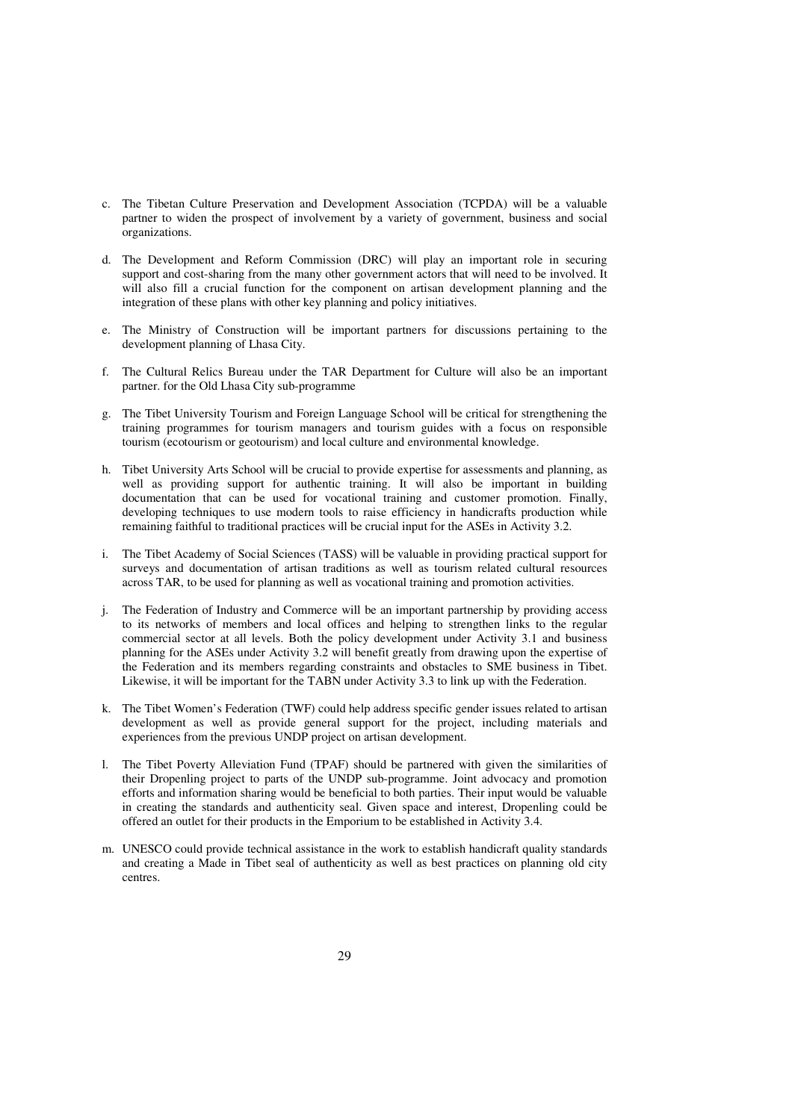- c. The Tibetan Culture Preservation and Development Association (TCPDA) will be a valuable partner to widen the prospect of involvement by a variety of government, business and social organizations.
- d. The Development and Reform Commission (DRC) will play an important role in securing support and cost-sharing from the many other government actors that will need to be involved. It will also fill a crucial function for the component on artisan development planning and the integration of these plans with other key planning and policy initiatives.
- e. The Ministry of Construction will be important partners for discussions pertaining to the development planning of Lhasa City.
- f. The Cultural Relics Bureau under the TAR Department for Culture will also be an important partner. for the Old Lhasa City sub-programme
- g. The Tibet University Tourism and Foreign Language School will be critical for strengthening the training programmes for tourism managers and tourism guides with a focus on responsible tourism (ecotourism or geotourism) and local culture and environmental knowledge.
- h. Tibet University Arts School will be crucial to provide expertise for assessments and planning, as well as providing support for authentic training. It will also be important in building documentation that can be used for vocational training and customer promotion. Finally, developing techniques to use modern tools to raise efficiency in handicrafts production while remaining faithful to traditional practices will be crucial input for the ASEs in Activity 3.2.
- i. The Tibet Academy of Social Sciences (TASS) will be valuable in providing practical support for surveys and documentation of artisan traditions as well as tourism related cultural resources across TAR, to be used for planning as well as vocational training and promotion activities.
- j. The Federation of Industry and Commerce will be an important partnership by providing access to its networks of members and local offices and helping to strengthen links to the regular commercial sector at all levels. Both the policy development under Activity 3.1 and business planning for the ASEs under Activity 3.2 will benefit greatly from drawing upon the expertise of the Federation and its members regarding constraints and obstacles to SME business in Tibet. Likewise, it will be important for the TABN under Activity 3.3 to link up with the Federation.
- k. The Tibet Women's Federation (TWF) could help address specific gender issues related to artisan development as well as provide general support for the project, including materials and experiences from the previous UNDP project on artisan development.
- l. The Tibet Poverty Alleviation Fund (TPAF) should be partnered with given the similarities of their Dropenling project to parts of the UNDP sub-programme. Joint advocacy and promotion efforts and information sharing would be beneficial to both parties. Their input would be valuable in creating the standards and authenticity seal. Given space and interest, Dropenling could be offered an outlet for their products in the Emporium to be established in Activity 3.4.
- m. UNESCO could provide technical assistance in the work to establish handicraft quality standards and creating a Made in Tibet seal of authenticity as well as best practices on planning old city centres.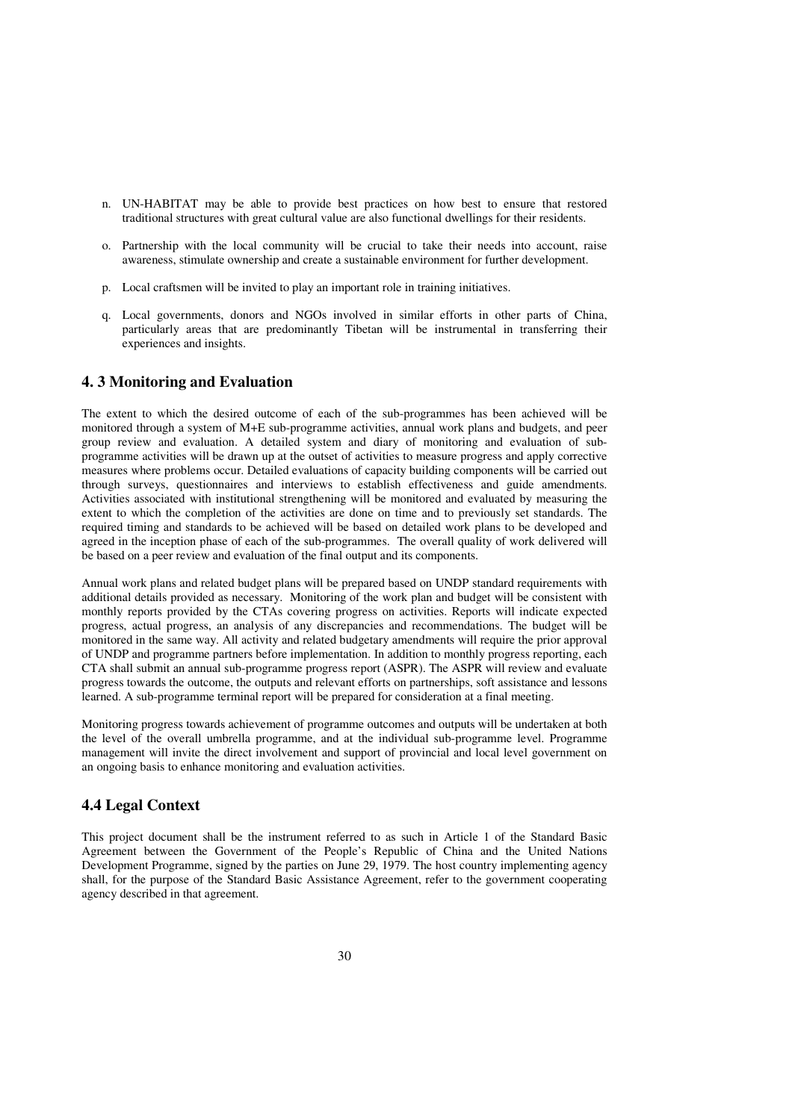- n. UN-HABITAT may be able to provide best practices on how best to ensure that restored traditional structures with great cultural value are also functional dwellings for their residents.
- o. Partnership with the local community will be crucial to take their needs into account, raise awareness, stimulate ownership and create a sustainable environment for further development.
- p. Local craftsmen will be invited to play an important role in training initiatives.
- q. Local governments, donors and NGOs involved in similar efforts in other parts of China, particularly areas that are predominantly Tibetan will be instrumental in transferring their experiences and insights.

### **4. 3 Monitoring and Evaluation**

The extent to which the desired outcome of each of the sub-programmes has been achieved will be monitored through a system of M+E sub-programme activities, annual work plans and budgets, and peer group review and evaluation. A detailed system and diary of monitoring and evaluation of subprogramme activities will be drawn up at the outset of activities to measure progress and apply corrective measures where problems occur. Detailed evaluations of capacity building components will be carried out through surveys, questionnaires and interviews to establish effectiveness and guide amendments. Activities associated with institutional strengthening will be monitored and evaluated by measuring the extent to which the completion of the activities are done on time and to previously set standards. The required timing and standards to be achieved will be based on detailed work plans to be developed and agreed in the inception phase of each of the sub-programmes. The overall quality of work delivered will be based on a peer review and evaluation of the final output and its components.

Annual work plans and related budget plans will be prepared based on UNDP standard requirements with additional details provided as necessary. Monitoring of the work plan and budget will be consistent with monthly reports provided by the CTAs covering progress on activities. Reports will indicate expected progress, actual progress, an analysis of any discrepancies and recommendations. The budget will be monitored in the same way. All activity and related budgetary amendments will require the prior approval of UNDP and programme partners before implementation. In addition to monthly progress reporting, each CTA shall submit an annual sub-programme progress report (ASPR). The ASPR will review and evaluate progress towards the outcome, the outputs and relevant efforts on partnerships, soft assistance and lessons learned. A sub-programme terminal report will be prepared for consideration at a final meeting.

Monitoring progress towards achievement of programme outcomes and outputs will be undertaken at both the level of the overall umbrella programme, and at the individual sub-programme level. Programme management will invite the direct involvement and support of provincial and local level government on an ongoing basis to enhance monitoring and evaluation activities.

#### **4.4 Legal Context**

This project document shall be the instrument referred to as such in Article 1 of the Standard Basic Agreement between the Government of the People's Republic of China and the United Nations Development Programme, signed by the parties on June 29, 1979. The host country implementing agency shall, for the purpose of the Standard Basic Assistance Agreement, refer to the government cooperating agency described in that agreement.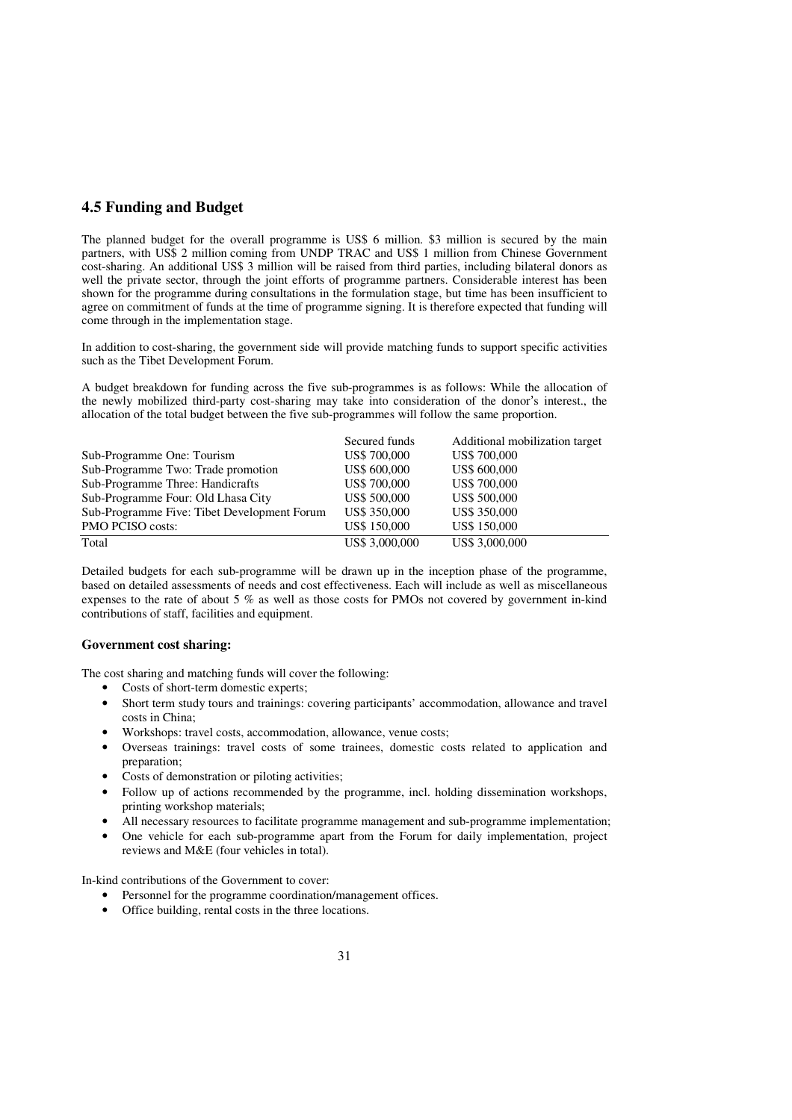# **4.5 Funding and Budget**

The planned budget for the overall programme is US\$ 6 million. \$3 million is secured by the main partners, with US\$ 2 million coming from UNDP TRAC and US\$ 1 million from Chinese Government cost-sharing. An additional US\$ 3 million will be raised from third parties, including bilateral donors as well the private sector, through the joint efforts of programme partners. Considerable interest has been shown for the programme during consultations in the formulation stage, but time has been insufficient to agree on commitment of funds at the time of programme signing. It is therefore expected that funding will come through in the implementation stage.

In addition to cost-sharing, the government side will provide matching funds to support specific activities such as the Tibet Development Forum.

A budget breakdown for funding across the five sub-programmes is as follows: While the allocation of the newly mobilized third-party cost-sharing may take into consideration of the donor's interest., the allocation of the total budget between the five sub-programmes will follow the same proportion.

|                                             | Secured funds      | Additional mobilization target |
|---------------------------------------------|--------------------|--------------------------------|
| Sub-Programme One: Tourism                  | <b>US\$700,000</b> | <b>US\$ 700,000</b>            |
| Sub-Programme Two: Trade promotion          | US\$ 600,000       | US\$ 600,000                   |
| Sub-Programme Three: Handicrafts            | <b>US\$700,000</b> | <b>US\$ 700,000</b>            |
| Sub-Programme Four: Old Lhasa City          | US\$ 500,000       | <b>US\$ 500,000</b>            |
| Sub-Programme Five: Tibet Development Forum | US\$ 350,000       | US\$ 350,000                   |
| PMO PCISO costs:                            | US\$ 150,000       | US\$ 150,000                   |
| Total                                       | US\$ 3,000,000     | US\$ 3,000,000                 |

Detailed budgets for each sub-programme will be drawn up in the inception phase of the programme, based on detailed assessments of needs and cost effectiveness. Each will include as well as miscellaneous expenses to the rate of about 5 % as well as those costs for PMOs not covered by government in-kind contributions of staff, facilities and equipment.

#### **Government cost sharing:**

The cost sharing and matching funds will cover the following:

- Costs of short-term domestic experts;
- Short term study tours and trainings: covering participants' accommodation, allowance and travel costs in China;
- Workshops: travel costs, accommodation, allowance, venue costs;
- Overseas trainings: travel costs of some trainees, domestic costs related to application and preparation;
- Costs of demonstration or piloting activities;
- Follow up of actions recommended by the programme, incl. holding dissemination workshops, printing workshop materials;
- All necessary resources to facilitate programme management and sub-programme implementation;
- One vehicle for each sub-programme apart from the Forum for daily implementation, project reviews and M&E (four vehicles in total).

In-kind contributions of the Government to cover:

- Personnel for the programme coordination/management offices.
- Office building, rental costs in the three locations.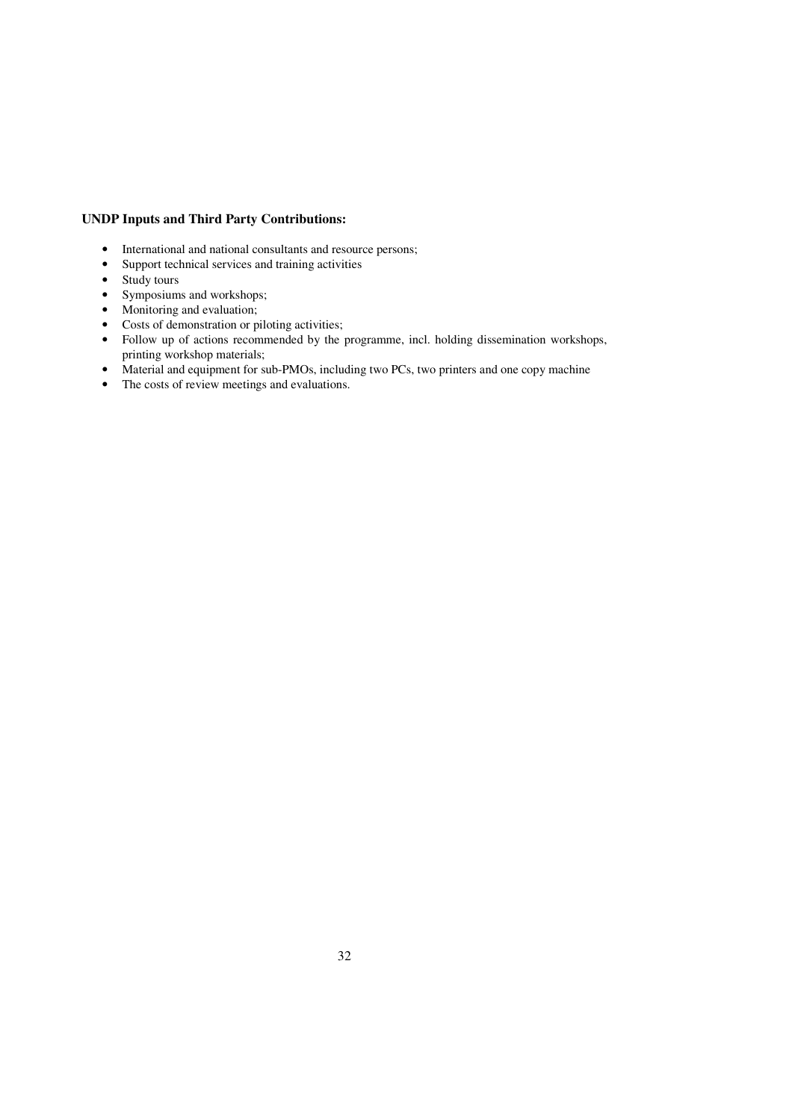# **UNDP Inputs and Third Party Contributions:**

- International and national consultants and resource persons;
- Support technical services and training activities
- Study tours
- Symposiums and workshops;
- Monitoring and evaluation;
- Costs of demonstration or piloting activities;
- Follow up of actions recommended by the programme, incl. holding dissemination workshops, printing workshop materials;
- Material and equipment for sub-PMOs, including two PCs, two printers and one copy machine
- The costs of review meetings and evaluations.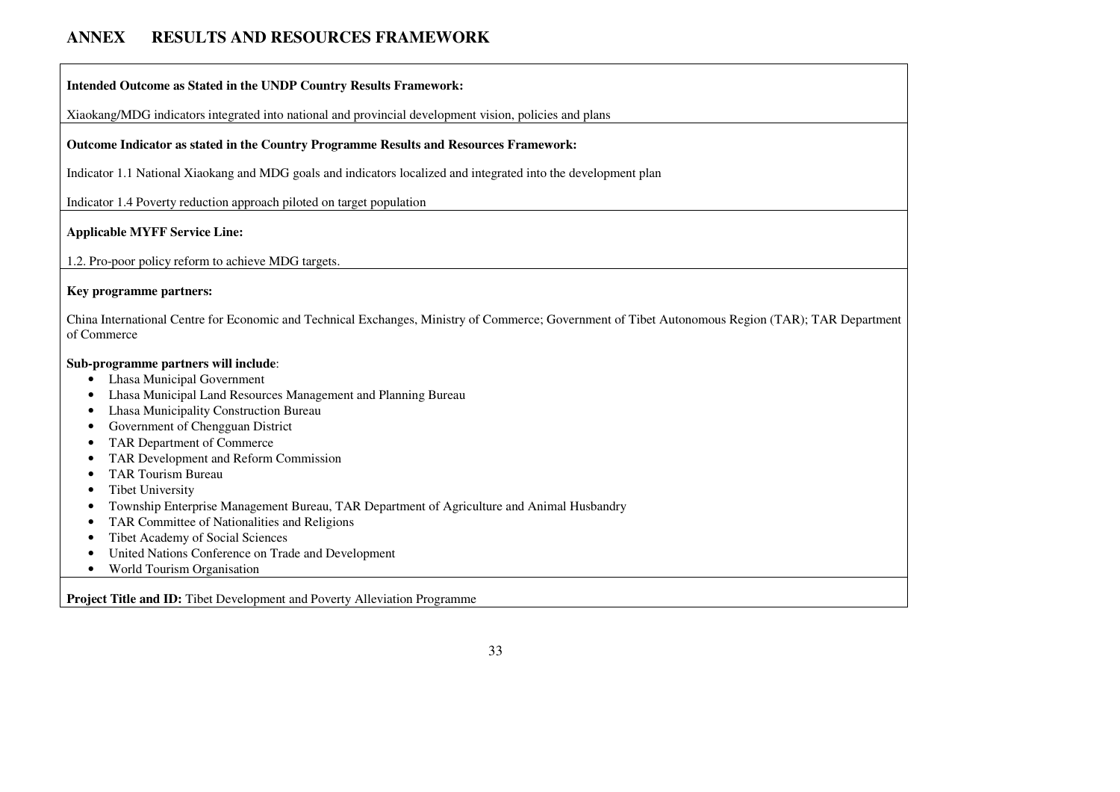# **ANNEX RESULTS AND RESOURCES FRAMEWORK**

| Intended Outcome as Stated in the UNDP Country Results Framework:                                                                                                 |
|-------------------------------------------------------------------------------------------------------------------------------------------------------------------|
| Xiaokang/MDG indicators integrated into national and provincial development vision, policies and plans                                                            |
| Outcome Indicator as stated in the Country Programme Results and Resources Framework:                                                                             |
| Indicator 1.1 National Xiaokang and MDG goals and indicators localized and integrated into the development plan                                                   |
| Indicator 1.4 Poverty reduction approach piloted on target population                                                                                             |
| <b>Applicable MYFF Service Line:</b>                                                                                                                              |
| 1.2. Pro-poor policy reform to achieve MDG targets.                                                                                                               |
| Key programme partners:                                                                                                                                           |
| China International Centre for Economic and Technical Exchanges, Ministry of Commerce; Government of Tibet Autonomous Region (TAR); TAR Department<br>of Commerce |
| Sub-programme partners will include:                                                                                                                              |
| <b>Lhasa Municipal Government</b><br>$\bullet$<br>Lhasa Municipal Land Resources Management and Planning Bureau                                                   |
| Lhasa Municipality Construction Bureau<br>٠                                                                                                                       |
| Government of Chengguan District<br>٠                                                                                                                             |
| TAR Department of Commerce<br>$\bullet$                                                                                                                           |
| TAR Development and Reform Commission<br>٠                                                                                                                        |
| <b>TAR Tourism Bureau</b>                                                                                                                                         |
| <b>Tibet University</b><br>٠                                                                                                                                      |
| Township Enterprise Management Bureau, TAR Department of Agriculture and Animal Husbandry<br>٠                                                                    |
| TAR Committee of Nationalities and Religions                                                                                                                      |
| Tibet Academy of Social Sciences                                                                                                                                  |
| United Nations Conference on Trade and Development<br>World Tourism Organisation<br>$\bullet$                                                                     |
| Project Title and ID: Tibet Development and Poverty Alleviation Programme                                                                                         |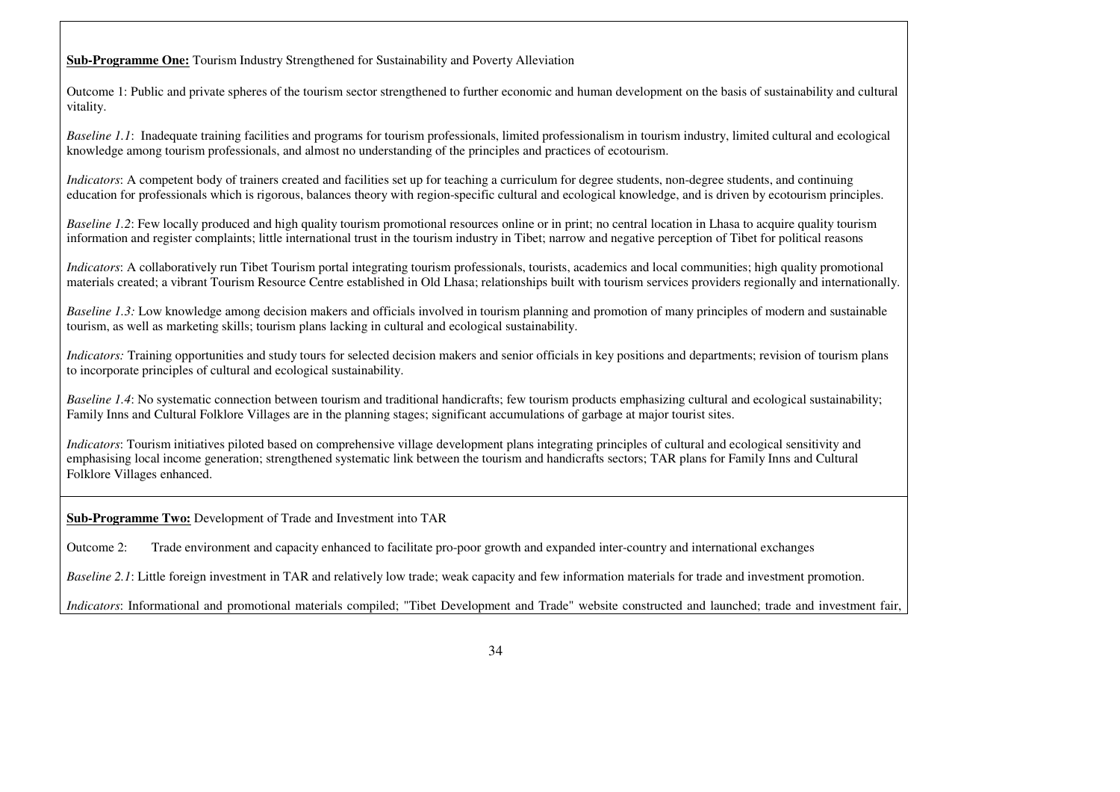**Sub-Programme One:** Tourism Industry Strengthened for Sustainability and Poverty Alleviation

Outcome 1: Public and private spheres of the tourism sector strengthened to further economic and human development on the basis of sustainability and cultural vitality.

*Baseline 1.1*: Inadequate training facilities and programs for tourism professionals, limited professionalism in tourism industry, limited cultural and ecological knowledge among tourism professionals, and almost no understanding of the principles and practices of ecotourism.

*Indicators*: A competent body of trainers created and facilities set up for teaching a curriculum for degree students, non-degree students, and continuing education for professionals which is rigorous, balances theory with region-specific cultural and ecological knowledge, and is driven by ecotourism principles.

*Baseline 1.2*: Few locally produced and high quality tourism promotional resources online or in print; no central location in Lhasa to acquire quality tourism information and register complaints; little international trust in the tourism industry in Tibet; narrow and negative perception of Tibet for political reasons

*Indicators*: A collaboratively run Tibet Tourism portal integrating tourism professionals, tourists, academics and local communities; high quality promotional materials created; a vibrant Tourism Resource Centre established in Old Lhasa; relationships built with tourism services providers regionally and internationally.

*Baseline 1.3:* Low knowledge among decision makers and officials involved in tourism planning and promotion of many principles of modern and sustainable tourism, as well as marketing skills; tourism plans lacking in cultural and ecological sustainability.

*Indicators:* Training opportunities and study tours for selected decision makers and senior officials in key positions and departments; revision of tourism plans to incorporate principles of cultural and ecological sustainability.

*Baseline 1.4*: No systematic connection between tourism and traditional handicrafts; few tourism products emphasizing cultural and ecological sustainability; Family Inns and Cultural Folklore Villages are in the planning stages; significant accumulations of garbage at major tourist sites.

*Indicators*: Tourism initiatives piloted based on comprehensive village development plans integrating principles of cultural and ecological sensitivity and emphasising local income generation; strengthened systematic link between the tourism and handicrafts sectors; TAR plans for Family Inns and Cultural Folklore Villages enhanced.

**Sub-Programme Two:** Development of Trade and Investment into TAR

Outcome 2: Trade environment and capacity enhanced to facilitate pro-poor growth and expanded inter-country and international exchanges

*Baseline 2.1*: Little foreign investment in TAR and relatively low trade; weak capacity and few information materials for trade and investment promotion.

*Indicators*: Informational and promotional materials compiled; "Tibet Development and Trade" website constructed and launched; trade and investment fair,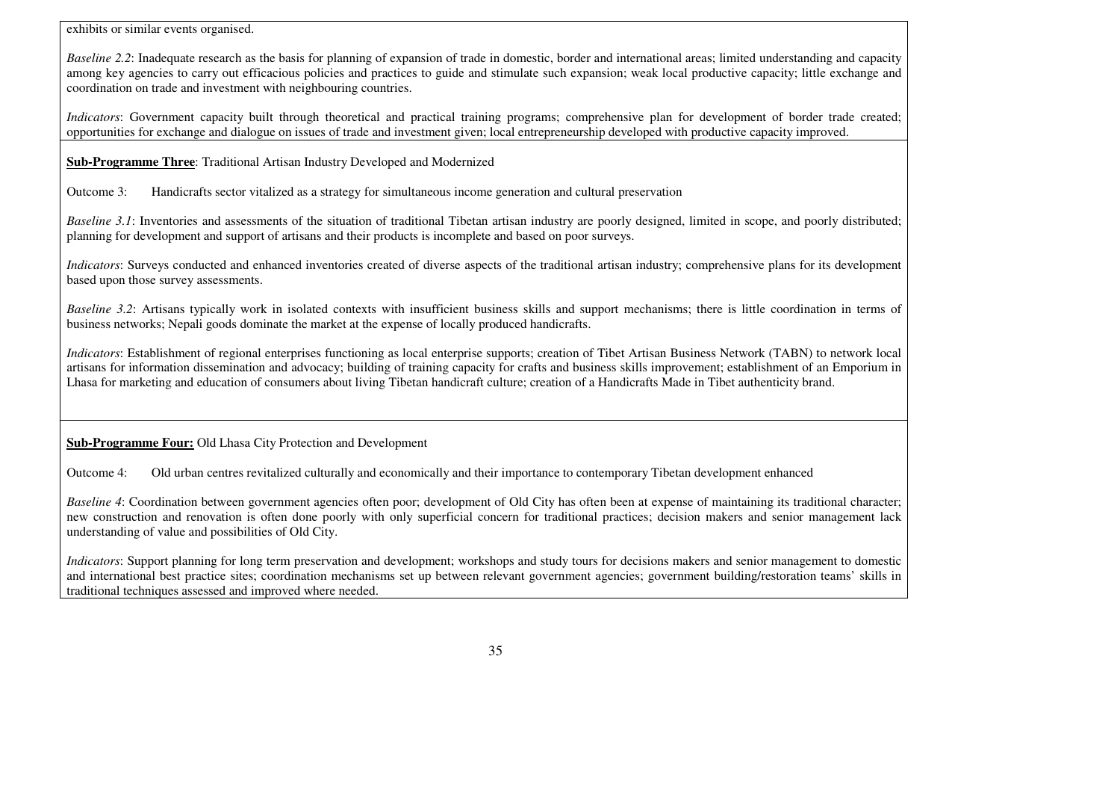exhibits or similar events organised.

*Baseline* 2.2: Inadequate research as the basis for planning of expansion of trade in domestic, border and international areas; limited understanding and capacity among key agencies to carry out efficacious policies and practices to guide and stimulate such expansion; weak local productive capacity; little exchange and coordination on trade and investment with neighbouring countries.

*Indicators*: Government capacity built through theoretical and practical training programs; comprehensive plan for development of border trade created; opportunities for exchange and dialogue on issues of trade and investment given; local entrepreneurship developed with productive capacity improved.

**Sub-Programme Three**: Traditional Artisan Industry Developed and Modernized

Outcome 3: Handicrafts sector vitalized as a strategy for simultaneous income generation and cultural preservation

*Baseline 3.1*: Inventories and assessments of the situation of traditional Tibetan artisan industry are poorly designed, limited in scope, and poorly distributed; planning for development and support of artisans and their products is incomplete and based on poor surveys.

*Indicators*: Surveys conducted and enhanced inventories created of diverse aspects of the traditional artisan industry; comprehensive plans for its development based upon those survey assessments.

*Baseline 3.2*: Artisans typically work in isolated contexts with insufficient business skills and support mechanisms; there is little coordination in terms of business networks; Nepali goods dominate the market at the expense of locally produced handicrafts.

*Indicators*: Establishment of regional enterprises functioning as local enterprise supports; creation of Tibet Artisan Business Network (TABN) to network local artisans for information dissemination and advocacy; building of training capacity for crafts and business skills improvement; establishment of an Emporium in Lhasa for marketing and education of consumers about living Tibetan handicraft culture; creation of a Handicrafts Made in Tibet authenticity brand.

**Sub-Programme Four:** Old Lhasa City Protection and Development

Outcome 4: Old urban centres revitalized culturally and economically and their importance to contemporary Tibetan development enhanced

*Baseline 4*: Coordination between government agencies often poor; development of Old City has often been at expense of maintaining its traditional character; new construction and renovation is often done poorly with only superficial concern for traditional practices; decision makers and senior management lack understanding of value and possibilities of Old City.

*Indicators*: Support planning for long term preservation and development; workshops and study tours for decisions makers and senior management to domestic and international best practice sites; coordination mechanisms set up between relevant government agencies; government building/restoration teams' skills in traditional techniques assessed and improved where needed.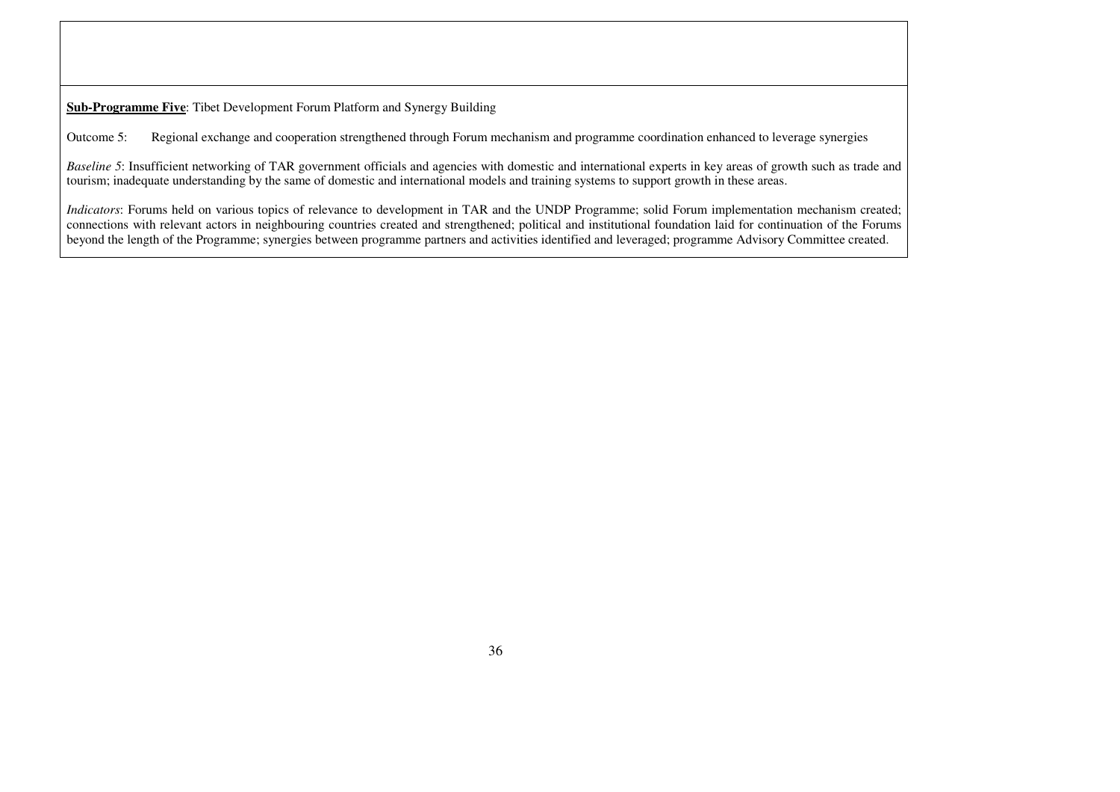**Sub-Programme Five**: Tibet Development Forum Platform and Synergy Building

Outcome 5: Regional exchange and cooperation strengthened through Forum mechanism and programme coordination enhanced to leverage synergies

*Baseline 5*: Insufficient networking of TAR government officials and agencies with domestic and international experts in key areas of growth such as trade and tourism; inadequate understanding by the same of domestic and international models and training systems to support growth in these areas.

*Indicators*: Forums held on various topics of relevance to development in TAR and the UNDP Programme; solid Forum implementation mechanism created; connections with relevant actors in neighbouring countries created and strengthened; political and institutional foundation laid for continuation of the Forums beyond the length of the Programme; synergies between programme partners and activities identified and leveraged; programme Advisory Committee created.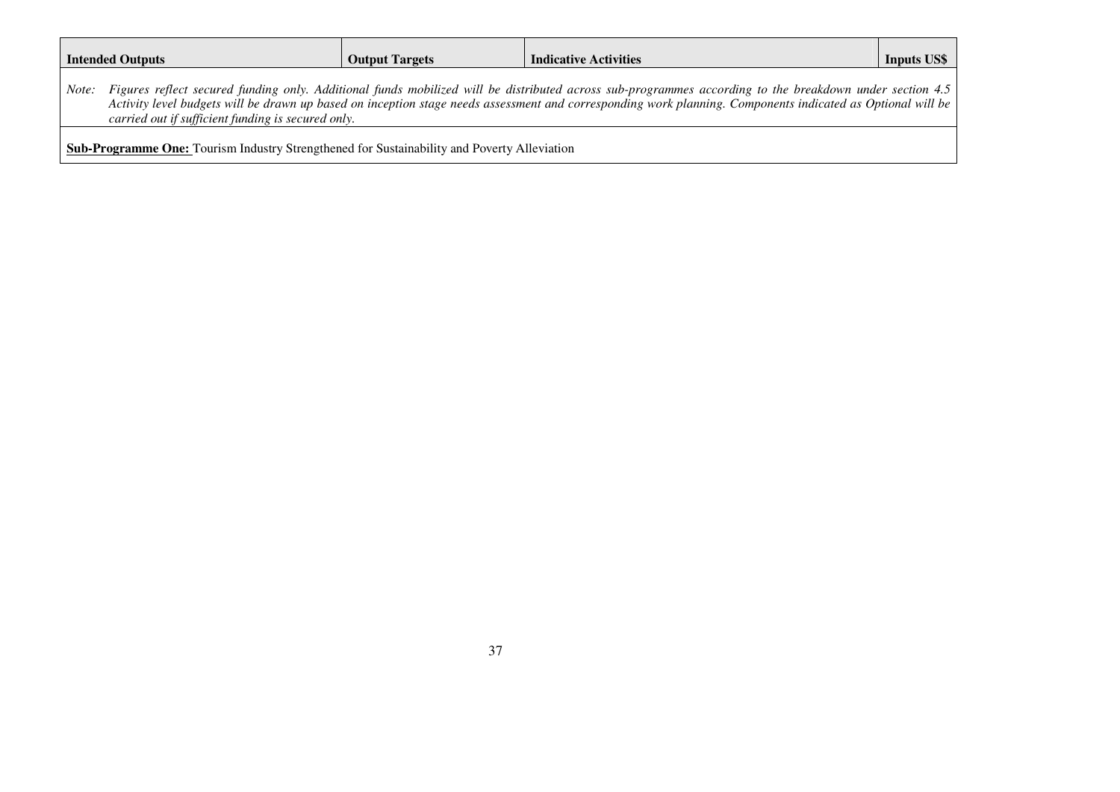| <b>Intended Outputs</b>                                                                                                                                                                                                                                                                                                                                                               | <b>Output Targets</b> | <b>Indicative Activities</b> | <b>Inputs US\$</b> |  |
|---------------------------------------------------------------------------------------------------------------------------------------------------------------------------------------------------------------------------------------------------------------------------------------------------------------------------------------------------------------------------------------|-----------------------|------------------------------|--------------------|--|
| Figures reflect secured funding only. Additional funds mobilized will be distributed across sub-programmes according to the breakdown under section 4.5<br>Note:<br>Activity level budgets will be drawn up based on inception stage needs assessment and corresponding work planning. Components indicated as Optional will be<br>carried out if sufficient funding is secured only. |                       |                              |                    |  |
| <b>Sub-Programme One:</b> Tourism Industry Strengthened for Sustainability and Poverty Alleviation                                                                                                                                                                                                                                                                                    |                       |                              |                    |  |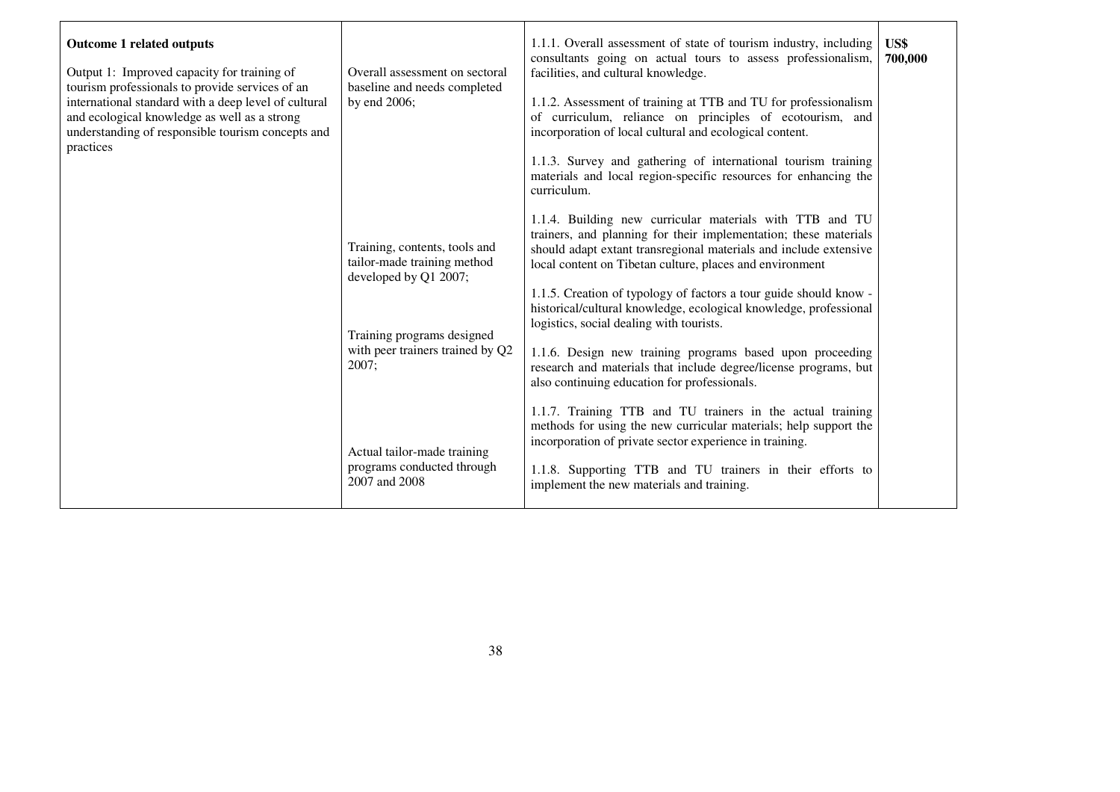| Outcome 1 related outputs<br>Output 1: Improved capacity for training of<br>tourism professionals to provide services of an<br>international standard with a deep level of cultural<br>and ecological knowledge as well as a strong<br>understanding of responsible tourism concepts and<br>practices | Overall assessment on sectoral<br>baseline and needs completed<br>by end 2006;                                                                                                                                                                 | 1.1.1. Overall assessment of state of tourism industry, including<br>consultants going on actual tours to assess professionalism,<br>facilities, and cultural knowledge.<br>1.1.2. Assessment of training at TTB and TU for professionalism<br>of curriculum, reliance on principles of ecotourism, and<br>incorporation of local cultural and ecological content.<br>1.1.3. Survey and gathering of international tourism training<br>materials and local region-specific resources for enhancing the<br>curriculum.                                                                                                                                                                                                                                                                                                                                                                                                                       | US\$<br>700,000 |
|-------------------------------------------------------------------------------------------------------------------------------------------------------------------------------------------------------------------------------------------------------------------------------------------------------|------------------------------------------------------------------------------------------------------------------------------------------------------------------------------------------------------------------------------------------------|---------------------------------------------------------------------------------------------------------------------------------------------------------------------------------------------------------------------------------------------------------------------------------------------------------------------------------------------------------------------------------------------------------------------------------------------------------------------------------------------------------------------------------------------------------------------------------------------------------------------------------------------------------------------------------------------------------------------------------------------------------------------------------------------------------------------------------------------------------------------------------------------------------------------------------------------|-----------------|
|                                                                                                                                                                                                                                                                                                       | Training, contents, tools and<br>tailor-made training method<br>developed by Q1 2007;<br>Training programs designed<br>with peer trainers trained by Q2<br>2007;<br>Actual tailor-made training<br>programs conducted through<br>2007 and 2008 | 1.1.4. Building new curricular materials with TTB and TU<br>trainers, and planning for their implementation; these materials<br>should adapt extant transregional materials and include extensive<br>local content on Tibetan culture, places and environment<br>1.1.5. Creation of typology of factors a tour guide should know -<br>historical/cultural knowledge, ecological knowledge, professional<br>logistics, social dealing with tourists.<br>1.1.6. Design new training programs based upon proceeding<br>research and materials that include degree/license programs, but<br>also continuing education for professionals.<br>1.1.7. Training TTB and TU trainers in the actual training<br>methods for using the new curricular materials; help support the<br>incorporation of private sector experience in training.<br>1.1.8. Supporting TTB and TU trainers in their efforts to<br>implement the new materials and training. |                 |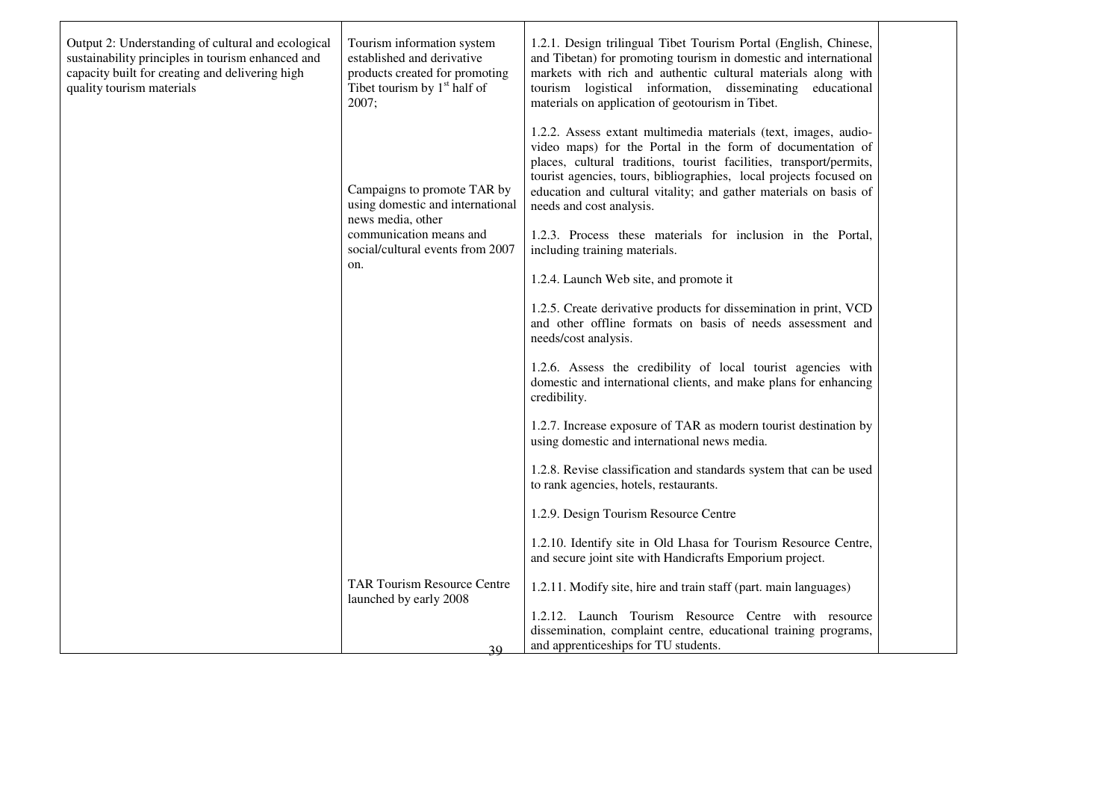| Output 2: Understanding of cultural and ecological<br>sustainability principles in tourism enhanced and<br>capacity built for creating and delivering high<br>quality tourism materials | Tourism information system<br>established and derivative<br>products created for promoting<br>Tibet tourism by $1st$ half of<br>2007;               | 1.2.1. Design trilingual Tibet Tourism Portal (English, Chinese,<br>and Tibetan) for promoting tourism in domestic and international<br>markets with rich and authentic cultural materials along with<br>tourism logistical information, disseminating educational<br>materials on application of geotourism in Tibet.                                                                                                                                                      |
|-----------------------------------------------------------------------------------------------------------------------------------------------------------------------------------------|-----------------------------------------------------------------------------------------------------------------------------------------------------|-----------------------------------------------------------------------------------------------------------------------------------------------------------------------------------------------------------------------------------------------------------------------------------------------------------------------------------------------------------------------------------------------------------------------------------------------------------------------------|
|                                                                                                                                                                                         | Campaigns to promote TAR by<br>using domestic and international<br>news media, other<br>communication means and<br>social/cultural events from 2007 | 1.2.2. Assess extant multimedia materials (text, images, audio-<br>video maps) for the Portal in the form of documentation of<br>places, cultural traditions, tourist facilities, transport/permits,<br>tourist agencies, tours, bibliographies, local projects focused on<br>education and cultural vitality; and gather materials on basis of<br>needs and cost analysis.<br>1.2.3. Process these materials for inclusion in the Portal,<br>including training materials. |
|                                                                                                                                                                                         | on.                                                                                                                                                 | 1.2.4. Launch Web site, and promote it                                                                                                                                                                                                                                                                                                                                                                                                                                      |
|                                                                                                                                                                                         |                                                                                                                                                     | 1.2.5. Create derivative products for dissemination in print, VCD<br>and other offline formats on basis of needs assessment and<br>needs/cost analysis.                                                                                                                                                                                                                                                                                                                     |
|                                                                                                                                                                                         |                                                                                                                                                     | 1.2.6. Assess the credibility of local tourist agencies with<br>domestic and international clients, and make plans for enhancing<br>credibility.                                                                                                                                                                                                                                                                                                                            |
|                                                                                                                                                                                         |                                                                                                                                                     | 1.2.7. Increase exposure of TAR as modern tourist destination by<br>using domestic and international news media.                                                                                                                                                                                                                                                                                                                                                            |
|                                                                                                                                                                                         |                                                                                                                                                     | 1.2.8. Revise classification and standards system that can be used<br>to rank agencies, hotels, restaurants.                                                                                                                                                                                                                                                                                                                                                                |
|                                                                                                                                                                                         |                                                                                                                                                     | 1.2.9. Design Tourism Resource Centre                                                                                                                                                                                                                                                                                                                                                                                                                                       |
|                                                                                                                                                                                         |                                                                                                                                                     | 1.2.10. Identify site in Old Lhasa for Tourism Resource Centre,<br>and secure joint site with Handicrafts Emporium project.                                                                                                                                                                                                                                                                                                                                                 |
|                                                                                                                                                                                         | <b>TAR Tourism Resource Centre</b><br>launched by early 2008                                                                                        | 1.2.11. Modify site, hire and train staff (part. main languages)                                                                                                                                                                                                                                                                                                                                                                                                            |
|                                                                                                                                                                                         | 39                                                                                                                                                  | 1.2.12. Launch Tourism Resource Centre with resource<br>dissemination, complaint centre, educational training programs,<br>and apprenticeships for TU students.                                                                                                                                                                                                                                                                                                             |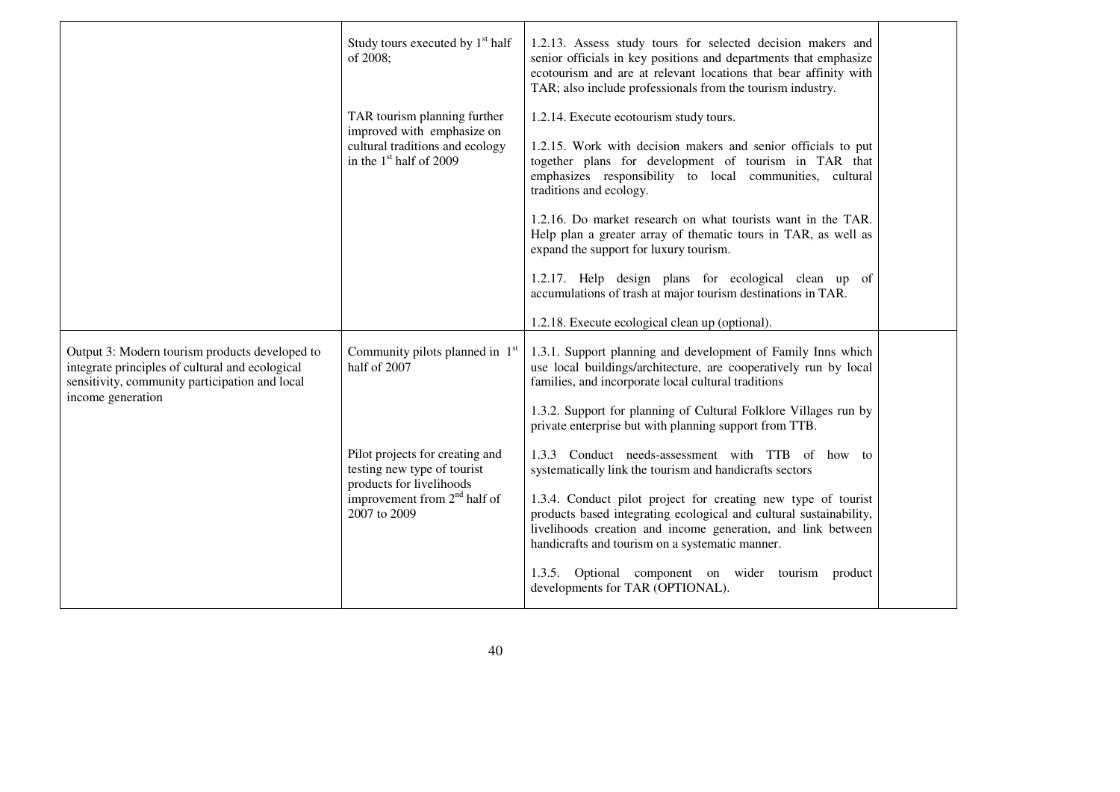|                                                                                                                                                                          | Study tours executed by $1st$ half<br>of 2008;                                                                             | 1.2.13. Assess study tours for selected decision makers and<br>senior officials in key positions and departments that emphasize<br>ecotourism and are at relevant locations that bear affinity with<br>TAR; also include professionals from the tourism industry. |  |
|--------------------------------------------------------------------------------------------------------------------------------------------------------------------------|----------------------------------------------------------------------------------------------------------------------------|-------------------------------------------------------------------------------------------------------------------------------------------------------------------------------------------------------------------------------------------------------------------|--|
|                                                                                                                                                                          | TAR tourism planning further<br>improved with emphasize on<br>cultural traditions and ecology<br>in the $1st$ half of 2009 | 1.2.14. Execute ecotourism study tours.<br>1.2.15. Work with decision makers and senior officials to put<br>together plans for development of tourism in TAR that<br>emphasizes responsibility to local communities, cultural<br>traditions and ecology.          |  |
|                                                                                                                                                                          |                                                                                                                            | 1.2.16. Do market research on what tourists want in the TAR.<br>Help plan a greater array of thematic tours in TAR, as well as<br>expand the support for luxury tourism.                                                                                          |  |
|                                                                                                                                                                          |                                                                                                                            | 1.2.17. Help design plans for ecological clean up of<br>accumulations of trash at major tourism destinations in TAR.                                                                                                                                              |  |
|                                                                                                                                                                          |                                                                                                                            | 1.2.18. Execute ecological clean up (optional).                                                                                                                                                                                                                   |  |
| Output 3: Modern tourism products developed to<br>integrate principles of cultural and ecological<br>sensitivity, community participation and local<br>income generation | Community pilots planned in $1st$<br>half of 2007                                                                          | 1.3.1. Support planning and development of Family Inns which<br>use local buildings/architecture, are cooperatively run by local<br>families, and incorporate local cultural traditions                                                                           |  |
|                                                                                                                                                                          |                                                                                                                            | 1.3.2. Support for planning of Cultural Folklore Villages run by<br>private enterprise but with planning support from TTB.                                                                                                                                        |  |
|                                                                                                                                                                          | Pilot projects for creating and<br>testing new type of tourist<br>products for livelihoods                                 | 1.3.3 Conduct needs-assessment with TTB of how to<br>systematically link the tourism and handicrafts sectors                                                                                                                                                      |  |
|                                                                                                                                                                          | improvement from $2nd$ half of<br>2007 to 2009                                                                             | 1.3.4. Conduct pilot project for creating new type of tourist<br>products based integrating ecological and cultural sustainability,<br>livelihoods creation and income generation, and link between<br>handicrafts and tourism on a systematic manner.            |  |
|                                                                                                                                                                          |                                                                                                                            | 1.3.5. Optional component on wider tourism product<br>developments for TAR (OPTIONAL).                                                                                                                                                                            |  |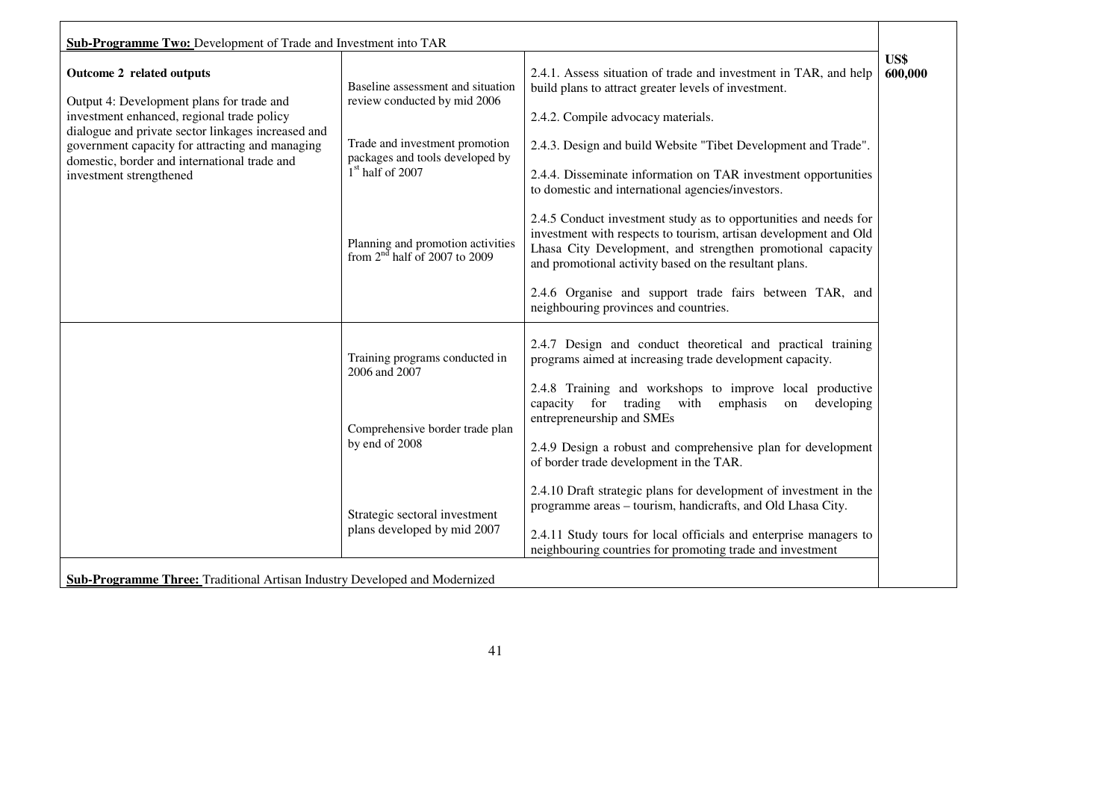| Outcome 2 related outputs<br>Output 4: Development plans for trade and                           | Baseline assessment and situation<br>review conducted by mid 2006    | 2.4.1. Assess situation of trade and investment in TAR, and help<br>build plans to attract greater levels of investment.                                                                                                                                      | 600,000 |
|--------------------------------------------------------------------------------------------------|----------------------------------------------------------------------|---------------------------------------------------------------------------------------------------------------------------------------------------------------------------------------------------------------------------------------------------------------|---------|
| investment enhanced, regional trade policy<br>dialogue and private sector linkages increased and |                                                                      | 2.4.2. Compile advocacy materials.                                                                                                                                                                                                                            |         |
| government capacity for attracting and managing<br>domestic, border and international trade and  | Trade and investment promotion<br>packages and tools developed by    | 2.4.3. Design and build Website "Tibet Development and Trade".                                                                                                                                                                                                |         |
| investment strengthened                                                                          | $1st$ half of 2007                                                   | 2.4.4. Disseminate information on TAR investment opportunities<br>to domestic and international agencies/investors.                                                                                                                                           |         |
|                                                                                                  | Planning and promotion activities<br>from $2nd$ half of 2007 to 2009 | 2.4.5 Conduct investment study as to opportunities and needs for<br>investment with respects to tourism, artisan development and Old<br>Lhasa City Development, and strengthen promotional capacity<br>and promotional activity based on the resultant plans. |         |
|                                                                                                  |                                                                      | 2.4.6 Organise and support trade fairs between TAR, and<br>neighbouring provinces and countries.                                                                                                                                                              |         |
|                                                                                                  | Training programs conducted in<br>2006 and 2007                      | 2.4.7 Design and conduct theoretical and practical training<br>programs aimed at increasing trade development capacity.                                                                                                                                       |         |
|                                                                                                  | Comprehensive border trade plan                                      | 2.4.8 Training and workshops to improve local productive<br>capacity<br>for trading<br>with<br>emphasis<br>developing<br>on<br>entrepreneurship and SMEs                                                                                                      |         |
|                                                                                                  | by end of 2008                                                       | 2.4.9 Design a robust and comprehensive plan for development<br>of border trade development in the TAR.                                                                                                                                                       |         |
|                                                                                                  | Strategic sectoral investment                                        | 2.4.10 Draft strategic plans for development of investment in the<br>programme areas - tourism, handicrafts, and Old Lhasa City.                                                                                                                              |         |
|                                                                                                  | plans developed by mid 2007                                          | 2.4.11 Study tours for local officials and enterprise managers to<br>neighbouring countries for promoting trade and investment                                                                                                                                |         |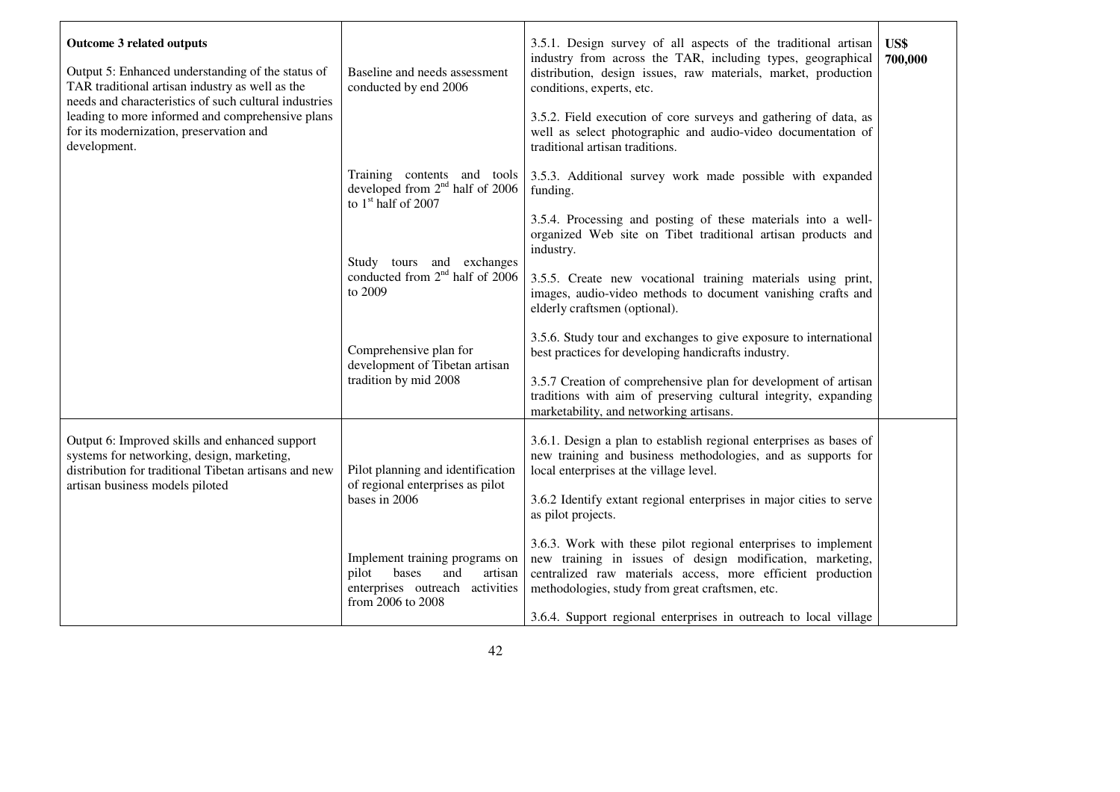| Outcome 3 related outputs<br>Output 5: Enhanced understanding of the status of<br>TAR traditional artisan industry as well as the<br>needs and characteristics of such cultural industries<br>leading to more informed and comprehensive plans<br>for its modernization, preservation and<br>development. | Baseline and needs assessment<br>conducted by end 2006                                                                     | 3.5.1. Design survey of all aspects of the traditional artisan<br>industry from across the TAR, including types, geographical<br>distribution, design issues, raw materials, market, production<br>conditions, experts, etc.<br>3.5.2. Field execution of core surveys and gathering of data, as<br>well as select photographic and audio-video documentation of<br>traditional artisan traditions. | US\$<br>700,000 |
|-----------------------------------------------------------------------------------------------------------------------------------------------------------------------------------------------------------------------------------------------------------------------------------------------------------|----------------------------------------------------------------------------------------------------------------------------|-----------------------------------------------------------------------------------------------------------------------------------------------------------------------------------------------------------------------------------------------------------------------------------------------------------------------------------------------------------------------------------------------------|-----------------|
|                                                                                                                                                                                                                                                                                                           | Training contents and tools<br>developed from $2nd$ half of 2006<br>to $1st$ half of 2007                                  | 3.5.3. Additional survey work made possible with expanded<br>funding.                                                                                                                                                                                                                                                                                                                               |                 |
|                                                                                                                                                                                                                                                                                                           |                                                                                                                            | 3.5.4. Processing and posting of these materials into a well-<br>organized Web site on Tibet traditional artisan products and<br>industry.                                                                                                                                                                                                                                                          |                 |
|                                                                                                                                                                                                                                                                                                           | Study tours and exchanges<br>conducted from 2 <sup>nd</sup> half of 2006<br>to 2009                                        | 3.5.5. Create new vocational training materials using print,<br>images, audio-video methods to document vanishing crafts and<br>elderly craftsmen (optional).                                                                                                                                                                                                                                       |                 |
|                                                                                                                                                                                                                                                                                                           | Comprehensive plan for<br>development of Tibetan artisan<br>tradition by mid 2008                                          | 3.5.6. Study tour and exchanges to give exposure to international<br>best practices for developing handicrafts industry.                                                                                                                                                                                                                                                                            |                 |
|                                                                                                                                                                                                                                                                                                           |                                                                                                                            | 3.5.7 Creation of comprehensive plan for development of artisan<br>traditions with aim of preserving cultural integrity, expanding<br>marketability, and networking artisans.                                                                                                                                                                                                                       |                 |
| Output 6: Improved skills and enhanced support<br>systems for networking, design, marketing,<br>distribution for traditional Tibetan artisans and new<br>artisan business models piloted                                                                                                                  | Pilot planning and identification<br>of regional enterprises as pilot<br>bases in 2006                                     | 3.6.1. Design a plan to establish regional enterprises as bases of<br>new training and business methodologies, and as supports for<br>local enterprises at the village level.                                                                                                                                                                                                                       |                 |
|                                                                                                                                                                                                                                                                                                           |                                                                                                                            | 3.6.2 Identify extant regional enterprises in major cities to serve<br>as pilot projects.                                                                                                                                                                                                                                                                                                           |                 |
|                                                                                                                                                                                                                                                                                                           | Implement training programs on<br>and<br>pilot<br>bases<br>artisan<br>enterprises outreach activities<br>from 2006 to 2008 | 3.6.3. Work with these pilot regional enterprises to implement<br>new training in issues of design modification, marketing,<br>centralized raw materials access, more efficient production<br>methodologies, study from great craftsmen, etc.                                                                                                                                                       |                 |
|                                                                                                                                                                                                                                                                                                           |                                                                                                                            | 3.6.4. Support regional enterprises in outreach to local village                                                                                                                                                                                                                                                                                                                                    |                 |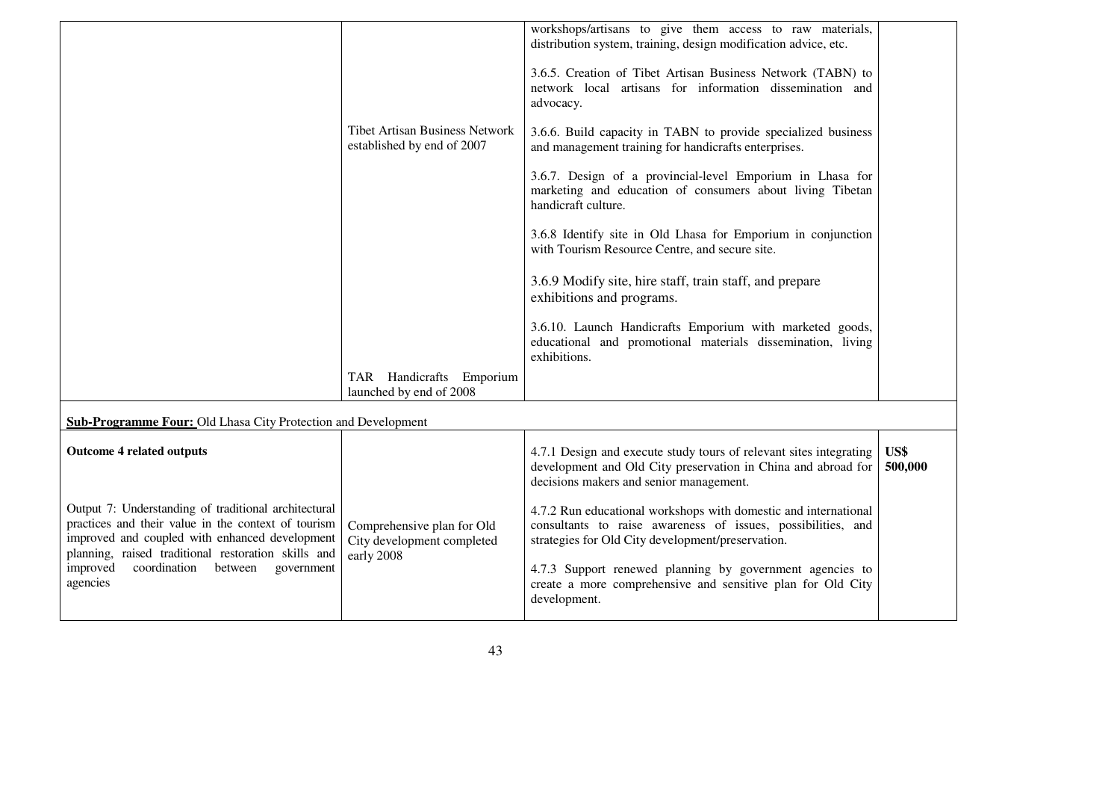|                                                                                                                                                                                                                                                                                       | <b>Tibet Artisan Business Network</b><br>established by end of 2007    | workshops/artisans to give them access to raw materials,<br>distribution system, training, design modification advice, etc.<br>3.6.5. Creation of Tibet Artisan Business Network (TABN) to<br>network local artisans for information dissemination and<br>advocacy.<br>3.6.6. Build capacity in TABN to provide specialized business<br>and management training for handicrafts enterprises.<br>3.6.7. Design of a provincial-level Emporium in Lhasa for<br>marketing and education of consumers about living Tibetan<br>handicraft culture.<br>3.6.8 Identify site in Old Lhasa for Emporium in conjunction<br>with Tourism Resource Centre, and secure site.<br>3.6.9 Modify site, hire staff, train staff, and prepare<br>exhibitions and programs.<br>3.6.10. Launch Handicrafts Emporium with marketed goods, |                 |
|---------------------------------------------------------------------------------------------------------------------------------------------------------------------------------------------------------------------------------------------------------------------------------------|------------------------------------------------------------------------|---------------------------------------------------------------------------------------------------------------------------------------------------------------------------------------------------------------------------------------------------------------------------------------------------------------------------------------------------------------------------------------------------------------------------------------------------------------------------------------------------------------------------------------------------------------------------------------------------------------------------------------------------------------------------------------------------------------------------------------------------------------------------------------------------------------------|-----------------|
|                                                                                                                                                                                                                                                                                       | TAR Handicrafts Emporium<br>launched by end of 2008                    | educational and promotional materials dissemination, living<br>exhibitions.                                                                                                                                                                                                                                                                                                                                                                                                                                                                                                                                                                                                                                                                                                                                         |                 |
| Sub-Programme Four: Old Lhasa City Protection and Development                                                                                                                                                                                                                         |                                                                        |                                                                                                                                                                                                                                                                                                                                                                                                                                                                                                                                                                                                                                                                                                                                                                                                                     |                 |
|                                                                                                                                                                                                                                                                                       |                                                                        |                                                                                                                                                                                                                                                                                                                                                                                                                                                                                                                                                                                                                                                                                                                                                                                                                     |                 |
| <b>Outcome 4 related outputs</b>                                                                                                                                                                                                                                                      |                                                                        | 4.7.1 Design and execute study tours of relevant sites integrating<br>development and Old City preservation in China and abroad for<br>decisions makers and senior management.                                                                                                                                                                                                                                                                                                                                                                                                                                                                                                                                                                                                                                      | US\$<br>500,000 |
| Output 7: Understanding of traditional architectural<br>practices and their value in the context of tourism<br>improved and coupled with enhanced development<br>planning, raised traditional restoration skills and<br>improved<br>coordination<br>between<br>government<br>agencies | Comprehensive plan for Old<br>City development completed<br>early 2008 | 4.7.2 Run educational workshops with domestic and international<br>consultants to raise awareness of issues, possibilities, and<br>strategies for Old City development/preservation.<br>4.7.3 Support renewed planning by government agencies to<br>create a more comprehensive and sensitive plan for Old City<br>development.                                                                                                                                                                                                                                                                                                                                                                                                                                                                                     |                 |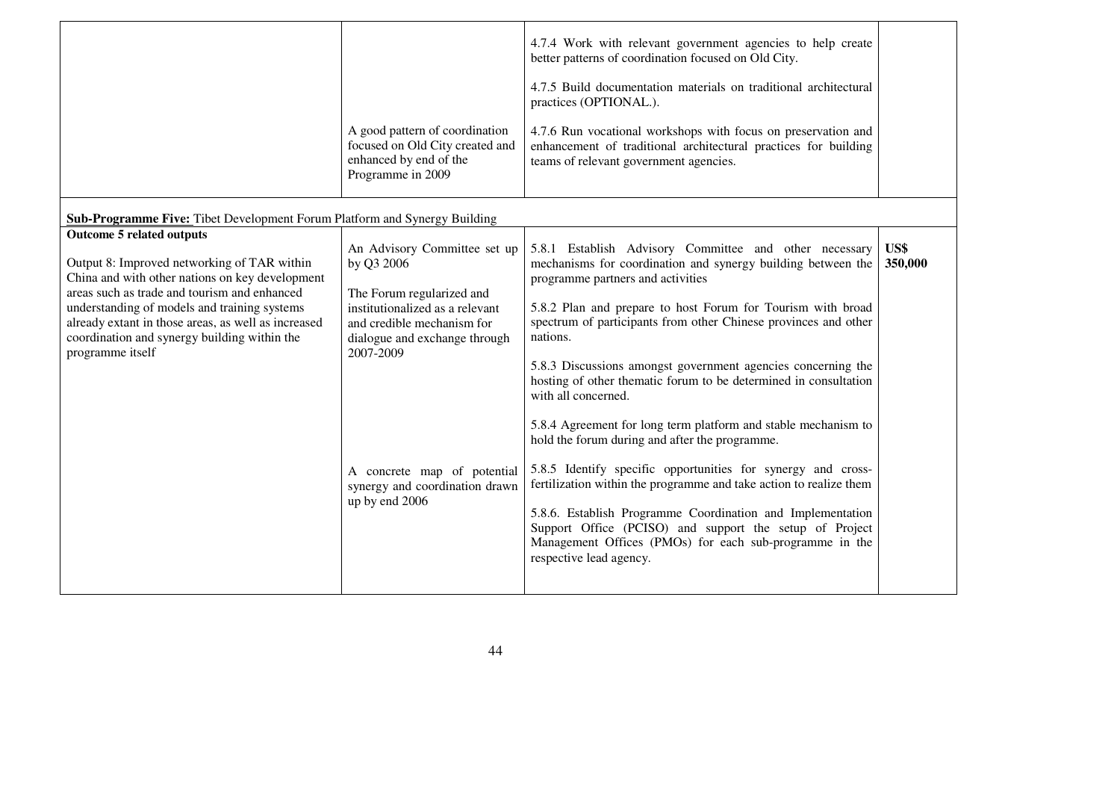|                                                                                                                                                                                                                                                                                                                                                               | A good pattern of coordination<br>focused on Old City created and<br>enhanced by end of the<br>Programme in 2009                                                                                                                                                          | 4.7.4 Work with relevant government agencies to help create<br>better patterns of coordination focused on Old City.<br>4.7.5 Build documentation materials on traditional architectural<br>practices (OPTIONAL.).<br>4.7.6 Run vocational workshops with focus on preservation and<br>enhancement of traditional architectural practices for building<br>teams of relevant government agencies.                                                                                                                                                                                                                                                                                                                                                                                                                                                                                                                                               |                 |
|---------------------------------------------------------------------------------------------------------------------------------------------------------------------------------------------------------------------------------------------------------------------------------------------------------------------------------------------------------------|---------------------------------------------------------------------------------------------------------------------------------------------------------------------------------------------------------------------------------------------------------------------------|-----------------------------------------------------------------------------------------------------------------------------------------------------------------------------------------------------------------------------------------------------------------------------------------------------------------------------------------------------------------------------------------------------------------------------------------------------------------------------------------------------------------------------------------------------------------------------------------------------------------------------------------------------------------------------------------------------------------------------------------------------------------------------------------------------------------------------------------------------------------------------------------------------------------------------------------------|-----------------|
| Sub-Programme Five: Tibet Development Forum Platform and Synergy Building                                                                                                                                                                                                                                                                                     |                                                                                                                                                                                                                                                                           |                                                                                                                                                                                                                                                                                                                                                                                                                                                                                                                                                                                                                                                                                                                                                                                                                                                                                                                                               |                 |
| <b>Outcome 5 related outputs</b><br>Output 8: Improved networking of TAR within<br>China and with other nations on key development<br>areas such as trade and tourism and enhanced<br>understanding of models and training systems<br>already extant in those areas, as well as increased<br>coordination and synergy building within the<br>programme itself | An Advisory Committee set up<br>by Q3 2006<br>The Forum regularized and<br>institutionalized as a relevant<br>and credible mechanism for<br>dialogue and exchange through<br>2007-2009<br>A concrete map of potential<br>synergy and coordination drawn<br>up by end 2006 | 5.8.1 Establish Advisory Committee and other necessary<br>mechanisms for coordination and synergy building between the<br>programme partners and activities<br>5.8.2 Plan and prepare to host Forum for Tourism with broad<br>spectrum of participants from other Chinese provinces and other<br>nations.<br>5.8.3 Discussions amongst government agencies concerning the<br>hosting of other thematic forum to be determined in consultation<br>with all concerned.<br>5.8.4 Agreement for long term platform and stable mechanism to<br>hold the forum during and after the programme.<br>5.8.5 Identify specific opportunities for synergy and cross-<br>fertilization within the programme and take action to realize them<br>5.8.6. Establish Programme Coordination and Implementation<br>Support Office (PCISO) and support the setup of Project<br>Management Offices (PMOs) for each sub-programme in the<br>respective lead agency. | US\$<br>350,000 |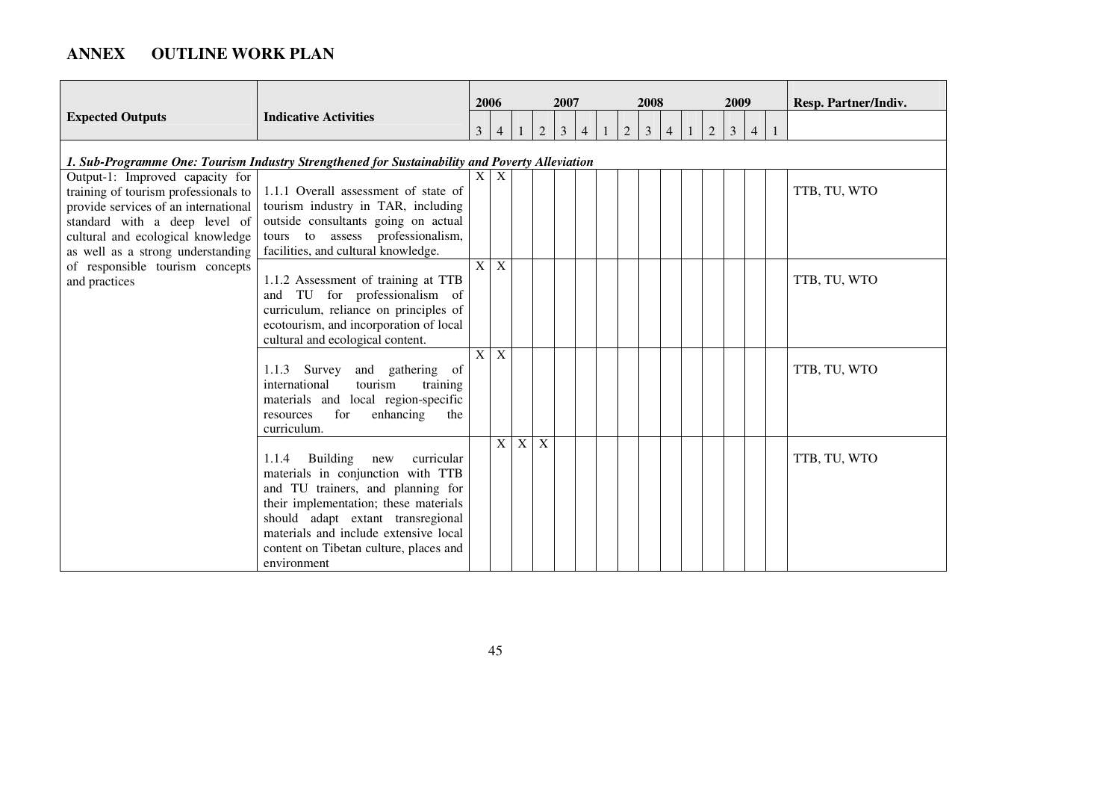# **ANNEX OUTLINE WORK PLAN**

|                                                                                                                                                                                                                            |                                                                                                                                                                                                                                                                                               |   | 2006             |                |                | 2007 |                |   | 2008 |                |   | 2009 |                | Resp. Partner/Indiv. |
|----------------------------------------------------------------------------------------------------------------------------------------------------------------------------------------------------------------------------|-----------------------------------------------------------------------------------------------------------------------------------------------------------------------------------------------------------------------------------------------------------------------------------------------|---|------------------|----------------|----------------|------|----------------|---|------|----------------|---|------|----------------|----------------------|
| <b>Expected Outputs</b>                                                                                                                                                                                                    | <b>Indicative Activities</b>                                                                                                                                                                                                                                                                  | 3 | $\overline{4}$   |                | $\overline{2}$ | 3    | $\overline{4}$ | 2 | 3    | $\overline{4}$ | 2 | 3    | $\overline{4}$ |                      |
|                                                                                                                                                                                                                            | 1. Sub-Programme One: Tourism Industry Strengthened for Sustainability and Poverty Alleviation                                                                                                                                                                                                |   |                  |                |                |      |                |   |      |                |   |      |                |                      |
| Output-1: Improved capacity for<br>training of tourism professionals to<br>provide services of an international<br>standard with a deep level of<br>cultural and ecological knowledge<br>as well as a strong understanding | 1.1.1 Overall assessment of state of<br>tourism industry in TAR, including<br>outside consultants going on actual<br>tours to assess professionalism,<br>facilities, and cultural knowledge.                                                                                                  | X | $\boldsymbol{X}$ |                |                |      |                |   |      |                |   |      |                | TTB, TU, WTO         |
| of responsible tourism concepts<br>and practices                                                                                                                                                                           | 1.1.2 Assessment of training at TTB<br>and TU for professionalism of<br>curriculum, reliance on principles of<br>ecotourism, and incorporation of local<br>cultural and ecological content.                                                                                                   | X | $\overline{X}$   |                |                |      |                |   |      |                |   |      |                | TTB, TU, WTO         |
|                                                                                                                                                                                                                            | 1.1.3 Survey and gathering<br><sub>of</sub><br>international<br>tourism<br>training<br>materials and local region-specific<br>enhancing<br>for<br>the<br>resources<br>curriculum.                                                                                                             | X | $\overline{X}$   |                |                |      |                |   |      |                |   |      |                | TTB, TU, WTO         |
|                                                                                                                                                                                                                            | 1.1.4 Building<br>curricular<br>new<br>materials in conjunction with TTB<br>and TU trainers, and planning for<br>their implementation; these materials<br>should adapt extant transregional<br>materials and include extensive local<br>content on Tibetan culture, places and<br>environment |   | $\overline{X}$   | $\overline{X}$ | $\overline{X}$ |      |                |   |      |                |   |      |                | TTB, TU, WTO         |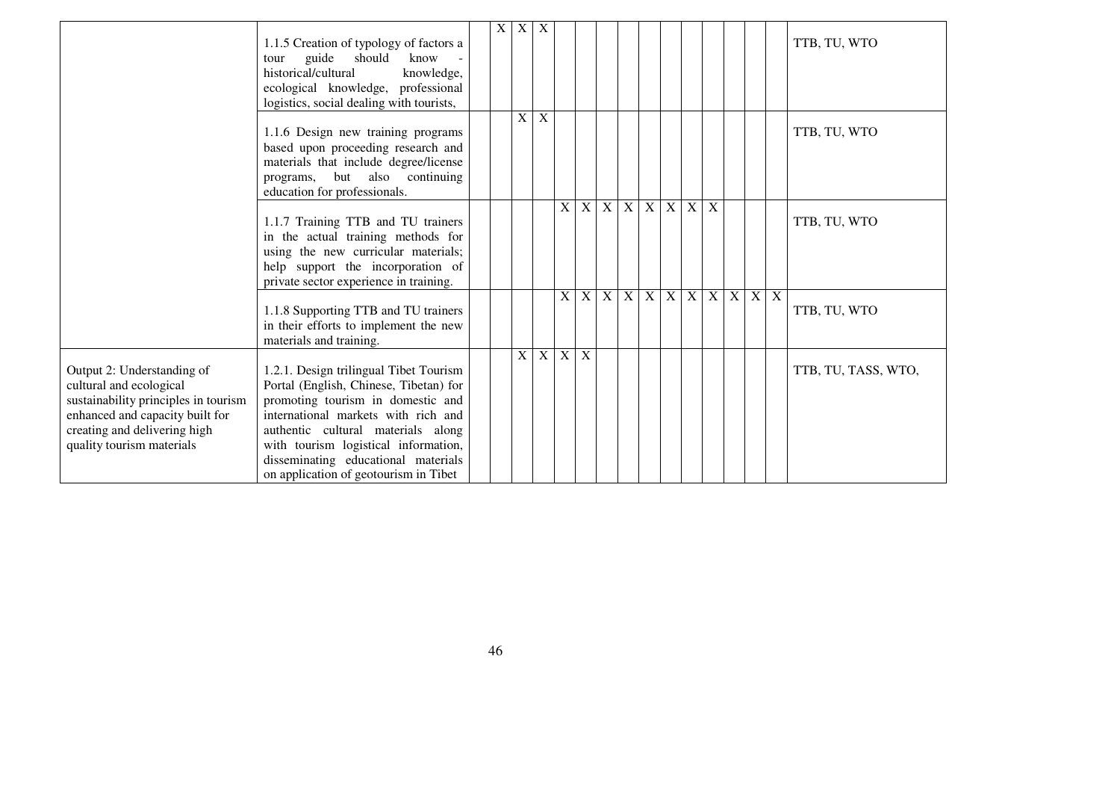|                                                                                                                                                                                               | 1.1.5 Creation of typology of factors a<br>guide should<br>know<br>tour<br>historical/cultural<br>knowledge,<br>ecological knowledge, professional                                                                                                                                                                         | X | $\overline{X}$ | X |     |                |                |                |   |                |            |     |   |                |                | TTB, TU, WTO        |
|-----------------------------------------------------------------------------------------------------------------------------------------------------------------------------------------------|----------------------------------------------------------------------------------------------------------------------------------------------------------------------------------------------------------------------------------------------------------------------------------------------------------------------------|---|----------------|---|-----|----------------|----------------|----------------|---|----------------|------------|-----|---|----------------|----------------|---------------------|
|                                                                                                                                                                                               | logistics, social dealing with tourists,                                                                                                                                                                                                                                                                                   |   |                |   |     |                |                |                |   |                |            |     |   |                |                |                     |
|                                                                                                                                                                                               | 1.1.6 Design new training programs<br>based upon proceeding research and<br>materials that include degree/license<br>programs, but also continuing<br>education for professionals.                                                                                                                                         |   | X              | X |     |                |                |                |   |                |            |     |   |                |                | TTB, TU, WTO        |
|                                                                                                                                                                                               | 1.1.7 Training TTB and TU trainers<br>in the actual training methods for<br>using the new curricular materials;<br>help support the incorporation of<br>private sector experience in training.                                                                                                                             |   |                |   | X   | $\overline{X}$ | $\overline{X}$ | $\overline{X}$ | X | $\overline{X}$ | $X \mid X$ |     |   |                |                | TTB, TU, WTO        |
|                                                                                                                                                                                               | 1.1.8 Supporting TTB and TU trainers<br>in their efforts to implement the new<br>materials and training.                                                                                                                                                                                                                   |   |                |   | X   | $\overline{X}$ | $\overline{X}$ | X              | X | X              |            | X X | X | $\overline{X}$ | $\overline{X}$ | TTB, TU, WTO        |
| Output 2: Understanding of<br>cultural and ecological<br>sustainability principles in tourism<br>enhanced and capacity built for<br>creating and delivering high<br>quality tourism materials | 1.2.1. Design trilingual Tibet Tourism<br>Portal (English, Chinese, Tibetan) for<br>promoting tourism in domestic and<br>international markets with rich and<br>authentic cultural materials along<br>with tourism logistical information,<br>disseminating educational materials<br>on application of geotourism in Tibet |   | X              |   | X X | $\overline{X}$ |                |                |   |                |            |     |   |                |                | TTB, TU, TASS, WTO, |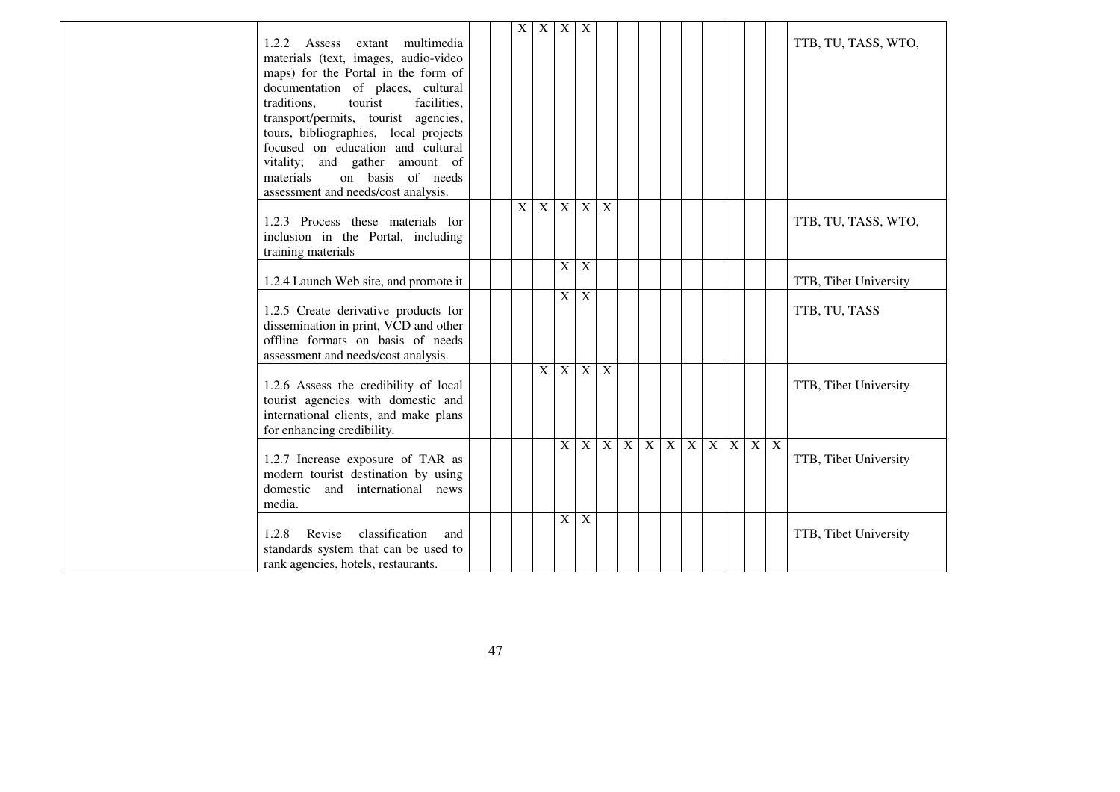| 1.2.2 Assess extant<br>multimedia<br>materials (text, images, audio-video     |  | X | X            | X              | X                         |              |   |                |                |   |                |   |            | TTB, TU, TASS, WTO,   |
|-------------------------------------------------------------------------------|--|---|--------------|----------------|---------------------------|--------------|---|----------------|----------------|---|----------------|---|------------|-----------------------|
| maps) for the Portal in the form of                                           |  |   |              |                |                           |              |   |                |                |   |                |   |            |                       |
| documentation of places, cultural                                             |  |   |              |                |                           |              |   |                |                |   |                |   |            |                       |
| traditions,<br>tourist<br>facilities,<br>transport/permits, tourist agencies, |  |   |              |                |                           |              |   |                |                |   |                |   |            |                       |
| tours, bibliographies, local projects                                         |  |   |              |                |                           |              |   |                |                |   |                |   |            |                       |
| focused on education and cultural                                             |  |   |              |                |                           |              |   |                |                |   |                |   |            |                       |
| vitality; and gather amount of                                                |  |   |              |                |                           |              |   |                |                |   |                |   |            |                       |
| on basis of needs<br>materials                                                |  |   |              |                |                           |              |   |                |                |   |                |   |            |                       |
| assessment and needs/cost analysis.                                           |  |   |              | X              | X                         |              |   |                |                |   |                |   |            |                       |
| 1.2.3 Process these materials for                                             |  | X | X            |                |                           | $\mathbf{X}$ |   |                |                |   |                |   |            | TTB, TU, TASS, WTO,   |
| inclusion in the Portal, including                                            |  |   |              |                |                           |              |   |                |                |   |                |   |            |                       |
| training materials                                                            |  |   |              |                |                           |              |   |                |                |   |                |   |            |                       |
|                                                                               |  |   |              | X              | $\boldsymbol{\mathrm{X}}$ |              |   |                |                |   |                |   |            |                       |
| 1.2.4 Launch Web site, and promote it                                         |  |   |              |                | $\overline{X}$            |              |   |                |                |   |                |   |            | TTB, Tibet University |
| 1.2.5 Create derivative products for                                          |  |   |              | X              |                           |              |   |                |                |   |                |   |            | TTB, TU, TASS         |
| dissemination in print, VCD and other                                         |  |   |              |                |                           |              |   |                |                |   |                |   |            |                       |
| offline formats on basis of needs                                             |  |   |              |                |                           |              |   |                |                |   |                |   |            |                       |
| assessment and needs/cost analysis.                                           |  |   |              |                |                           |              |   |                |                |   |                |   |            |                       |
|                                                                               |  |   | $\mathbf{X}$ | X              | X X                       |              |   |                |                |   |                |   |            |                       |
| 1.2.6 Assess the credibility of local<br>tourist agencies with domestic and   |  |   |              |                |                           |              |   |                |                |   |                |   |            | TTB, Tibet University |
| international clients, and make plans                                         |  |   |              |                |                           |              |   |                |                |   |                |   |            |                       |
| for enhancing credibility.                                                    |  |   |              |                |                           |              |   |                |                |   |                |   |            |                       |
|                                                                               |  |   |              | X <sub>1</sub> | X                         | X            | X | $\overline{X}$ | $\overline{X}$ | X | $\overline{X}$ | X | $X \mid X$ |                       |
| 1.2.7 Increase exposure of TAR as                                             |  |   |              |                |                           |              |   |                |                |   |                |   |            | TTB, Tibet University |
| modern tourist destination by using<br>domestic and international news        |  |   |              |                |                           |              |   |                |                |   |                |   |            |                       |
| media.                                                                        |  |   |              |                |                           |              |   |                |                |   |                |   |            |                       |
|                                                                               |  |   |              | X              | $\mathbf X$               |              |   |                |                |   |                |   |            |                       |
| classification<br>1.2.8<br>Revise<br>and                                      |  |   |              |                |                           |              |   |                |                |   |                |   |            | TTB, Tibet University |
| standards system that can be used to                                          |  |   |              |                |                           |              |   |                |                |   |                |   |            |                       |
| rank agencies, hotels, restaurants.                                           |  |   |              |                |                           |              |   |                |                |   |                |   |            |                       |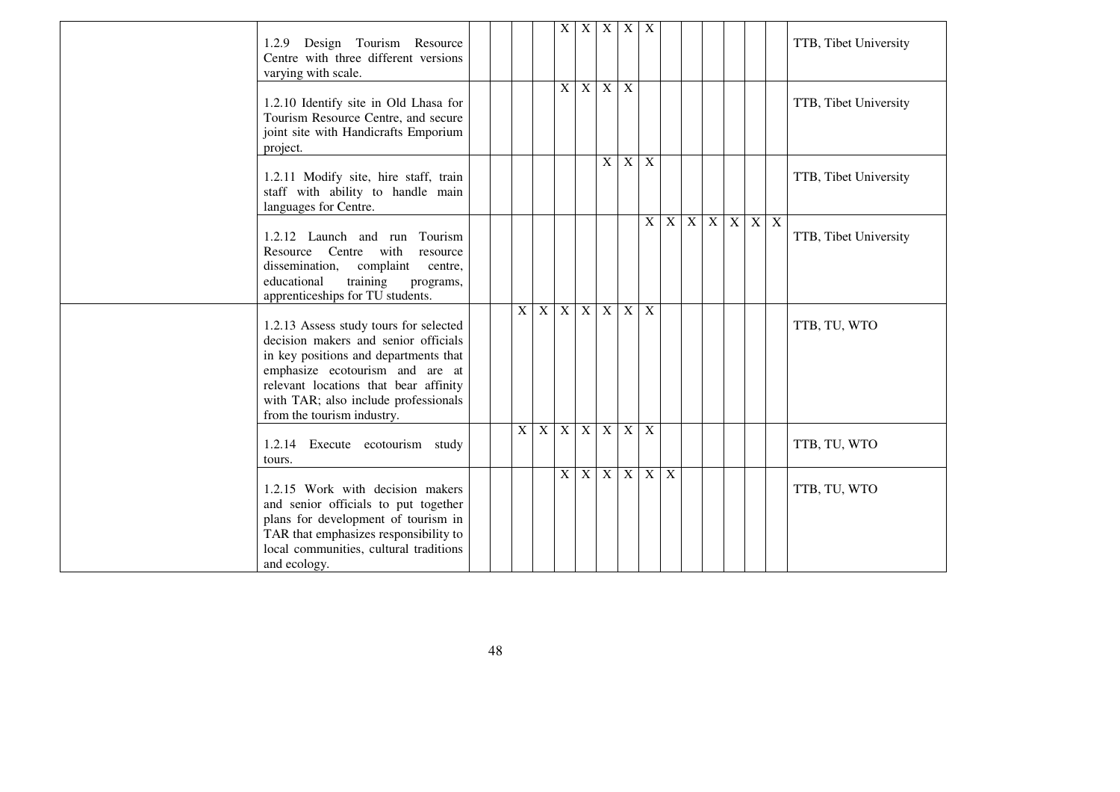| 1.2.9 Design Tourism Resource<br>Centre with three different versions<br>varying with scale.                                                                                                                                                                              |  |                |                | X              | X              | $\mathbf{X}$   |                  | $X \mid X$     |   |  |                     |                | TTB, Tibet University |
|---------------------------------------------------------------------------------------------------------------------------------------------------------------------------------------------------------------------------------------------------------------------------|--|----------------|----------------|----------------|----------------|----------------|------------------|----------------|---|--|---------------------|----------------|-----------------------|
| 1.2.10 Identify site in Old Lhasa for<br>Tourism Resource Centre, and secure<br>joint site with Handicrafts Emporium<br>project.                                                                                                                                          |  |                |                | X              | $\overline{X}$ | X              | $\boldsymbol{X}$ |                |   |  |                     |                | TTB, Tibet University |
| 1.2.11 Modify site, hire staff, train<br>staff with ability to handle main<br>languages for Centre.                                                                                                                                                                       |  |                |                |                |                | $\mathbf X$    |                  | $X \mid X$     |   |  |                     |                | TTB, Tibet University |
| 1.2.12 Launch and run Tourism<br>Resource Centre with<br>resource<br>dissemination,<br>complaint<br>centre,<br>training<br>educational<br>programs,<br>apprenticeships for TU students.                                                                                   |  |                |                |                |                |                |                  | $\overline{X}$ |   |  | $X$ $X$ $X$ $X$ $X$ | $\overline{X}$ | TTB, Tibet University |
| 1.2.13 Assess study tours for selected<br>decision makers and senior officials<br>in key positions and departments that<br>emphasize ecotourism and are at<br>relevant locations that bear affinity<br>with TAR; also include professionals<br>from the tourism industry. |  | X <sub>1</sub> | $\overline{X}$ |                | $X$ $X$        | $\overline{X}$ |                  | $X$ $X$        |   |  |                     |                | TTB, TU, WTO          |
| 1.2.14 Execute ecotourism study<br>tours.                                                                                                                                                                                                                                 |  | $\overline{X}$ | $\overline{X}$ | $\overline{X}$ | $\overline{X}$ | $\overline{X}$ |                  | $X \mid X$     |   |  |                     |                | TTB, TU, WTO          |
| 1.2.15 Work with decision makers<br>and senior officials to put together<br>plans for development of tourism in<br>TAR that emphasizes responsibility to<br>local communities, cultural traditions<br>and ecology.                                                        |  |                |                | X              | $\overline{X}$ | $\overline{X}$ | $\mathbf{X}$     | $\overline{X}$ | X |  |                     |                | TTB, TU, WTO          |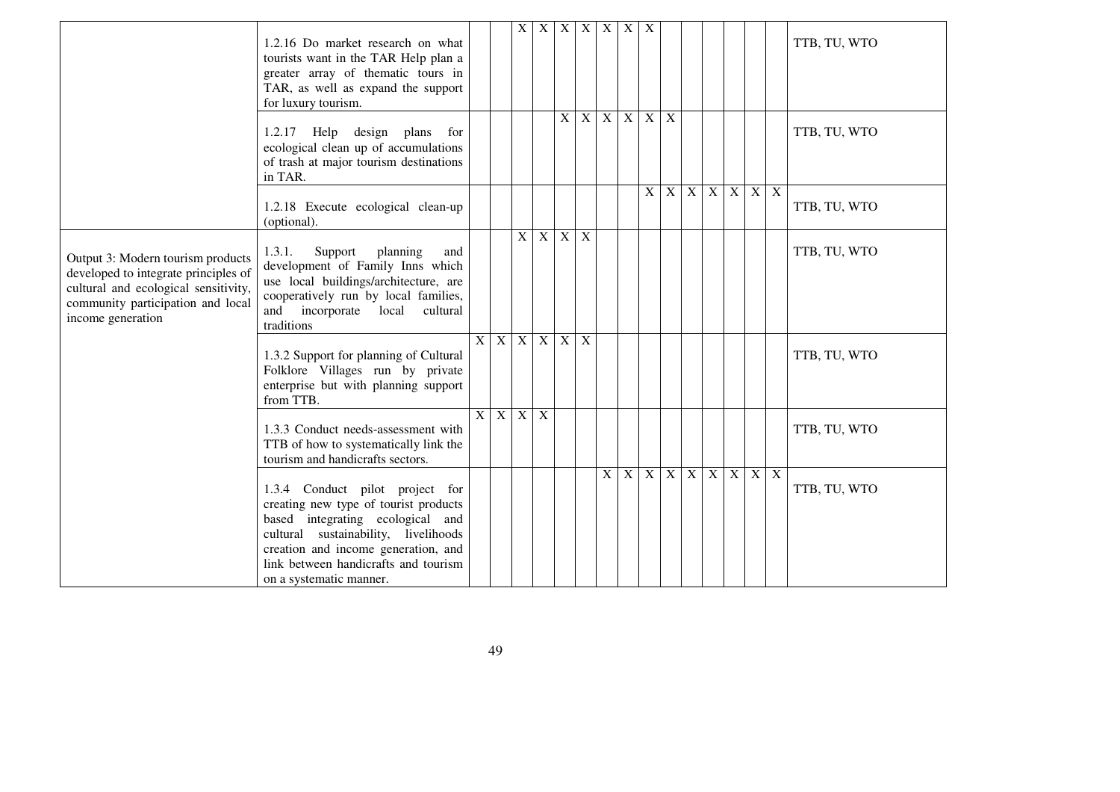|                                                                                                                                                                             | 1.2.16 Do market research on what<br>tourists want in the TAR Help plan a<br>greater array of thematic tours in<br>TAR, as well as expand the support<br>for luxury tourism.                                                                                   |              |                | X              |                |   |            |             | $X$   $X$   $X$   $X$   $X$   $X$ |                |             |             |                  |                |            | TTB, TU, WTO |
|-----------------------------------------------------------------------------------------------------------------------------------------------------------------------------|----------------------------------------------------------------------------------------------------------------------------------------------------------------------------------------------------------------------------------------------------------------|--------------|----------------|----------------|----------------|---|------------|-------------|-----------------------------------|----------------|-------------|-------------|------------------|----------------|------------|--------------|
|                                                                                                                                                                             | 1.2.17 Help design plans<br>for<br>ecological clean up of accumulations<br>of trash at major tourism destinations<br>in TAR.                                                                                                                                   |              |                |                |                | X | X          | X           | $\overline{X}$                    |                | X X         |             |                  |                |            | TTB, TU, WTO |
|                                                                                                                                                                             | 1.2.18 Execute ecological clean-up<br>(optional).                                                                                                                                                                                                              |              |                |                |                |   |            |             |                                   | X <sub>1</sub> | X           | X           | $\boldsymbol{X}$ | X              | X X        | TTB, TU, WTO |
| Output 3: Modern tourism products<br>developed to integrate principles of<br>cultural and ecological sensitivity,<br>community participation and local<br>income generation | Support<br>planning<br>1.3.1.<br>and<br>development of Family Inns which<br>use local buildings/architecture, are<br>cooperatively run by local families,<br>incorporate local<br>and<br>cultural<br>traditions                                                |              |                | X              | X              |   | X X        |             |                                   |                |             |             |                  |                |            | TTB, TU, WTO |
|                                                                                                                                                                             | 1.3.2 Support for planning of Cultural<br>Folklore Villages run by private<br>enterprise but with planning support<br>from TTB.                                                                                                                                | X            |                | $X$ $X$        | $\overline{X}$ |   | $X \mid X$ |             |                                   |                |             |             |                  |                |            | TTB, TU, WTO |
|                                                                                                                                                                             | 1.3.3 Conduct needs-assessment with<br>TTB of how to systematically link the<br>tourism and handicrafts sectors.                                                                                                                                               | $\mathbf{X}$ | $\overline{X}$ | $\overline{X}$ | $\overline{X}$ |   |            |             |                                   |                |             |             |                  |                |            | TTB, TU, WTO |
|                                                                                                                                                                             | 1.3.4 Conduct pilot project for<br>creating new type of tourist products<br>based integrating ecological and<br>cultural sustainability, livelihoods<br>creation and income generation, and<br>link between handicrafts and tourism<br>on a systematic manner. |              |                |                |                |   |            | $\mathbf X$ | $\mathbf X$                       | X              | $\mathbf X$ | $\mathbf X$ | $\mathbf X$      | $\overline{X}$ | $X \mid X$ | TTB, TU, WTO |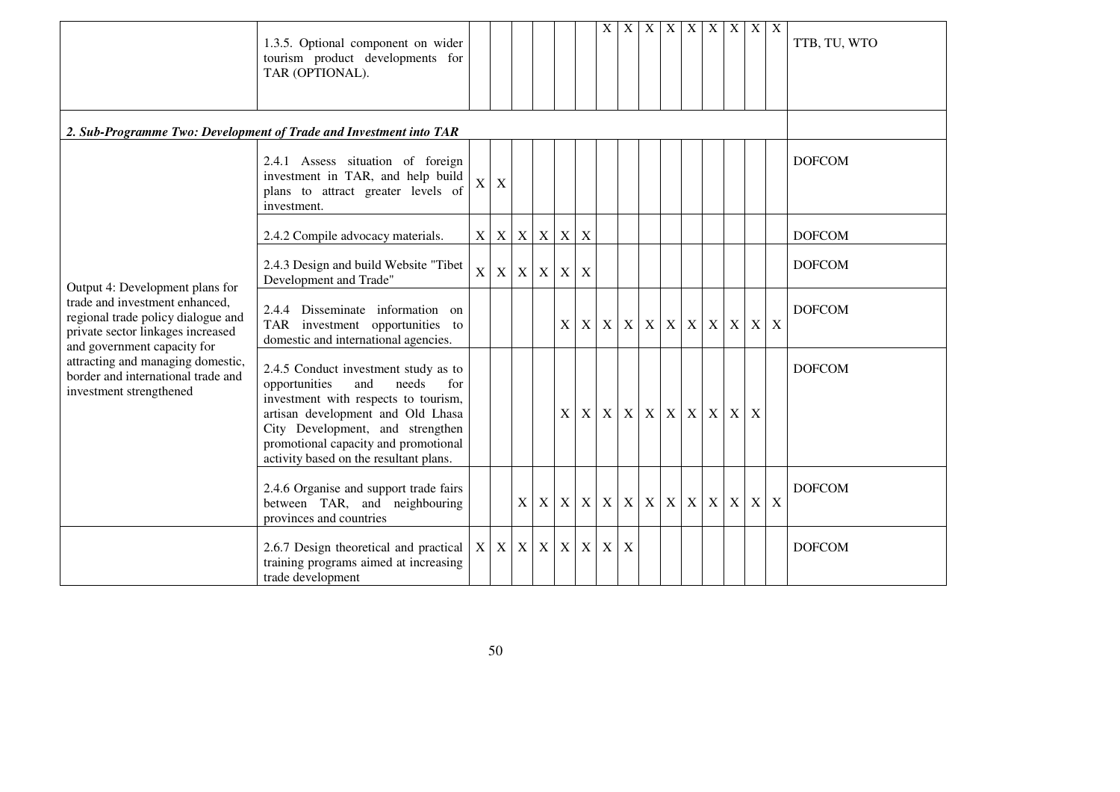|                                                                                                                                          | 1.3.5. Optional component on wider<br>tourism product developments for<br>TAR (OPTIONAL).                                                                                                                                                                                       |                   |              |             |   |                 |                           | X              | $\mathbf{X}$ | X | $\overline{X}$ | X           |             |                           | $X$ $X$ $X$ $X$           | TTB, TU, WTO  |
|------------------------------------------------------------------------------------------------------------------------------------------|---------------------------------------------------------------------------------------------------------------------------------------------------------------------------------------------------------------------------------------------------------------------------------|-------------------|--------------|-------------|---|-----------------|---------------------------|----------------|--------------|---|----------------|-------------|-------------|---------------------------|---------------------------|---------------|
|                                                                                                                                          | 2. Sub-Programme Two: Development of Trade and Investment into TAR                                                                                                                                                                                                              |                   |              |             |   |                 |                           |                |              |   |                |             |             |                           |                           |               |
|                                                                                                                                          | 2.4.1 Assess situation of foreign<br>investment in TAR, and help build<br>plans to attract greater levels of<br>investment.                                                                                                                                                     | X                 | $\mathbf{X}$ |             |   |                 |                           |                |              |   |                |             |             |                           |                           | <b>DOFCOM</b> |
|                                                                                                                                          | 2.4.2 Compile advocacy materials.                                                                                                                                                                                                                                               | $\mathbf{X}$      |              |             |   | $X$ $X$ $X$ $X$ | $\mathbf X$               |                |              |   |                |             |             |                           |                           | <b>DOFCOM</b> |
| Output 4: Development plans for                                                                                                          | 2.4.3 Design and build Website "Tibet<br>Development and Trade"                                                                                                                                                                                                                 | $\mathbf X$       | $\mathbf{X}$ |             |   | $X$ $X$ $X$     | $\boldsymbol{\mathrm{X}}$ |                |              |   |                |             |             |                           |                           | <b>DOFCOM</b> |
| trade and investment enhanced,<br>regional trade policy dialogue and<br>private sector linkages increased<br>and government capacity for | 2.4.4 Disseminate information on<br>TAR investment opportunities to<br>domestic and international agencies.                                                                                                                                                                     |                   |              |             |   | X               | $\mathbf X$               | $\mathbf X$    | $\mathbf X$  | X | $\mathbf X$    | $\mathbf X$ | $X \, X$    | $\mathbf{X}$              | $\boldsymbol{\mathrm{X}}$ | <b>DOFCOM</b> |
| attracting and managing domestic,<br>border and international trade and<br>investment strengthened                                       | 2.4.5 Conduct investment study as to<br>and<br>opportunities<br>needs<br>for<br>investment with respects to tourism,<br>artisan development and Old Lhasa<br>City Development, and strengthen<br>promotional capacity and promotional<br>activity based on the resultant plans. |                   |              |             |   | X               | X                         | X <sub>1</sub> | $\mathbf X$  | X | $\mathbf X$    | X           | $X \, \, X$ | $\boldsymbol{\mathrm{X}}$ |                           | <b>DOFCOM</b> |
|                                                                                                                                          | 2.4.6 Organise and support trade fairs<br>between TAR, and neighbouring<br>provinces and countries                                                                                                                                                                              |                   |              | $\mathbf X$ | X | $\mathbf X$     | $\mathbf X$               | X              | $\mathbf X$  | X | $\mathbf X$    | $\mathbf X$ | X X X       |                           | $\mathbf X$               | <b>DOFCOM</b> |
|                                                                                                                                          | 2.6.7 Design theoretical and practical<br>training programs aimed at increasing<br>trade development                                                                                                                                                                            | $X_{\mathcal{I}}$ | $\mathbf X$  | $\mathbf X$ | X | X               | $\mathbf X$               | $\mathbf X$    | $\mathbf X$  |   |                |             |             |                           |                           | <b>DOFCOM</b> |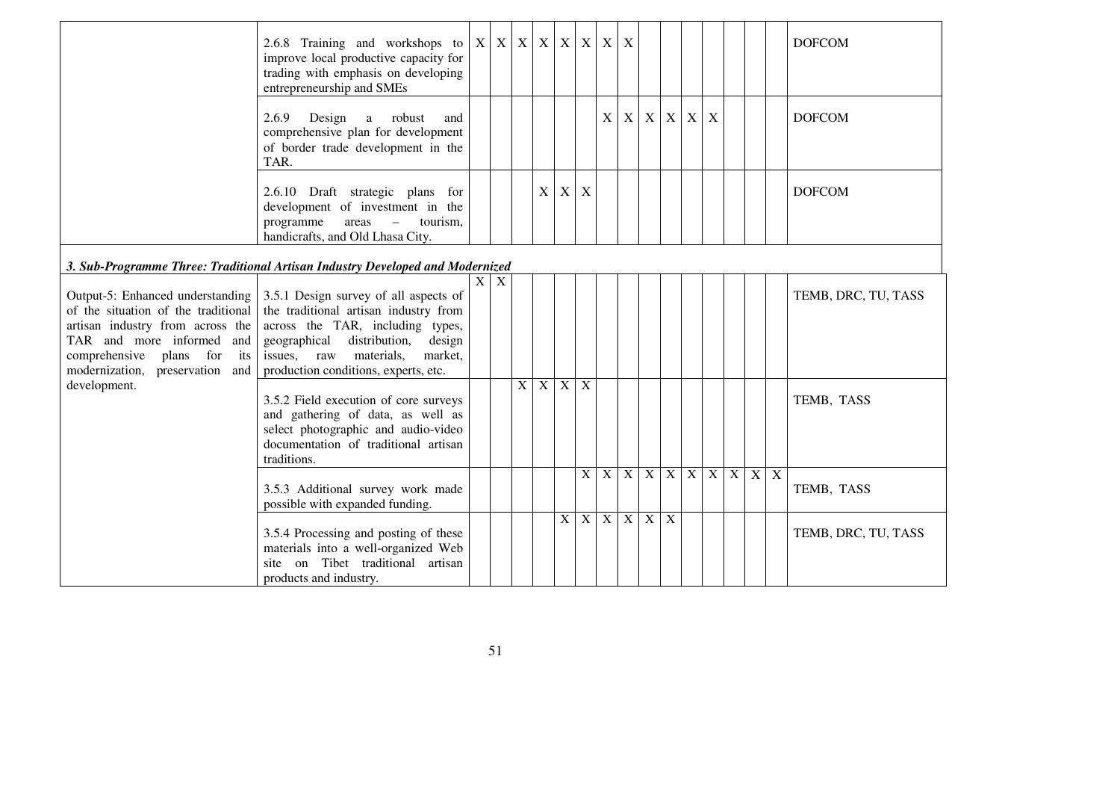|                                                                                                                                                                                                                     | 2.6.8 Training and workshops to $X$<br>improve local productive capacity for<br>trading with emphasis on developing<br>entrepreneurship and SMEs                                                                                              |   | $\mathbf{X}$ | $\mathbf X$ | $\vert$ X | X | $\boldsymbol{\mathrm{X}}$ | $X \mid X$ |             |   |                           |             |                           |              |   |                           | <b>DOFCOM</b>       |
|---------------------------------------------------------------------------------------------------------------------------------------------------------------------------------------------------------------------|-----------------------------------------------------------------------------------------------------------------------------------------------------------------------------------------------------------------------------------------------|---|--------------|-------------|-----------|---|---------------------------|------------|-------------|---|---------------------------|-------------|---------------------------|--------------|---|---------------------------|---------------------|
|                                                                                                                                                                                                                     | 2.6.9<br>Design<br>a robust<br>and<br>comprehensive plan for development<br>of border trade development in the<br>TAR.                                                                                                                        |   |              |             |           |   |                           | X          | $\mathbf X$ | X | $\mathbf X$               | $\mathbf X$ | $\mathbf{X}$              |              |   |                           | <b>DOFCOM</b>       |
|                                                                                                                                                                                                                     | 2.6.10 Draft strategic plans for<br>development of investment in the<br>programme<br>areas<br>$\sim$ .<br>tourism,<br>handicrafts, and Old Lhasa City.                                                                                        |   |              |             | X         | X | $\boldsymbol{X}$          |            |             |   |                           |             |                           |              |   |                           | <b>DOFCOM</b>       |
|                                                                                                                                                                                                                     | 3. Sub-Programme Three: Traditional Artisan Industry Developed and Modernized                                                                                                                                                                 |   |              |             |           |   |                           |            |             |   |                           |             |                           |              |   |                           |                     |
| Output-5: Enhanced understanding<br>of the situation of the traditional<br>artisan industry from across the<br>TAR and more informed<br>and<br>comprehensive<br>its<br>plans for<br>modernization, preservation and | 3.5.1 Design survey of all aspects of<br>the traditional artisan industry from<br>across the TAR, including types,<br>geographical<br>distribution,<br>design<br>issues, raw<br>materials,<br>market,<br>production conditions, experts, etc. | X | X            |             |           |   |                           |            |             |   |                           |             |                           |              |   |                           | TEMB, DRC, TU, TASS |
| development.                                                                                                                                                                                                        | 3.5.2 Field execution of core surveys<br>and gathering of data, as well as<br>select photographic and audio-video<br>documentation of traditional artisan<br>traditions.                                                                      |   |              | $\mathbf X$ | X         | X | $\overline{X}$            |            |             |   |                           |             |                           |              |   |                           | TEMB, TASS          |
|                                                                                                                                                                                                                     | 3.5.3 Additional survey work made<br>possible with expanded funding.                                                                                                                                                                          |   |              |             |           |   | X                         |            | $X \mid X$  | X | $\boldsymbol{\mathrm{X}}$ | X           | $\boldsymbol{\mathrm{X}}$ | $\mathbf{X}$ | X | $\boldsymbol{\mathrm{X}}$ | TEMB, TASS          |
|                                                                                                                                                                                                                     | 3.5.4 Processing and posting of these<br>materials into a well-organized Web<br>site on Tibet traditional artisan<br>products and industry.                                                                                                   |   |              |             |           | X |                           |            | $X$ $X$ $X$ | X | $\boldsymbol{\mathrm{X}}$ |             |                           |              |   |                           | TEMB, DRC, TU, TASS |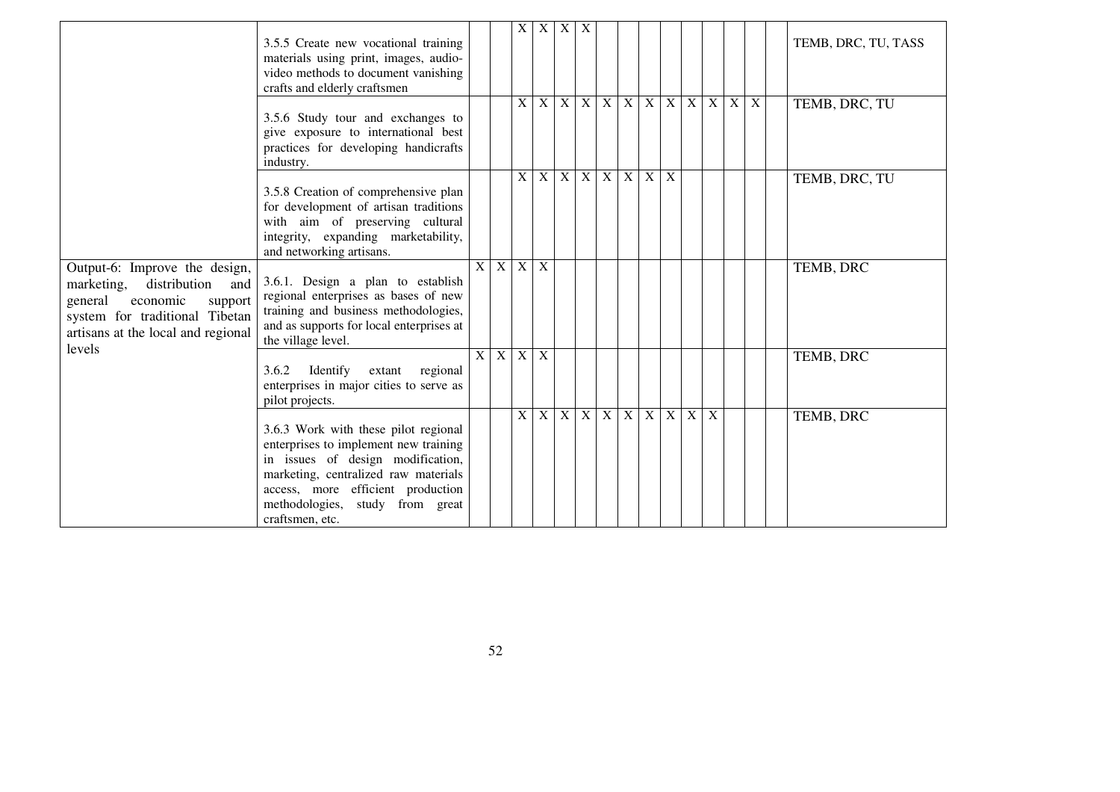|                                                                                                                                                                              | 3.5.5 Create new vocational training<br>materials using print, images, audio-<br>video methods to document vanishing<br>crafts and elderly craftsmen                                                                                                  |              |                | $\mathbf{X}$   |                | $X$ $X$ $X$               |                |            |   |                |                |              |              |     | TEMB, DRC, TU, TASS |
|------------------------------------------------------------------------------------------------------------------------------------------------------------------------------|-------------------------------------------------------------------------------------------------------------------------------------------------------------------------------------------------------------------------------------------------------|--------------|----------------|----------------|----------------|---------------------------|----------------|------------|---|----------------|----------------|--------------|--------------|-----|---------------------|
|                                                                                                                                                                              | 3.5.6 Study tour and exchanges to<br>give exposure to international best<br>practices for developing handicrafts<br>industry.                                                                                                                         |              |                | $\mathbf{X}$   | X              | $\mathbf{X}$              |                | $X \mid X$ | X | $\overline{X}$ | $\mathbf{X}$   | X            | $\mathbf{X}$ | X X | TEMB, DRC, TU       |
|                                                                                                                                                                              | 3.5.8 Creation of comprehensive plan<br>for development of artisan traditions<br>with aim of preserving cultural<br>integrity, expanding marketability,<br>and networking artisans.                                                                   |              |                | $\mathbf{X}$   | X              | $\mathbf{X}$              | $\overline{X}$ | X          | X |                | $X \mid X$     |              |              |     | TEMB, DRC, TU       |
| Output-6: Improve the design,<br>distribution<br>marketing,<br>and<br>economic<br>general<br>support<br>system for traditional Tibetan<br>artisans at the local and regional | 3.6.1. Design a plan to establish<br>regional enterprises as bases of new<br>training and business methodologies,<br>and as supports for local enterprises at<br>the village level.                                                                   | X            | $\overline{X}$ | X              | $\overline{X}$ |                           |                |            |   |                |                |              |              |     | TEMB, DRC           |
| levels                                                                                                                                                                       | Identify<br>regional<br>3.6.2<br>extant<br>enterprises in major cities to serve as<br>pilot projects.                                                                                                                                                 | $\mathbf{X}$ | $\overline{X}$ | $\overline{X}$ | $\overline{X}$ |                           |                |            |   |                |                |              |              |     | TEMB, DRC           |
|                                                                                                                                                                              | 3.6.3 Work with these pilot regional<br>enterprises to implement new training<br>in issues of design modification,<br>marketing, centralized raw materials<br>access, more efficient production<br>methodologies, study from great<br>craftsmen, etc. |              |                | $\mathbf{X}$   | X              | $\boldsymbol{\mathrm{X}}$ |                | $X$ $X$    | X | $\overline{X}$ | $\overline{X}$ | $\mathbf{X}$ | X            |     | TEMB, DRC           |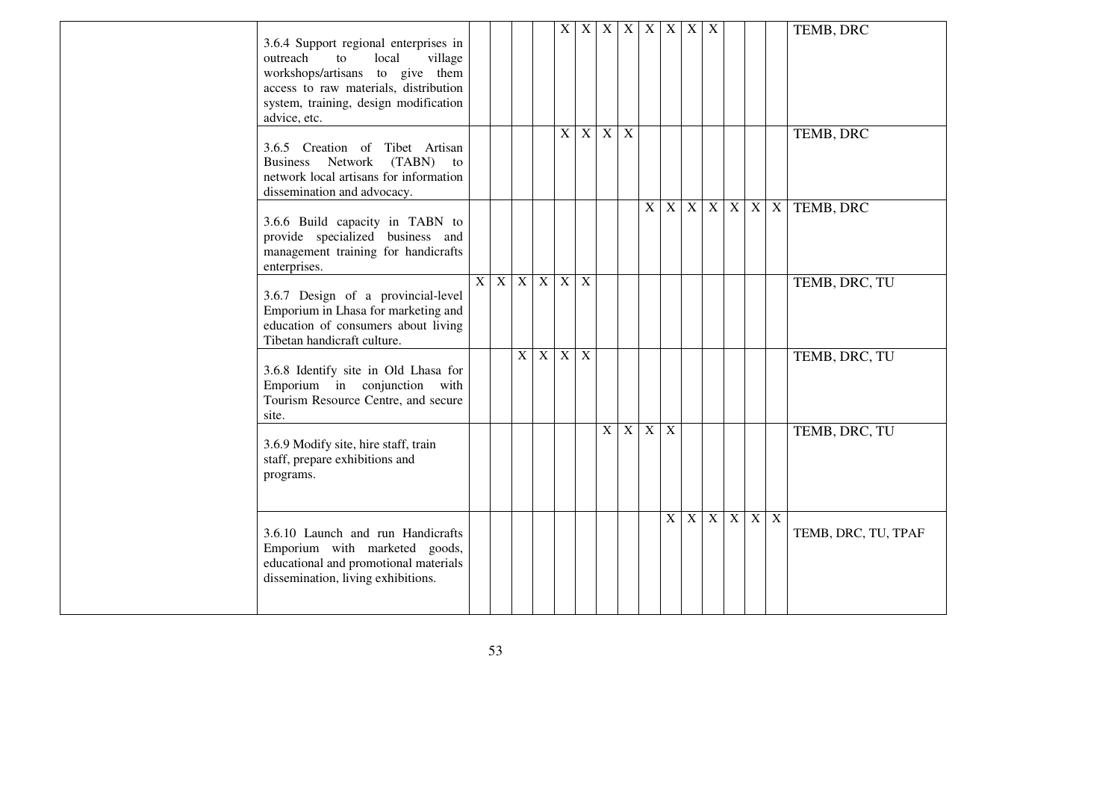| 3.6.4 Support regional enterprises in<br>local<br>outreach<br>to<br>village<br>workshops/artisans to give them<br>access to raw materials, distribution<br>system, training, design modification<br>advice, etc. |             |   |   | X              |                | $X \mid X$ |              | $X$ $X$ $X$ |                           | X              | $\mathbf{X}$   |                   |            |                | TEMB, DRC           |
|------------------------------------------------------------------------------------------------------------------------------------------------------------------------------------------------------------------|-------------|---|---|----------------|----------------|------------|--------------|-------------|---------------------------|----------------|----------------|-------------------|------------|----------------|---------------------|
| 3.6.5 Creation of Tibet Artisan<br>Business Network (TABN) to<br>network local artisans for information<br>dissemination and advocacy.                                                                           |             |   |   | X              |                | $X \mid X$ | $\mathbf{X}$ |             |                           |                |                |                   |            |                | TEMB, DRC           |
| 3.6.6 Build capacity in TABN to<br>provide specialized business and<br>management training for handicrafts<br>enterprises.                                                                                       |             |   |   |                |                |            |              |             | $X \mid X$                | X              |                | $X \mid X \mid X$ |            | $\mathbf{X}$   | TEMB, DRC           |
| 3.6.7 Design of a provincial-level<br>Emporium in Lhasa for marketing and<br>education of consumers about living<br>Tibetan handicraft culture.                                                                  | $X$ $X$ $X$ |   | X | X              | $\overline{X}$ |            |              |             |                           |                |                |                   |            |                | TEMB, DRC, TU       |
| 3.6.8 Identify site in Old Lhasa for<br>Emporium in conjunction with<br>Tourism Resource Centre, and secure<br>site.                                                                                             |             | X | X | $\overline{X}$ | $\overline{X}$ |            |              |             |                           |                |                |                   |            |                | TEMB, DRC, TU       |
| 3.6.9 Modify site, hire staff, train<br>staff, prepare exhibitions and<br>programs.                                                                                                                              |             |   |   |                |                | X          | X            |             | $X \mid X$                |                |                |                   |            |                | TEMB, DRC, TU       |
| 3.6.10 Launch and run Handicrafts<br>Emporium with marketed goods,<br>educational and promotional materials<br>dissemination, living exhibitions.                                                                |             |   |   |                |                |            |              |             | $\boldsymbol{\mathrm{X}}$ | $\overline{X}$ | $\overline{X}$ |                   | $X \mid X$ | $\overline{X}$ | TEMB, DRC, TU, TPAF |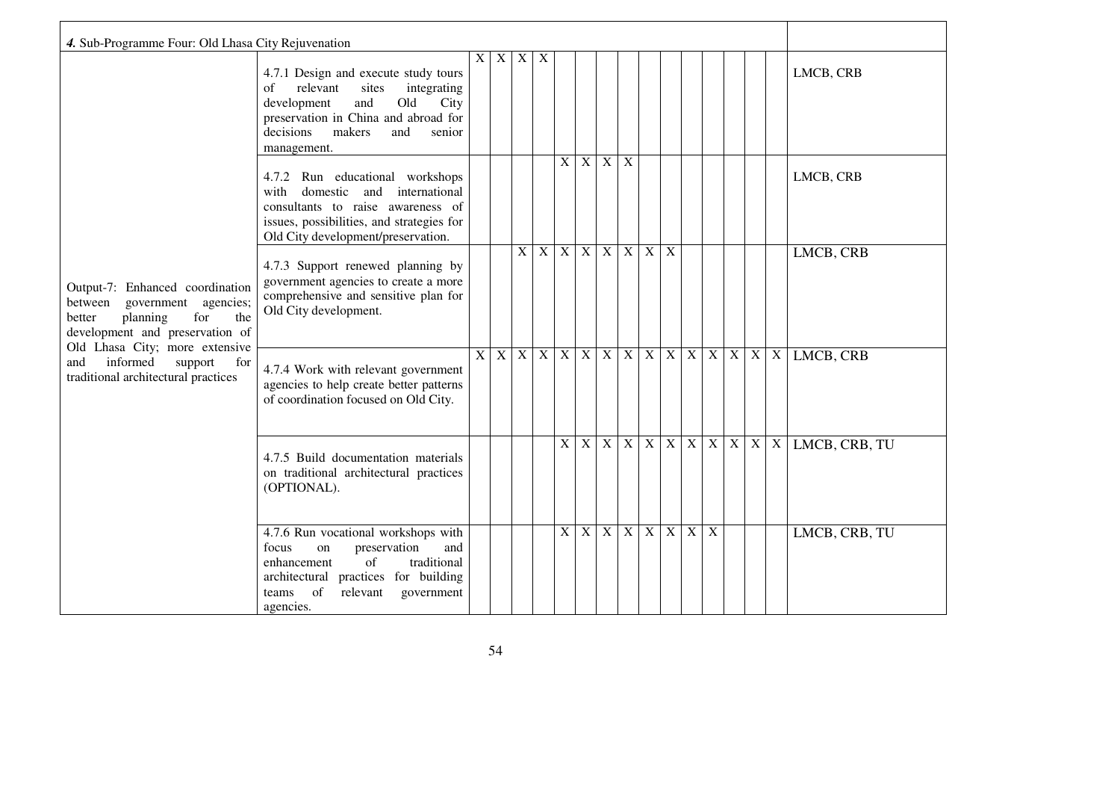| 4. Sub-Programme Four: Old Lhasa City Rejuvenation                                                                                                                             |                                                                                                                                                                                                                    |                |             |                |                           |                           |     |             |             |         |             |                 |   |                                 |               |
|--------------------------------------------------------------------------------------------------------------------------------------------------------------------------------|--------------------------------------------------------------------------------------------------------------------------------------------------------------------------------------------------------------------|----------------|-------------|----------------|---------------------------|---------------------------|-----|-------------|-------------|---------|-------------|-----------------|---|---------------------------------|---------------|
|                                                                                                                                                                                | 4.7.1 Design and execute study tours<br>relevant<br>sites<br>integrating<br>of<br>Old<br>development<br>and<br>City<br>preservation in China and abroad for<br>decisions<br>makers<br>and<br>senior<br>management. | X <sub>1</sub> | X           | X              | $\boldsymbol{\mathrm{X}}$ |                           |     |             |             |         |             |                 |   |                                 | LMCB, CRB     |
|                                                                                                                                                                                | 4.7.2 Run educational workshops<br>domestic<br>and international<br>with<br>consultants to raise awareness of<br>issues, possibilities, and strategies for<br>Old City development/preservation.                   |                |             |                |                           | $\mathbf X$               | X   | $\mathbf X$ | $\mathbf X$ |         |             |                 |   |                                 | LMCB, CRB     |
| Output-7: Enhanced coordination<br>between<br>government<br>agencies;<br>planning<br>for<br>better<br>the<br>development and preservation of<br>Old Lhasa City; more extensive | 4.7.3 Support renewed planning by<br>government agencies to create a more<br>comprehensive and sensitive plan for<br>Old City development.                                                                         |                |             | $\mathbf X$    | X                         |                           | X X | X           | X           | $X$ $X$ |             |                 |   |                                 | LMCB, CRB     |
| informed<br>and<br>support<br>for<br>traditional architectural practices                                                                                                       | 4.7.4 Work with relevant government<br>agencies to help create better patterns<br>of coordination focused on Old City.                                                                                             | X              | $\mathbf X$ | $\overline{X}$ | $\overline{X}$            | X <sub>1</sub>            | X   | X           | X           |         |             | $X$ $X$ $X$ $X$ | X | $X \mid X$                      | LMCB, CRB     |
|                                                                                                                                                                                | 4.7.5 Build documentation materials<br>on traditional architectural practices<br>(OPTIONAL).                                                                                                                       |                |             |                |                           | $\boldsymbol{\mathrm{X}}$ |     | $X \mid X$  |             |         |             |                 |   | $X$ $X$ $X$ $X$ $X$ $X$ $X$ $X$ | LMCB, CRB, TU |
|                                                                                                                                                                                | 4.7.6 Run vocational workshops with<br>preservation<br>focus<br>and<br>on<br>of<br>traditional<br>enhancement<br>architectural practices for building<br>of<br>relevant<br>government<br>teams<br>agencies.        |                |             |                |                           | $\mathbf X$               | X   | $\mathbf X$ | X           |         | $X$ $X$ $X$ | $\mathbf{X}$    |   |                                 | LMCB, CRB, TU |